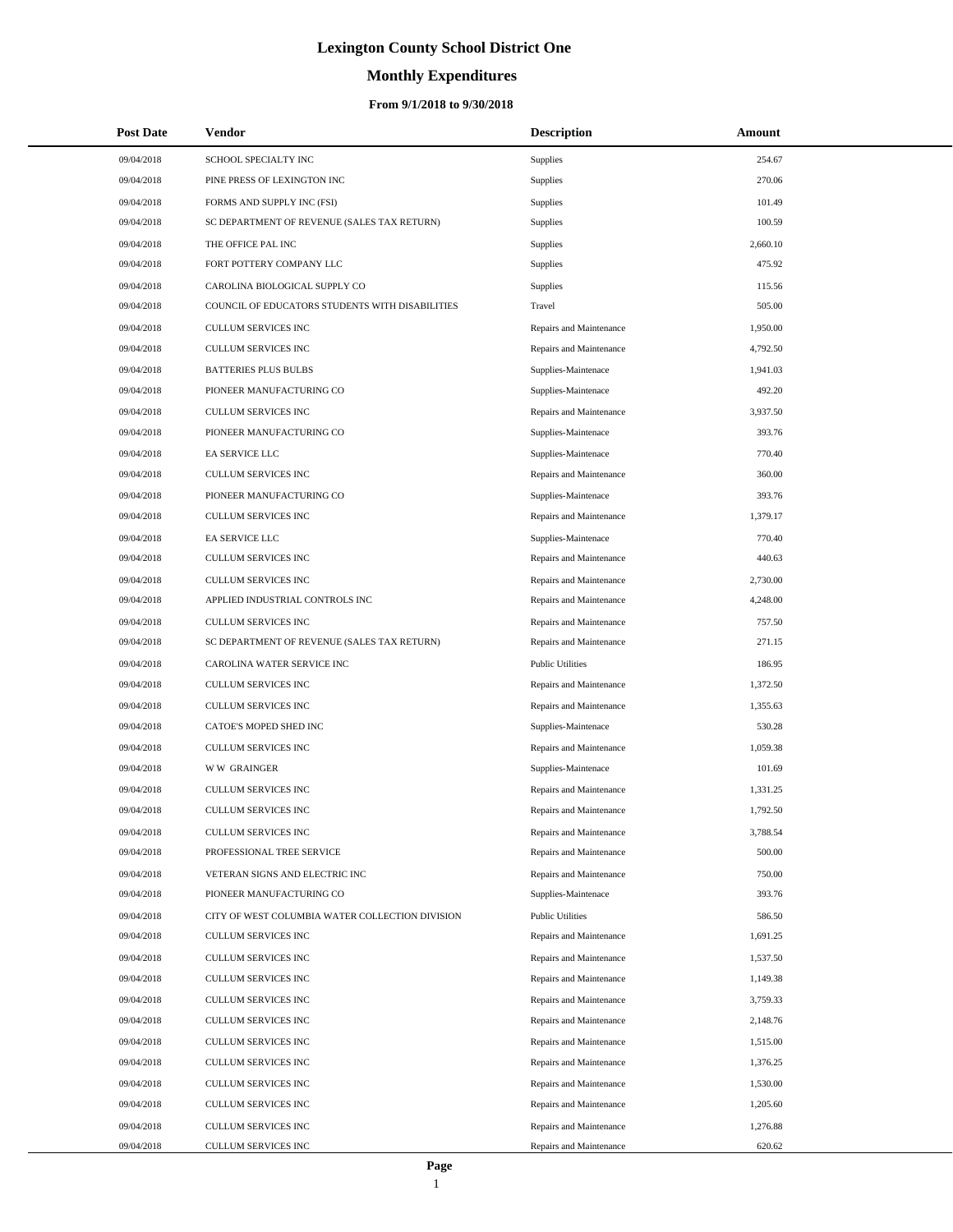# **Monthly Expenditures**

| <b>Post Date</b> | Vendor                                          | <b>Description</b>      | Amount   |
|------------------|-------------------------------------------------|-------------------------|----------|
| 09/04/2018       | SCHOOL SPECIALTY INC                            | Supplies                | 254.67   |
| 09/04/2018       | PINE PRESS OF LEXINGTON INC                     | Supplies                | 270.06   |
| 09/04/2018       | FORMS AND SUPPLY INC (FSI)                      | Supplies                | 101.49   |
| 09/04/2018       | SC DEPARTMENT OF REVENUE (SALES TAX RETURN)     | Supplies                | 100.59   |
| 09/04/2018       | THE OFFICE PAL INC                              | Supplies                | 2,660.10 |
| 09/04/2018       | FORT POTTERY COMPANY LLC                        | Supplies                | 475.92   |
| 09/04/2018       | CAROLINA BIOLOGICAL SUPPLY CO                   | Supplies                | 115.56   |
| 09/04/2018       | COUNCIL OF EDUCATORS STUDENTS WITH DISABILITIES | Travel                  | 505.00   |
| 09/04/2018       | CULLUM SERVICES INC                             | Repairs and Maintenance | 1,950.00 |
| 09/04/2018       | CULLUM SERVICES INC                             | Repairs and Maintenance | 4,792.50 |
| 09/04/2018       | <b>BATTERIES PLUS BULBS</b>                     | Supplies-Maintenace     | 1,941.03 |
| 09/04/2018       | PIONEER MANUFACTURING CO                        | Supplies-Maintenace     | 492.20   |
| 09/04/2018       | <b>CULLUM SERVICES INC</b>                      | Repairs and Maintenance | 3,937.50 |
| 09/04/2018       | PIONEER MANUFACTURING CO                        | Supplies-Maintenace     | 393.76   |
| 09/04/2018       | EA SERVICE LLC                                  | Supplies-Maintenace     | 770.40   |
| 09/04/2018       | CULLUM SERVICES INC                             | Repairs and Maintenance | 360.00   |
| 09/04/2018       | PIONEER MANUFACTURING CO                        | Supplies-Maintenace     | 393.76   |
| 09/04/2018       | <b>CULLUM SERVICES INC</b>                      | Repairs and Maintenance | 1,379.17 |
| 09/04/2018       | EA SERVICE LLC                                  | Supplies-Maintenace     | 770.40   |
| 09/04/2018       | <b>CULLUM SERVICES INC</b>                      | Repairs and Maintenance | 440.63   |
| 09/04/2018       | CULLUM SERVICES INC                             | Repairs and Maintenance | 2,730.00 |
| 09/04/2018       | APPLIED INDUSTRIAL CONTROLS INC                 | Repairs and Maintenance | 4,248.00 |
| 09/04/2018       | CULLUM SERVICES INC                             | Repairs and Maintenance | 757.50   |
| 09/04/2018       | SC DEPARTMENT OF REVENUE (SALES TAX RETURN)     | Repairs and Maintenance | 271.15   |
| 09/04/2018       | CAROLINA WATER SERVICE INC                      | <b>Public Utilities</b> | 186.95   |
| 09/04/2018       | CULLUM SERVICES INC                             | Repairs and Maintenance | 1,372.50 |
| 09/04/2018       | CULLUM SERVICES INC                             | Repairs and Maintenance | 1,355.63 |
| 09/04/2018       | CATOE'S MOPED SHED INC                          | Supplies-Maintenace     | 530.28   |
| 09/04/2018       | CULLUM SERVICES INC                             | Repairs and Maintenance | 1,059.38 |
| 09/04/2018       | <b>WW GRAINGER</b>                              | Supplies-Maintenace     | 101.69   |
| 09/04/2018       | CULLUM SERVICES INC                             | Repairs and Maintenance | 1,331.25 |
| 09/04/2018       | CULLUM SERVICES INC                             | Repairs and Maintenance | 1,792.50 |
| 09/04/2018       | CULLUM SERVICES INC                             | Repairs and Maintenance | 3,788.54 |
| 09/04/2018       | PROFESSIONAL TREE SERVICE                       | Repairs and Maintenance | 500.00   |
| 09/04/2018       | VETERAN SIGNS AND ELECTRIC INC                  | Repairs and Maintenance | 750.00   |
| 09/04/2018       | PIONEER MANUFACTURING CO                        | Supplies-Maintenace     | 393.76   |
| 09/04/2018       | CITY OF WEST COLUMBIA WATER COLLECTION DIVISION | <b>Public Utilities</b> | 586.50   |
| 09/04/2018       | CULLUM SERVICES INC                             | Repairs and Maintenance | 1,691.25 |
| 09/04/2018       | <b>CULLUM SERVICES INC</b>                      | Repairs and Maintenance | 1,537.50 |
| 09/04/2018       | CULLUM SERVICES INC                             | Repairs and Maintenance | 1,149.38 |
| 09/04/2018       | CULLUM SERVICES INC                             | Repairs and Maintenance | 3,759.33 |
| 09/04/2018       | CULLUM SERVICES INC                             | Repairs and Maintenance | 2,148.76 |
| 09/04/2018       | CULLUM SERVICES INC                             | Repairs and Maintenance | 1,515.00 |
| 09/04/2018       | CULLUM SERVICES INC                             | Repairs and Maintenance | 1,376.25 |
| 09/04/2018       | CULLUM SERVICES INC                             | Repairs and Maintenance | 1,530.00 |
| 09/04/2018       | CULLUM SERVICES INC                             | Repairs and Maintenance | 1,205.60 |
| 09/04/2018       | CULLUM SERVICES INC                             | Repairs and Maintenance | 1,276.88 |
| 09/04/2018       | CULLUM SERVICES INC                             | Repairs and Maintenance | 620.62   |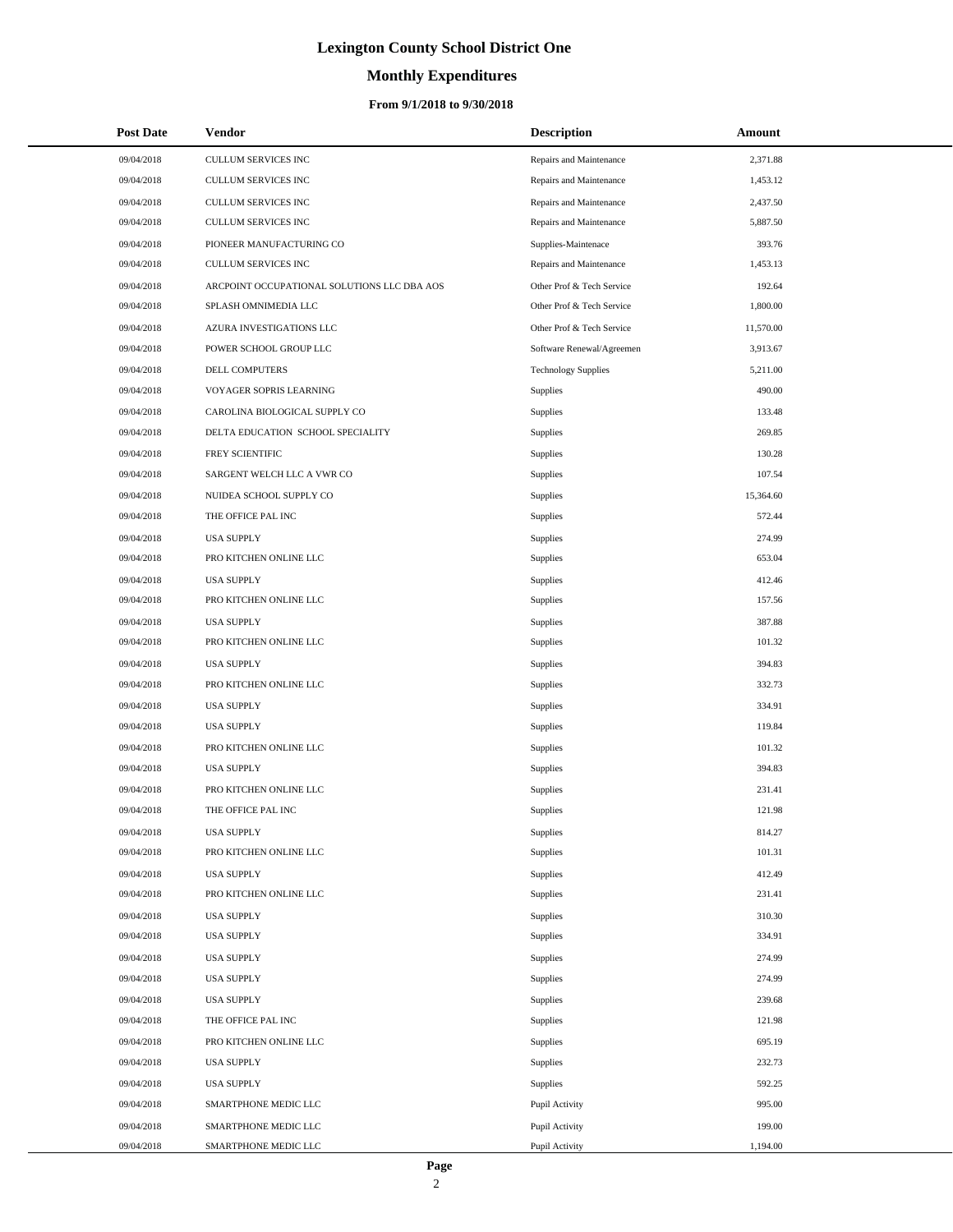# **Monthly Expenditures**

### **From 9/1/2018 to 9/30/2018**

| <b>Post Date</b> | <b>Vendor</b>                               | <b>Description</b>         | Amount    |
|------------------|---------------------------------------------|----------------------------|-----------|
| 09/04/2018       | <b>CULLUM SERVICES INC</b>                  | Repairs and Maintenance    | 2,371.88  |
| 09/04/2018       | CULLUM SERVICES INC                         | Repairs and Maintenance    | 1,453.12  |
| 09/04/2018       | CULLUM SERVICES INC                         | Repairs and Maintenance    | 2,437.50  |
| 09/04/2018       | <b>CULLUM SERVICES INC</b>                  | Repairs and Maintenance    | 5,887.50  |
| 09/04/2018       | PIONEER MANUFACTURING CO                    | Supplies-Maintenace        | 393.76    |
| 09/04/2018       | CULLUM SERVICES INC                         | Repairs and Maintenance    | 1,453.13  |
| 09/04/2018       | ARCPOINT OCCUPATIONAL SOLUTIONS LLC DBA AOS | Other Prof & Tech Service  | 192.64    |
| 09/04/2018       | SPLASH OMNIMEDIA LLC                        | Other Prof & Tech Service  | 1,800.00  |
| 09/04/2018       | AZURA INVESTIGATIONS LLC                    | Other Prof & Tech Service  | 11,570.00 |
| 09/04/2018       | POWER SCHOOL GROUP LLC                      | Software Renewal/Agreemen  | 3,913.67  |
| 09/04/2018       | DELL COMPUTERS                              | <b>Technology Supplies</b> | 5,211.00  |
| 09/04/2018       | VOYAGER SOPRIS LEARNING                     | Supplies                   | 490.00    |
| 09/04/2018       | CAROLINA BIOLOGICAL SUPPLY CO               | Supplies                   | 133.48    |
| 09/04/2018       | DELTA EDUCATION SCHOOL SPECIALITY           | Supplies                   | 269.85    |
| 09/04/2018       | FREY SCIENTIFIC                             | Supplies                   | 130.28    |
| 09/04/2018       | SARGENT WELCH LLC A VWR CO                  | Supplies                   | 107.54    |
| 09/04/2018       | NUIDEA SCHOOL SUPPLY CO                     | Supplies                   | 15,364.60 |
| 09/04/2018       | THE OFFICE PAL INC                          | Supplies                   | 572.44    |
| 09/04/2018       | <b>USA SUPPLY</b>                           | Supplies                   | 274.99    |
| 09/04/2018       | PRO KITCHEN ONLINE LLC                      | Supplies                   | 653.04    |
| 09/04/2018       | <b>USA SUPPLY</b>                           | Supplies                   | 412.46    |
| 09/04/2018       | PRO KITCHEN ONLINE LLC                      | Supplies                   | 157.56    |
| 09/04/2018       | <b>USA SUPPLY</b>                           | Supplies                   | 387.88    |
| 09/04/2018       | PRO KITCHEN ONLINE LLC                      | Supplies                   | 101.32    |
| 09/04/2018       | <b>USA SUPPLY</b>                           | Supplies                   | 394.83    |
| 09/04/2018       | PRO KITCHEN ONLINE LLC                      | Supplies                   | 332.73    |
| 09/04/2018       | <b>USA SUPPLY</b>                           | Supplies                   | 334.91    |
| 09/04/2018       | <b>USA SUPPLY</b>                           | Supplies                   | 119.84    |
| 09/04/2018       | PRO KITCHEN ONLINE LLC                      | Supplies                   | 101.32    |
| 09/04/2018       | <b>USA SUPPLY</b>                           | Supplies                   | 394.83    |
| 09/04/2018       | PRO KITCHEN ONLINE LLC                      | Supplies                   | 231.41    |
| 09/04/2018       | THE OFFICE PAL INC                          | Supplies                   | 121.98    |
| 09/04/2018       | <b>USA SUPPLY</b>                           | Supplies                   | 814.27    |
| 09/04/2018       | PRO KITCHEN ONLINE LLC                      | Supplies                   | 101.31    |
| 09/04/2018       | <b>USA SUPPLY</b>                           | Supplies                   | 412.49    |
| 09/04/2018       | PRO KITCHEN ONLINE LLC                      | Supplies                   | 231.41    |
| 09/04/2018       | <b>USA SUPPLY</b>                           | Supplies                   | 310.30    |
| 09/04/2018       | <b>USA SUPPLY</b>                           | Supplies                   | 334.91    |
| 09/04/2018       | <b>USA SUPPLY</b>                           | Supplies                   | 274.99    |
| 09/04/2018       | <b>USA SUPPLY</b>                           | Supplies                   | 274.99    |
| 09/04/2018       | <b>USA SUPPLY</b>                           | Supplies                   | 239.68    |
| 09/04/2018       | THE OFFICE PAL INC                          | Supplies                   | 121.98    |
| 09/04/2018       | PRO KITCHEN ONLINE LLC                      | Supplies                   | 695.19    |
| 09/04/2018       | <b>USA SUPPLY</b>                           | Supplies                   | 232.73    |
| 09/04/2018       | <b>USA SUPPLY</b>                           | Supplies                   | 592.25    |
| 09/04/2018       | SMARTPHONE MEDIC LLC                        | Pupil Activity             | 995.00    |
| 09/04/2018       | SMARTPHONE MEDIC LLC                        | Pupil Activity             | 199.00    |
| 09/04/2018       | SMARTPHONE MEDIC LLC                        | Pupil Activity             | 1,194.00  |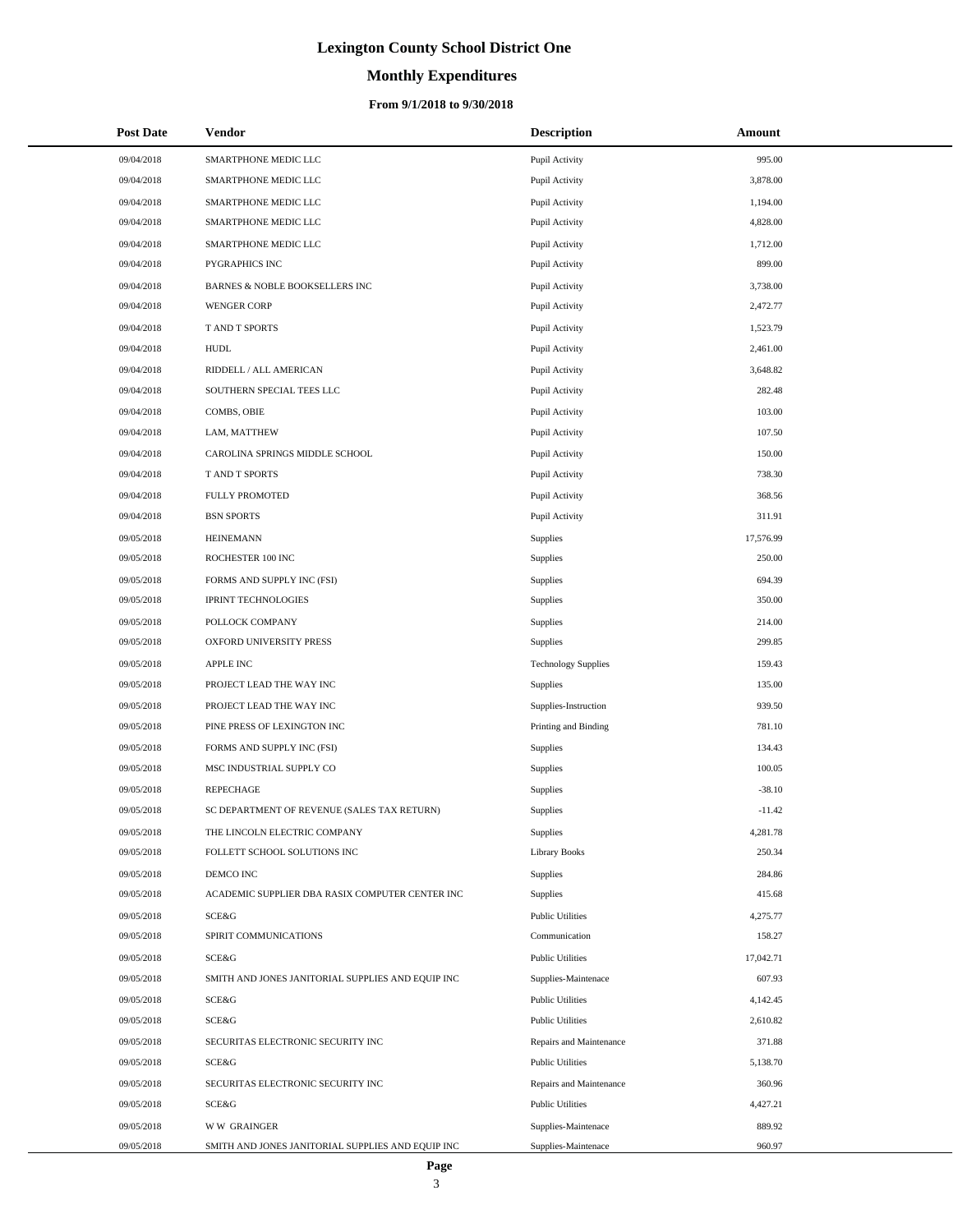# **Monthly Expenditures**

| <b>Post Date</b> | Vendor                                            | <b>Description</b>         | Amount    |
|------------------|---------------------------------------------------|----------------------------|-----------|
| 09/04/2018       | SMARTPHONE MEDIC LLC                              | Pupil Activity             | 995.00    |
| 09/04/2018       | SMARTPHONE MEDIC LLC                              | Pupil Activity             | 3,878.00  |
| 09/04/2018       | SMARTPHONE MEDIC LLC                              | Pupil Activity             | 1,194.00  |
| 09/04/2018       | SMARTPHONE MEDIC LLC                              | Pupil Activity             | 4,828.00  |
| 09/04/2018       | SMARTPHONE MEDIC LLC                              | Pupil Activity             | 1,712.00  |
| 09/04/2018       | PYGRAPHICS INC                                    | Pupil Activity             | 899.00    |
| 09/04/2018       | BARNES & NOBLE BOOKSELLERS INC                    | Pupil Activity             | 3,738.00  |
| 09/04/2018       | <b>WENGER CORP</b>                                | Pupil Activity             | 2,472.77  |
| 09/04/2018       | T AND T SPORTS                                    | Pupil Activity             | 1,523.79  |
| 09/04/2018       | <b>HUDL</b>                                       | Pupil Activity             | 2,461.00  |
| 09/04/2018       | RIDDELL / ALL AMERICAN                            | Pupil Activity             | 3,648.82  |
| 09/04/2018       | SOUTHERN SPECIAL TEES LLC                         | Pupil Activity             | 282.48    |
| 09/04/2018       | COMBS, OBIE                                       | Pupil Activity             | 103.00    |
| 09/04/2018       | LAM, MATTHEW                                      | Pupil Activity             | 107.50    |
| 09/04/2018       | CAROLINA SPRINGS MIDDLE SCHOOL                    | Pupil Activity             | 150.00    |
| 09/04/2018       | T AND T SPORTS                                    | Pupil Activity             | 738.30    |
| 09/04/2018       | <b>FULLY PROMOTED</b>                             | Pupil Activity             | 368.56    |
| 09/04/2018       | <b>BSN SPORTS</b>                                 | Pupil Activity             | 311.91    |
| 09/05/2018       | <b>HEINEMANN</b>                                  | Supplies                   | 17,576.99 |
| 09/05/2018       | ROCHESTER 100 INC                                 | Supplies                   | 250.00    |
| 09/05/2018       | FORMS AND SUPPLY INC (FSI)                        | Supplies                   | 694.39    |
| 09/05/2018       | <b>IPRINT TECHNOLOGIES</b>                        | Supplies                   | 350.00    |
| 09/05/2018       | POLLOCK COMPANY                                   | Supplies                   | 214.00    |
| 09/05/2018       | OXFORD UNIVERSITY PRESS                           | Supplies                   | 299.85    |
| 09/05/2018       | <b>APPLE INC</b>                                  | <b>Technology Supplies</b> | 159.43    |
| 09/05/2018       | PROJECT LEAD THE WAY INC                          | Supplies                   | 135.00    |
| 09/05/2018       | PROJECT LEAD THE WAY INC                          | Supplies-Instruction       | 939.50    |
| 09/05/2018       | PINE PRESS OF LEXINGTON INC                       | Printing and Binding       | 781.10    |
| 09/05/2018       | FORMS AND SUPPLY INC (FSI)                        | Supplies                   | 134.43    |
| 09/05/2018       | MSC INDUSTRIAL SUPPLY CO                          | Supplies                   | 100.05    |
| 09/05/2018       | <b>REPECHAGE</b>                                  | Supplies                   | $-38.10$  |
| 09/05/2018       | SC DEPARTMENT OF REVENUE (SALES TAX RETURN)       | Supplies                   | $-11.42$  |
| 09/05/2018       | THE LINCOLN ELECTRIC COMPANY                      | Supplies                   | 4,281.78  |
| 09/05/2018       | FOLLETT SCHOOL SOLUTIONS INC                      | <b>Library Books</b>       | 250.34    |
| 09/05/2018       | DEMCO INC                                         | Supplies                   | 284.86    |
| 09/05/2018       | ACADEMIC SUPPLIER DBA RASIX COMPUTER CENTER INC   | Supplies                   | 415.68    |
| 09/05/2018       | SCE&G                                             | <b>Public Utilities</b>    | 4,275.77  |
| 09/05/2018       | SPIRIT COMMUNICATIONS                             | Communication              | 158.27    |
| 09/05/2018       | SCE&G                                             | <b>Public Utilities</b>    | 17,042.71 |
| 09/05/2018       | SMITH AND JONES JANITORIAL SUPPLIES AND EQUIP INC | Supplies-Maintenace        | 607.93    |
| 09/05/2018       | <b>SCE&amp;G</b>                                  | <b>Public Utilities</b>    | 4,142.45  |
| 09/05/2018       | SCE&G                                             | <b>Public Utilities</b>    | 2,610.82  |
| 09/05/2018       | SECURITAS ELECTRONIC SECURITY INC                 | Repairs and Maintenance    | 371.88    |
| 09/05/2018       | SCE&G                                             | <b>Public Utilities</b>    | 5,138.70  |
| 09/05/2018       | SECURITAS ELECTRONIC SECURITY INC                 | Repairs and Maintenance    | 360.96    |
| 09/05/2018       | SCE&G                                             | <b>Public Utilities</b>    | 4,427.21  |
| 09/05/2018       | <b>WW GRAINGER</b>                                | Supplies-Maintenace        | 889.92    |
| 09/05/2018       | SMITH AND JONES JANITORIAL SUPPLIES AND EQUIP INC | Supplies-Maintenace        | 960.97    |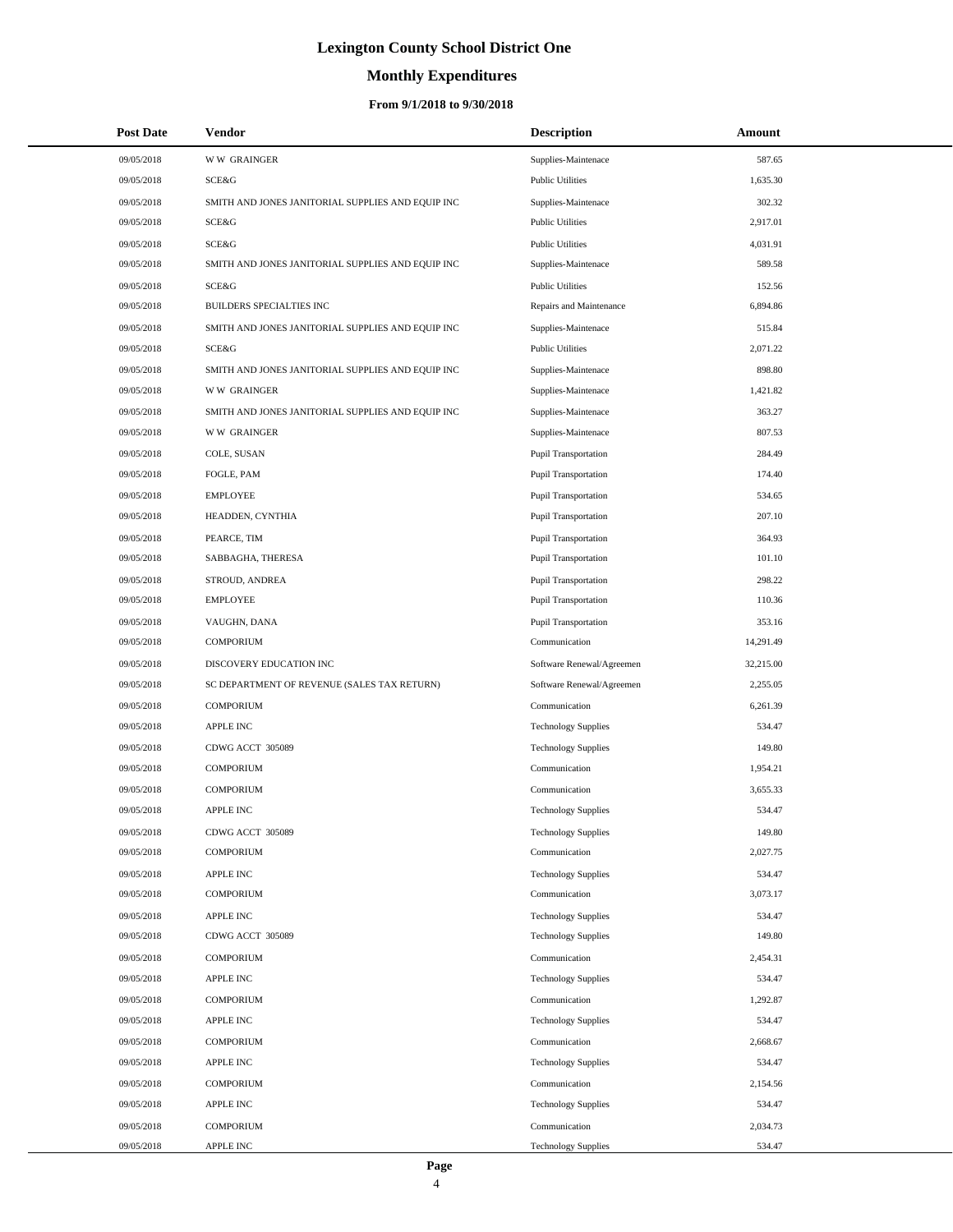# **Monthly Expenditures**

| <b>Post Date</b> | <b>Vendor</b>                                     | <b>Description</b>          | Amount    |
|------------------|---------------------------------------------------|-----------------------------|-----------|
| 09/05/2018       | <b>WW GRAINGER</b>                                | Supplies-Maintenace         | 587.65    |
| 09/05/2018       | SCE&G                                             | <b>Public Utilities</b>     | 1,635.30  |
| 09/05/2018       | SMITH AND JONES JANITORIAL SUPPLIES AND EQUIP INC | Supplies-Maintenace         | 302.32    |
| 09/05/2018       | SCE&G                                             | <b>Public Utilities</b>     | 2,917.01  |
| 09/05/2018       | SCE&G                                             | <b>Public Utilities</b>     | 4,031.91  |
| 09/05/2018       | SMITH AND JONES JANITORIAL SUPPLIES AND EQUIP INC | Supplies-Maintenace         | 589.58    |
| 09/05/2018       | SCE&G                                             | <b>Public Utilities</b>     | 152.56    |
| 09/05/2018       | BUILDERS SPECIALTIES INC                          | Repairs and Maintenance     | 6,894.86  |
| 09/05/2018       | SMITH AND JONES JANITORIAL SUPPLIES AND EQUIP INC | Supplies-Maintenace         | 515.84    |
| 09/05/2018       | SCE&G                                             | <b>Public Utilities</b>     | 2,071.22  |
| 09/05/2018       | SMITH AND JONES JANITORIAL SUPPLIES AND EQUIP INC | Supplies-Maintenace         | 898.80    |
| 09/05/2018       | <b>WW GRAINGER</b>                                | Supplies-Maintenace         | 1,421.82  |
| 09/05/2018       | SMITH AND JONES JANITORIAL SUPPLIES AND EQUIP INC | Supplies-Maintenace         | 363.27    |
| 09/05/2018       | <b>WW GRAINGER</b>                                | Supplies-Maintenace         | 807.53    |
| 09/05/2018       | COLE, SUSAN                                       | Pupil Transportation        | 284.49    |
| 09/05/2018       | FOGLE, PAM                                        | Pupil Transportation        | 174.40    |
| 09/05/2018       | <b>EMPLOYEE</b>                                   | <b>Pupil Transportation</b> | 534.65    |
| 09/05/2018       | HEADDEN, CYNTHIA                                  | Pupil Transportation        | 207.10    |
| 09/05/2018       | PEARCE, TIM                                       | <b>Pupil Transportation</b> | 364.93    |
| 09/05/2018       | SABBAGHA, THERESA                                 | <b>Pupil Transportation</b> | 101.10    |
| 09/05/2018       | STROUD, ANDREA                                    | Pupil Transportation        | 298.22    |
| 09/05/2018       | <b>EMPLOYEE</b>                                   | Pupil Transportation        | 110.36    |
| 09/05/2018       | VAUGHN, DANA                                      | Pupil Transportation        | 353.16    |
| 09/05/2018       | <b>COMPORIUM</b>                                  | Communication               | 14,291.49 |
| 09/05/2018       | DISCOVERY EDUCATION INC                           | Software Renewal/Agreemen   | 32,215.00 |
| 09/05/2018       | SC DEPARTMENT OF REVENUE (SALES TAX RETURN)       | Software Renewal/Agreemen   | 2,255.05  |
| 09/05/2018       | <b>COMPORIUM</b>                                  | Communication               | 6,261.39  |
| 09/05/2018       | <b>APPLE INC</b>                                  | <b>Technology Supplies</b>  | 534.47    |
| 09/05/2018       | CDWG ACCT 305089                                  | <b>Technology Supplies</b>  | 149.80    |
| 09/05/2018       | <b>COMPORIUM</b>                                  | Communication               | 1,954.21  |
| 09/05/2018       | <b>COMPORIUM</b>                                  | Communication               | 3,655.33  |
| 09/05/2018       | <b>APPLE INC</b>                                  | <b>Technology Supplies</b>  | 534.47    |
| 09/05/2018       | CDWG ACCT 305089                                  | <b>Technology Supplies</b>  | 149.80    |
| 09/05/2018       | <b>COMPORIUM</b>                                  | Communication               | 2,027.75  |
| 09/05/2018       | <b>APPLE INC</b>                                  | <b>Technology Supplies</b>  | 534.47    |
| 09/05/2018       | <b>COMPORIUM</b>                                  | Communication               | 3,073.17  |
| 09/05/2018       | <b>APPLE INC</b>                                  | <b>Technology Supplies</b>  | 534.47    |
| 09/05/2018       | CDWG ACCT 305089                                  | <b>Technology Supplies</b>  | 149.80    |
| 09/05/2018       | <b>COMPORIUM</b>                                  | Communication               | 2,454.31  |
| 09/05/2018       | APPLE INC                                         | <b>Technology Supplies</b>  | 534.47    |
| 09/05/2018       | <b>COMPORIUM</b>                                  | Communication               | 1,292.87  |
| 09/05/2018       | APPLE INC                                         | <b>Technology Supplies</b>  | 534.47    |
| 09/05/2018       | <b>COMPORIUM</b>                                  | Communication               | 2,668.67  |
| 09/05/2018       | <b>APPLE INC</b>                                  | <b>Technology Supplies</b>  | 534.47    |
| 09/05/2018       | <b>COMPORIUM</b>                                  | Communication               | 2,154.56  |
| 09/05/2018       | APPLE INC                                         | <b>Technology Supplies</b>  | 534.47    |
| 09/05/2018       | <b>COMPORIUM</b>                                  | Communication               | 2,034.73  |
| 09/05/2018       | APPLE INC                                         | <b>Technology Supplies</b>  | 534.47    |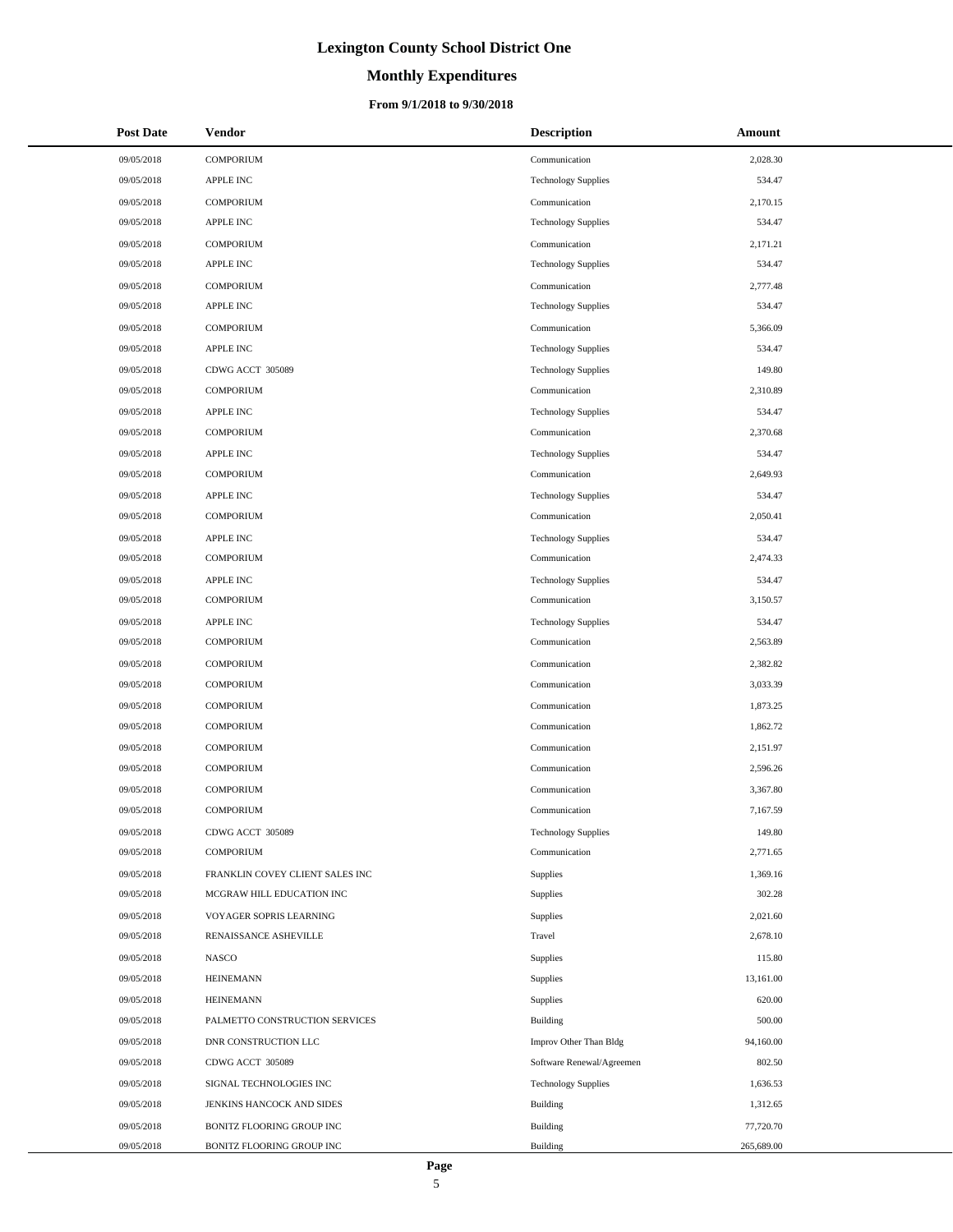# **Monthly Expenditures**

### **From 9/1/2018 to 9/30/2018**

| <b>Post Date</b> | Vendor                          | <b>Description</b>         | Amount     |
|------------------|---------------------------------|----------------------------|------------|
| 09/05/2018       | <b>COMPORIUM</b>                | Communication              | 2,028.30   |
| 09/05/2018       | <b>APPLE INC</b>                | <b>Technology Supplies</b> | 534.47     |
| 09/05/2018       | <b>COMPORIUM</b>                | Communication              | 2,170.15   |
| 09/05/2018       | APPLE INC                       | <b>Technology Supplies</b> | 534.47     |
| 09/05/2018       | <b>COMPORIUM</b>                | Communication              | 2,171.21   |
| 09/05/2018       | <b>APPLE INC</b>                | <b>Technology Supplies</b> | 534.47     |
| 09/05/2018       | <b>COMPORIUM</b>                | Communication              | 2,777.48   |
| 09/05/2018       | <b>APPLE INC</b>                | <b>Technology Supplies</b> | 534.47     |
| 09/05/2018       | <b>COMPORIUM</b>                | Communication              | 5,366.09   |
| 09/05/2018       | <b>APPLE INC</b>                | <b>Technology Supplies</b> | 534.47     |
| 09/05/2018       | CDWG ACCT 305089                | <b>Technology Supplies</b> | 149.80     |
| 09/05/2018       | <b>COMPORIUM</b>                | Communication              | 2,310.89   |
| 09/05/2018       | <b>APPLE INC</b>                | <b>Technology Supplies</b> | 534.47     |
| 09/05/2018       | <b>COMPORIUM</b>                | Communication              | 2,370.68   |
| 09/05/2018       | APPLE INC                       | <b>Technology Supplies</b> | 534.47     |
| 09/05/2018       | <b>COMPORIUM</b>                | Communication              | 2,649.93   |
| 09/05/2018       | <b>APPLE INC</b>                | <b>Technology Supplies</b> | 534.47     |
| 09/05/2018       | <b>COMPORIUM</b>                | Communication              | 2,050.41   |
| 09/05/2018       | APPLE INC                       | <b>Technology Supplies</b> | 534.47     |
| 09/05/2018       | <b>COMPORIUM</b>                | Communication              | 2,474.33   |
| 09/05/2018       | <b>APPLE INC</b>                | <b>Technology Supplies</b> | 534.47     |
| 09/05/2018       | <b>COMPORIUM</b>                | Communication              | 3,150.57   |
| 09/05/2018       | <b>APPLE INC</b>                | <b>Technology Supplies</b> | 534.47     |
| 09/05/2018       | <b>COMPORIUM</b>                | Communication              | 2,563.89   |
| 09/05/2018       | <b>COMPORIUM</b>                | Communication              | 2,382.82   |
| 09/05/2018       | <b>COMPORIUM</b>                | Communication              | 3,033.39   |
| 09/05/2018       | <b>COMPORIUM</b>                | Communication              | 1,873.25   |
| 09/05/2018       | <b>COMPORIUM</b>                | Communication              | 1,862.72   |
| 09/05/2018       | <b>COMPORIUM</b>                | Communication              | 2,151.97   |
| 09/05/2018       | <b>COMPORIUM</b>                | Communication              | 2,596.26   |
| 09/05/2018       | <b>COMPORIUM</b>                | Communication              | 3,367.80   |
| 09/05/2018       | <b>COMPORIUM</b>                | Communication              | 7,167.59   |
| 09/05/2018       | CDWG ACCT 305089                | <b>Technology Supplies</b> | 149.80     |
| 09/05/2018       | <b>COMPORIUM</b>                | Communication              | 2,771.65   |
| 09/05/2018       | FRANKLIN COVEY CLIENT SALES INC | Supplies                   | 1,369.16   |
| 09/05/2018       | MCGRAW HILL EDUCATION INC       | Supplies                   | 302.28     |
| 09/05/2018       | VOYAGER SOPRIS LEARNING         | Supplies                   | 2,021.60   |
| 09/05/2018       | RENAISSANCE ASHEVILLE           | Travel                     | 2,678.10   |
| 09/05/2018       | <b>NASCO</b>                    | Supplies                   | 115.80     |
| 09/05/2018       | <b>HEINEMANN</b>                | Supplies                   | 13,161.00  |
| 09/05/2018       | <b>HEINEMANN</b>                | Supplies                   | 620.00     |
| 09/05/2018       | PALMETTO CONSTRUCTION SERVICES  | <b>Building</b>            | 500.00     |
| 09/05/2018       | DNR CONSTRUCTION LLC            | Improv Other Than Bldg     | 94,160.00  |
| 09/05/2018       | CDWG ACCT 305089                | Software Renewal/Agreemen  | 802.50     |
| 09/05/2018       | SIGNAL TECHNOLOGIES INC         | <b>Technology Supplies</b> | 1,636.53   |
| 09/05/2018       | JENKINS HANCOCK AND SIDES       | Building                   | 1,312.65   |
| 09/05/2018       | BONITZ FLOORING GROUP INC       | Building                   | 77,720.70  |
| 09/05/2018       | BONITZ FLOORING GROUP INC       | Building                   | 265,689.00 |

 $\overline{a}$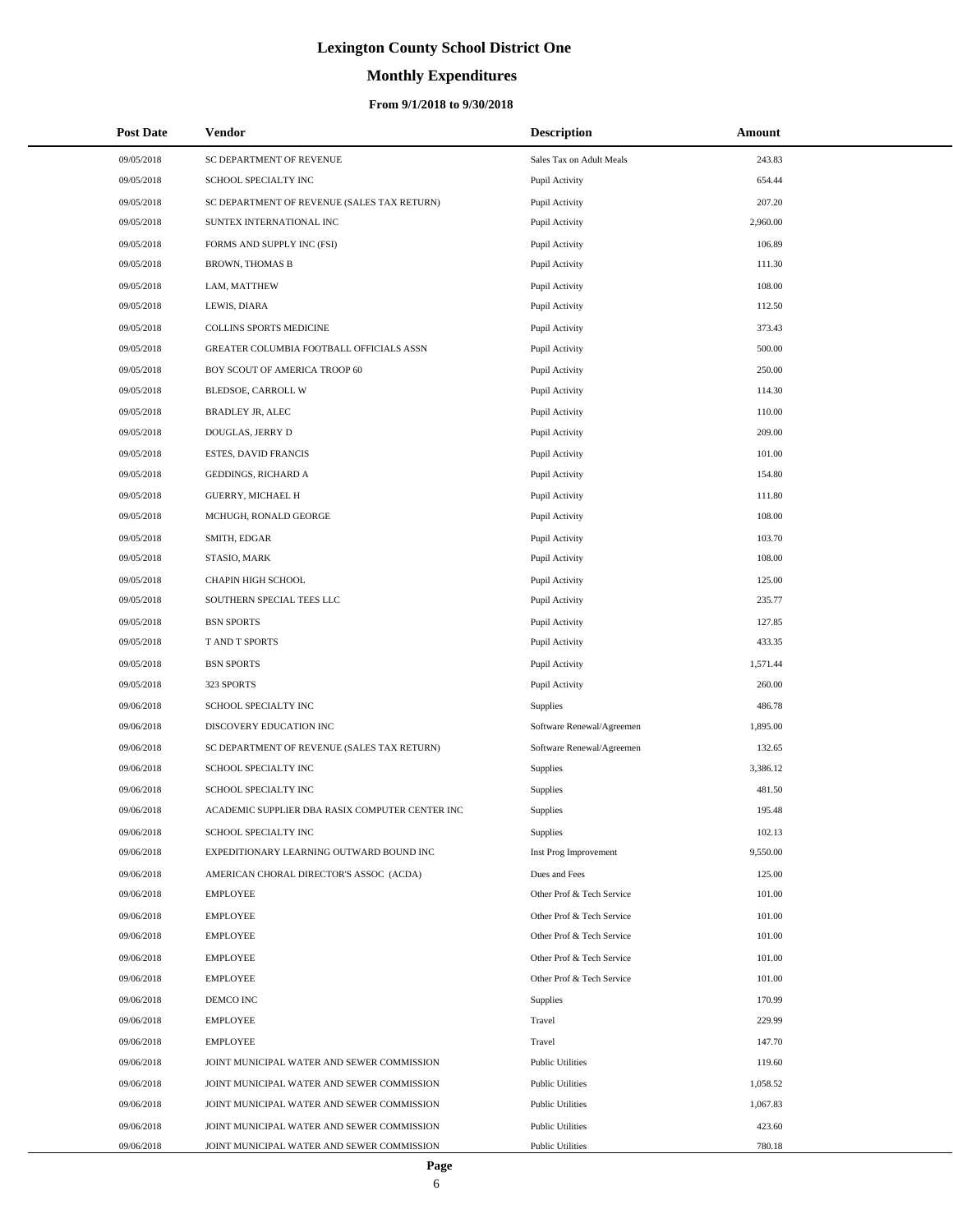# **Monthly Expenditures**

### **From 9/1/2018 to 9/30/2018**

| <b>Post Date</b> | Vendor                                          | <b>Description</b>        | Amount   |
|------------------|-------------------------------------------------|---------------------------|----------|
| 09/05/2018       | SC DEPARTMENT OF REVENUE                        | Sales Tax on Adult Meals  | 243.83   |
| 09/05/2018       | SCHOOL SPECIALTY INC                            | Pupil Activity            | 654.44   |
| 09/05/2018       | SC DEPARTMENT OF REVENUE (SALES TAX RETURN)     | Pupil Activity            | 207.20   |
| 09/05/2018       | SUNTEX INTERNATIONAL INC                        | Pupil Activity            | 2,960.00 |
| 09/05/2018       | FORMS AND SUPPLY INC (FSI)                      | Pupil Activity            | 106.89   |
| 09/05/2018       | <b>BROWN, THOMAS B</b>                          | Pupil Activity            | 111.30   |
| 09/05/2018       | LAM, MATTHEW                                    | Pupil Activity            | 108.00   |
| 09/05/2018       | LEWIS, DIARA                                    | Pupil Activity            | 112.50   |
| 09/05/2018       | <b>COLLINS SPORTS MEDICINE</b>                  | Pupil Activity            | 373.43   |
| 09/05/2018       | GREATER COLUMBIA FOOTBALL OFFICIALS ASSN        | Pupil Activity            | 500.00   |
| 09/05/2018       | BOY SCOUT OF AMERICA TROOP 60                   | Pupil Activity            | 250.00   |
| 09/05/2018       | BLEDSOE, CARROLL W                              | Pupil Activity            | 114.30   |
| 09/05/2018       | BRADLEY JR, ALEC                                | Pupil Activity            | 110.00   |
| 09/05/2018       | DOUGLAS, JERRY D                                | Pupil Activity            | 209.00   |
| 09/05/2018       | <b>ESTES, DAVID FRANCIS</b>                     | Pupil Activity            | 101.00   |
| 09/05/2018       | <b>GEDDINGS, RICHARD A</b>                      | Pupil Activity            | 154.80   |
| 09/05/2018       | <b>GUERRY, MICHAEL H</b>                        | Pupil Activity            | 111.80   |
| 09/05/2018       | MCHUGH, RONALD GEORGE                           | Pupil Activity            | 108.00   |
| 09/05/2018       | SMITH, EDGAR                                    | Pupil Activity            | 103.70   |
| 09/05/2018       | STASIO, MARK                                    | Pupil Activity            | 108.00   |
| 09/05/2018       | CHAPIN HIGH SCHOOL                              | Pupil Activity            | 125.00   |
| 09/05/2018       | SOUTHERN SPECIAL TEES LLC                       | Pupil Activity            | 235.77   |
| 09/05/2018       | <b>BSN SPORTS</b>                               | Pupil Activity            | 127.85   |
| 09/05/2018       | T AND T SPORTS                                  | Pupil Activity            | 433.35   |
| 09/05/2018       | <b>BSN SPORTS</b>                               | Pupil Activity            | 1,571.44 |
| 09/05/2018       | 323 SPORTS                                      | Pupil Activity            | 260.00   |
| 09/06/2018       | SCHOOL SPECIALTY INC                            | <b>Supplies</b>           | 486.78   |
| 09/06/2018       | DISCOVERY EDUCATION INC                         | Software Renewal/Agreemen | 1,895.00 |
| 09/06/2018       | SC DEPARTMENT OF REVENUE (SALES TAX RETURN)     | Software Renewal/Agreemen | 132.65   |
| 09/06/2018       | SCHOOL SPECIALTY INC                            | Supplies                  | 3,386.12 |
| 09/06/2018       | SCHOOL SPECIALTY INC                            | Supplies                  | 481.50   |
| 09/06/2018       | ACADEMIC SUPPLIER DBA RASIX COMPUTER CENTER INC | Supplies                  | 195.48   |
| 09/06/2018       | SCHOOL SPECIALTY INC                            | Supplies                  | 102.13   |
| 09/06/2018       | EXPEDITIONARY LEARNING OUTWARD BOUND INC        | Inst Prog Improvement     | 9,550.00 |
| 09/06/2018       | AMERICAN CHORAL DIRECTOR'S ASSOC (ACDA)         | Dues and Fees             | 125.00   |
| 09/06/2018       | <b>EMPLOYEE</b>                                 | Other Prof & Tech Service | 101.00   |
| 09/06/2018       | <b>EMPLOYEE</b>                                 | Other Prof & Tech Service | 101.00   |
| 09/06/2018       | <b>EMPLOYEE</b>                                 | Other Prof & Tech Service | 101.00   |
| 09/06/2018       | <b>EMPLOYEE</b>                                 | Other Prof & Tech Service | 101.00   |
| 09/06/2018       | <b>EMPLOYEE</b>                                 | Other Prof & Tech Service | 101.00   |
| 09/06/2018       | DEMCO INC                                       | <b>Supplies</b>           | 170.99   |
| 09/06/2018       | <b>EMPLOYEE</b>                                 | Travel                    | 229.99   |
| 09/06/2018       | <b>EMPLOYEE</b>                                 | Travel                    | 147.70   |
| 09/06/2018       | JOINT MUNICIPAL WATER AND SEWER COMMISSION      | <b>Public Utilities</b>   | 119.60   |
| 09/06/2018       | JOINT MUNICIPAL WATER AND SEWER COMMISSION      | <b>Public Utilities</b>   | 1,058.52 |
| 09/06/2018       | JOINT MUNICIPAL WATER AND SEWER COMMISSION      | <b>Public Utilities</b>   | 1,067.83 |
| 09/06/2018       | JOINT MUNICIPAL WATER AND SEWER COMMISSION      | <b>Public Utilities</b>   | 423.60   |
| 09/06/2018       | JOINT MUNICIPAL WATER AND SEWER COMMISSION      | <b>Public Utilities</b>   | 780.18   |

L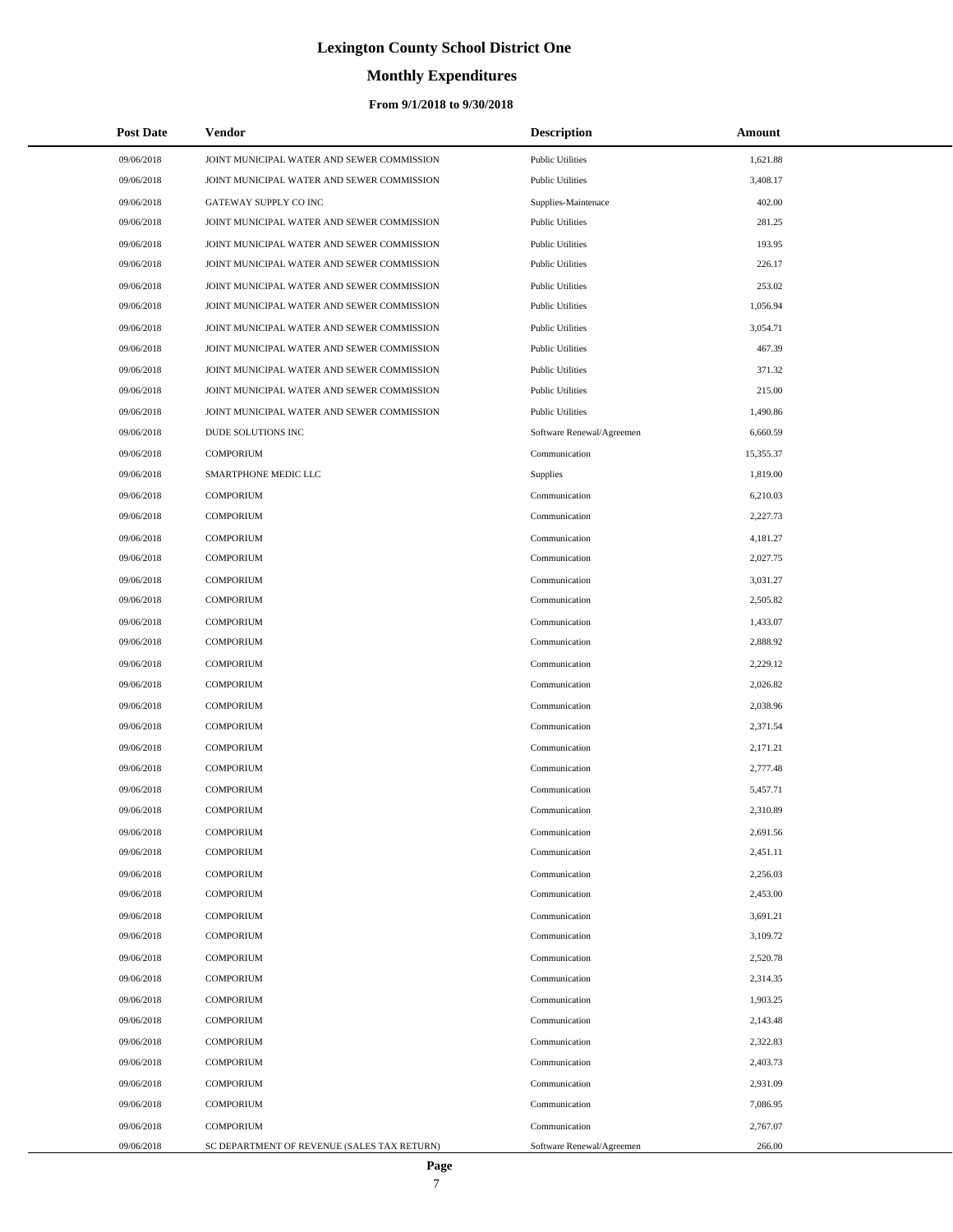### **Monthly Expenditures**

| <b>Post Date</b> | <b>Vendor</b>                               | <b>Description</b>        | Amount    |
|------------------|---------------------------------------------|---------------------------|-----------|
| 09/06/2018       | JOINT MUNICIPAL WATER AND SEWER COMMISSION  | <b>Public Utilities</b>   | 1,621.88  |
| 09/06/2018       | JOINT MUNICIPAL WATER AND SEWER COMMISSION  | <b>Public Utilities</b>   | 3,408.17  |
| 09/06/2018       | GATEWAY SUPPLY CO INC                       | Supplies-Maintenace       | 402.00    |
| 09/06/2018       | JOINT MUNICIPAL WATER AND SEWER COMMISSION  | <b>Public Utilities</b>   | 281.25    |
| 09/06/2018       | JOINT MUNICIPAL WATER AND SEWER COMMISSION  | <b>Public Utilities</b>   | 193.95    |
| 09/06/2018       | JOINT MUNICIPAL WATER AND SEWER COMMISSION  | <b>Public Utilities</b>   | 226.17    |
| 09/06/2018       | JOINT MUNICIPAL WATER AND SEWER COMMISSION  | <b>Public Utilities</b>   | 253.02    |
| 09/06/2018       | JOINT MUNICIPAL WATER AND SEWER COMMISSION  | <b>Public Utilities</b>   | 1,056.94  |
| 09/06/2018       | JOINT MUNICIPAL WATER AND SEWER COMMISSION  | <b>Public Utilities</b>   | 3,054.71  |
| 09/06/2018       | JOINT MUNICIPAL WATER AND SEWER COMMISSION  | <b>Public Utilities</b>   | 467.39    |
| 09/06/2018       | JOINT MUNICIPAL WATER AND SEWER COMMISSION  | <b>Public Utilities</b>   | 371.32    |
| 09/06/2018       | JOINT MUNICIPAL WATER AND SEWER COMMISSION  | <b>Public Utilities</b>   | 215.00    |
| 09/06/2018       | JOINT MUNICIPAL WATER AND SEWER COMMISSION  | <b>Public Utilities</b>   | 1,490.86  |
| 09/06/2018       | DUDE SOLUTIONS INC                          | Software Renewal/Agreemen | 6,660.59  |
| 09/06/2018       | <b>COMPORIUM</b>                            | Communication             | 15,355.37 |
| 09/06/2018       | SMARTPHONE MEDIC LLC                        | Supplies                  | 1,819.00  |
| 09/06/2018       | <b>COMPORIUM</b>                            | Communication             | 6,210.03  |
| 09/06/2018       | <b>COMPORIUM</b>                            | Communication             | 2,227.73  |
| 09/06/2018       | <b>COMPORIUM</b>                            | Communication             | 4,181.27  |
| 09/06/2018       | <b>COMPORIUM</b>                            | Communication             | 2,027.75  |
| 09/06/2018       | <b>COMPORIUM</b>                            | Communication             | 3,031.27  |
| 09/06/2018       | <b>COMPORIUM</b>                            | Communication             | 2,505.82  |
| 09/06/2018       | <b>COMPORIUM</b>                            | Communication             | 1,433.07  |
| 09/06/2018       | <b>COMPORIUM</b>                            | Communication             | 2,888.92  |
| 09/06/2018       | <b>COMPORIUM</b>                            | Communication             | 2,229.12  |
| 09/06/2018       | <b>COMPORIUM</b>                            | Communication             | 2,026.82  |
| 09/06/2018       | <b>COMPORIUM</b>                            | Communication             | 2,038.96  |
| 09/06/2018       | <b>COMPORIUM</b>                            | Communication             | 2,371.54  |
| 09/06/2018       | <b>COMPORIUM</b>                            | Communication             | 2,171.21  |
| 09/06/2018       | <b>COMPORIUM</b>                            | Communication             | 2,777.48  |
| 09/06/2018       | <b>COMPORIUM</b>                            | Communication             | 5,457.71  |
| 09/06/2018       | <b>COMPORIUM</b>                            | Communication             | 2,310.89  |
| 09/06/2018       | <b>COMPORIUM</b>                            | Communication             | 2,691.56  |
| 09/06/2018       | <b>COMPORIUM</b>                            | Communication             | 2,451.11  |
| 09/06/2018       | <b>COMPORIUM</b>                            | Communication             | 2,256.03  |
| 09/06/2018       | <b>COMPORIUM</b>                            | Communication             | 2,453.00  |
| 09/06/2018       | <b>COMPORIUM</b>                            | Communication             | 3,691.21  |
| 09/06/2018       | <b>COMPORIUM</b>                            | Communication             | 3,109.72  |
| 09/06/2018       | <b>COMPORIUM</b>                            | Communication             | 2,520.78  |
| 09/06/2018       | <b>COMPORIUM</b>                            | Communication             | 2,314.35  |
| 09/06/2018       | <b>COMPORIUM</b>                            | Communication             | 1,903.25  |
| 09/06/2018       | <b>COMPORIUM</b>                            | Communication             | 2,143.48  |
| 09/06/2018       | <b>COMPORIUM</b>                            | Communication             | 2,322.83  |
| 09/06/2018       | <b>COMPORIUM</b>                            | Communication             | 2,403.73  |
| 09/06/2018       | <b>COMPORIUM</b>                            | Communication             | 2,931.09  |
| 09/06/2018       | <b>COMPORIUM</b>                            | Communication             | 7,086.95  |
| 09/06/2018       | <b>COMPORIUM</b>                            | Communication             | 2,767.07  |
| 09/06/2018       | SC DEPARTMENT OF REVENUE (SALES TAX RETURN) | Software Renewal/Agreemen | 266.00    |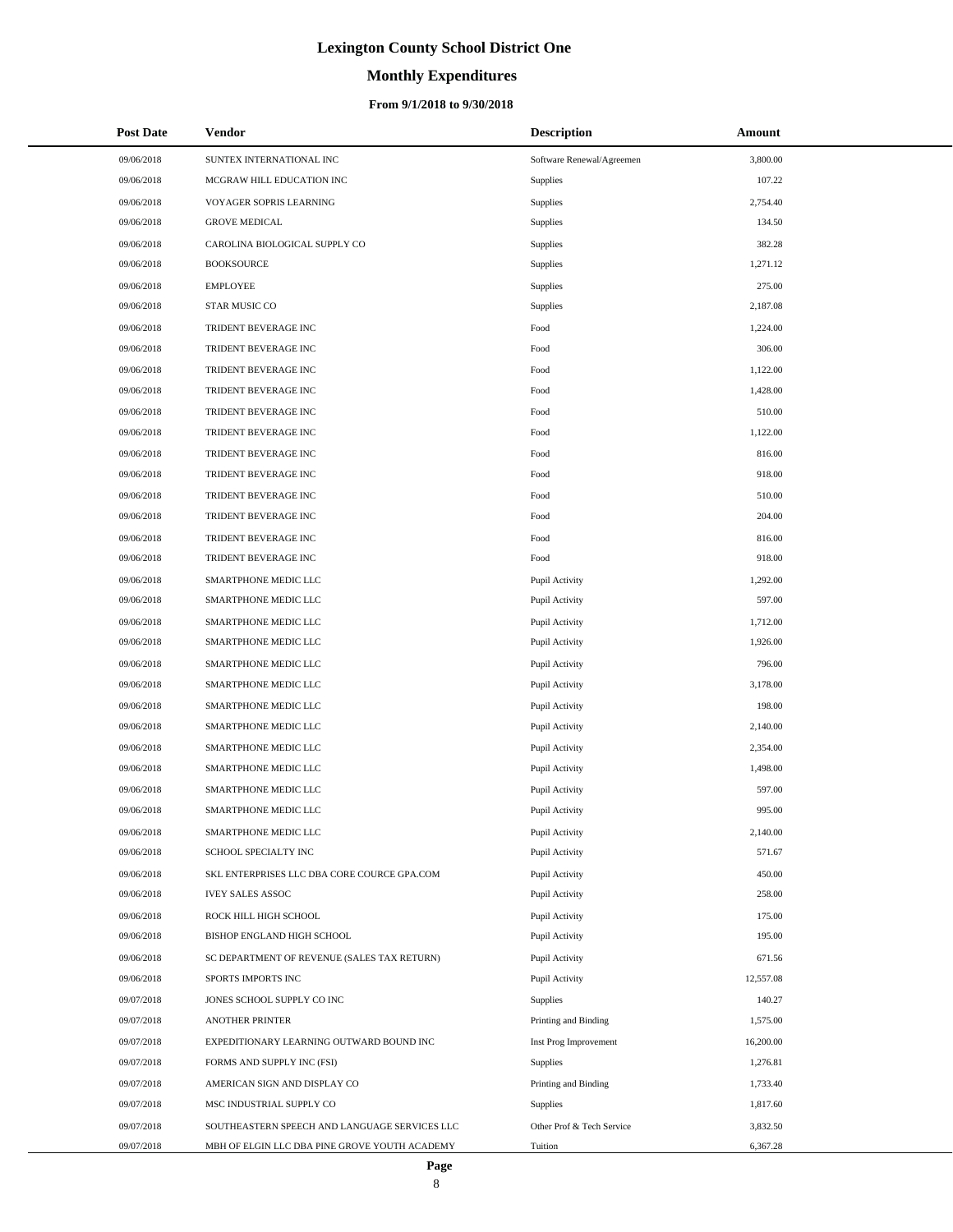# **Monthly Expenditures**

### **From 9/1/2018 to 9/30/2018**

| <b>Post Date</b> | Vendor                                        | <b>Description</b>        | Amount    |
|------------------|-----------------------------------------------|---------------------------|-----------|
| 09/06/2018       | SUNTEX INTERNATIONAL INC                      | Software Renewal/Agreemen | 3,800.00  |
| 09/06/2018       | MCGRAW HILL EDUCATION INC                     | <b>Supplies</b>           | 107.22    |
| 09/06/2018       | VOYAGER SOPRIS LEARNING                       | Supplies                  | 2,754.40  |
| 09/06/2018       | <b>GROVE MEDICAL</b>                          | Supplies                  | 134.50    |
| 09/06/2018       | CAROLINA BIOLOGICAL SUPPLY CO                 | Supplies                  | 382.28    |
| 09/06/2018       | <b>BOOKSOURCE</b>                             | Supplies                  | 1,271.12  |
| 09/06/2018       | <b>EMPLOYEE</b>                               | Supplies                  | 275.00    |
| 09/06/2018       | STAR MUSIC CO                                 | Supplies                  | 2,187.08  |
| 09/06/2018       | TRIDENT BEVERAGE INC                          | Food                      | 1,224.00  |
| 09/06/2018       | TRIDENT BEVERAGE INC                          | Food                      | 306.00    |
| 09/06/2018       | TRIDENT BEVERAGE INC                          | Food                      | 1,122.00  |
| 09/06/2018       | TRIDENT BEVERAGE INC                          | Food                      | 1,428.00  |
| 09/06/2018       | TRIDENT BEVERAGE INC                          | Food                      | 510.00    |
| 09/06/2018       | TRIDENT BEVERAGE INC                          | Food                      | 1,122.00  |
| 09/06/2018       | TRIDENT BEVERAGE INC                          | Food                      | 816.00    |
| 09/06/2018       | TRIDENT BEVERAGE INC                          | Food                      | 918.00    |
| 09/06/2018       | TRIDENT BEVERAGE INC                          | Food                      | 510.00    |
| 09/06/2018       | TRIDENT BEVERAGE INC                          | Food                      | 204.00    |
| 09/06/2018       | TRIDENT BEVERAGE INC                          | Food                      | 816.00    |
| 09/06/2018       | TRIDENT BEVERAGE INC                          | Food                      | 918.00    |
| 09/06/2018       | SMARTPHONE MEDIC LLC                          | Pupil Activity            | 1,292.00  |
| 09/06/2018       | SMARTPHONE MEDIC LLC                          | Pupil Activity            | 597.00    |
| 09/06/2018       | SMARTPHONE MEDIC LLC                          | Pupil Activity            | 1,712.00  |
| 09/06/2018       | SMARTPHONE MEDIC LLC                          | Pupil Activity            | 1,926.00  |
| 09/06/2018       | SMARTPHONE MEDIC LLC                          | Pupil Activity            | 796.00    |
| 09/06/2018       | SMARTPHONE MEDIC LLC                          | Pupil Activity            | 3,178.00  |
| 09/06/2018       | SMARTPHONE MEDIC LLC                          | Pupil Activity            | 198.00    |
| 09/06/2018       | SMARTPHONE MEDIC LLC                          | Pupil Activity            | 2,140.00  |
| 09/06/2018       | SMARTPHONE MEDIC LLC                          | Pupil Activity            | 2,354.00  |
| 09/06/2018       | SMARTPHONE MEDIC LLC                          | Pupil Activity            | 1,498.00  |
| 09/06/2018       | SMARTPHONE MEDIC LLC                          | Pupil Activity            | 597.00    |
| 09/06/2018       | SMARTPHONE MEDIC LLC                          | Pupil Activity            | 995.00    |
| 09/06/2018       | SMARTPHONE MEDIC LLC                          | Pupil Activity            | 2,140.00  |
| 09/06/2018       | SCHOOL SPECIALTY INC                          | Pupil Activity            | 571.67    |
| 09/06/2018       | SKL ENTERPRISES LLC DBA CORE COURCE GPA.COM   | Pupil Activity            | 450.00    |
| 09/06/2018       | <b>IVEY SALES ASSOC</b>                       | Pupil Activity            | 258.00    |
| 09/06/2018       | ROCK HILL HIGH SCHOOL                         | Pupil Activity            | 175.00    |
| 09/06/2018       | BISHOP ENGLAND HIGH SCHOOL                    | Pupil Activity            | 195.00    |
| 09/06/2018       | SC DEPARTMENT OF REVENUE (SALES TAX RETURN)   | Pupil Activity            | 671.56    |
| 09/06/2018       | SPORTS IMPORTS INC                            | Pupil Activity            | 12,557.08 |
| 09/07/2018       | JONES SCHOOL SUPPLY CO INC                    | Supplies                  | 140.27    |
| 09/07/2018       | <b>ANOTHER PRINTER</b>                        | Printing and Binding      | 1,575.00  |
| 09/07/2018       | EXPEDITIONARY LEARNING OUTWARD BOUND INC      | Inst Prog Improvement     | 16,200.00 |
| 09/07/2018       | FORMS AND SUPPLY INC (FSI)                    | Supplies                  | 1,276.81  |
| 09/07/2018       | AMERICAN SIGN AND DISPLAY CO                  | Printing and Binding      | 1,733.40  |
| 09/07/2018       | MSC INDUSTRIAL SUPPLY CO                      | Supplies                  | 1,817.60  |
| 09/07/2018       | SOUTHEASTERN SPEECH AND LANGUAGE SERVICES LLC | Other Prof & Tech Service | 3,832.50  |
| 09/07/2018       | MBH OF ELGIN LLC DBA PINE GROVE YOUTH ACADEMY | Tuition                   | 6,367.28  |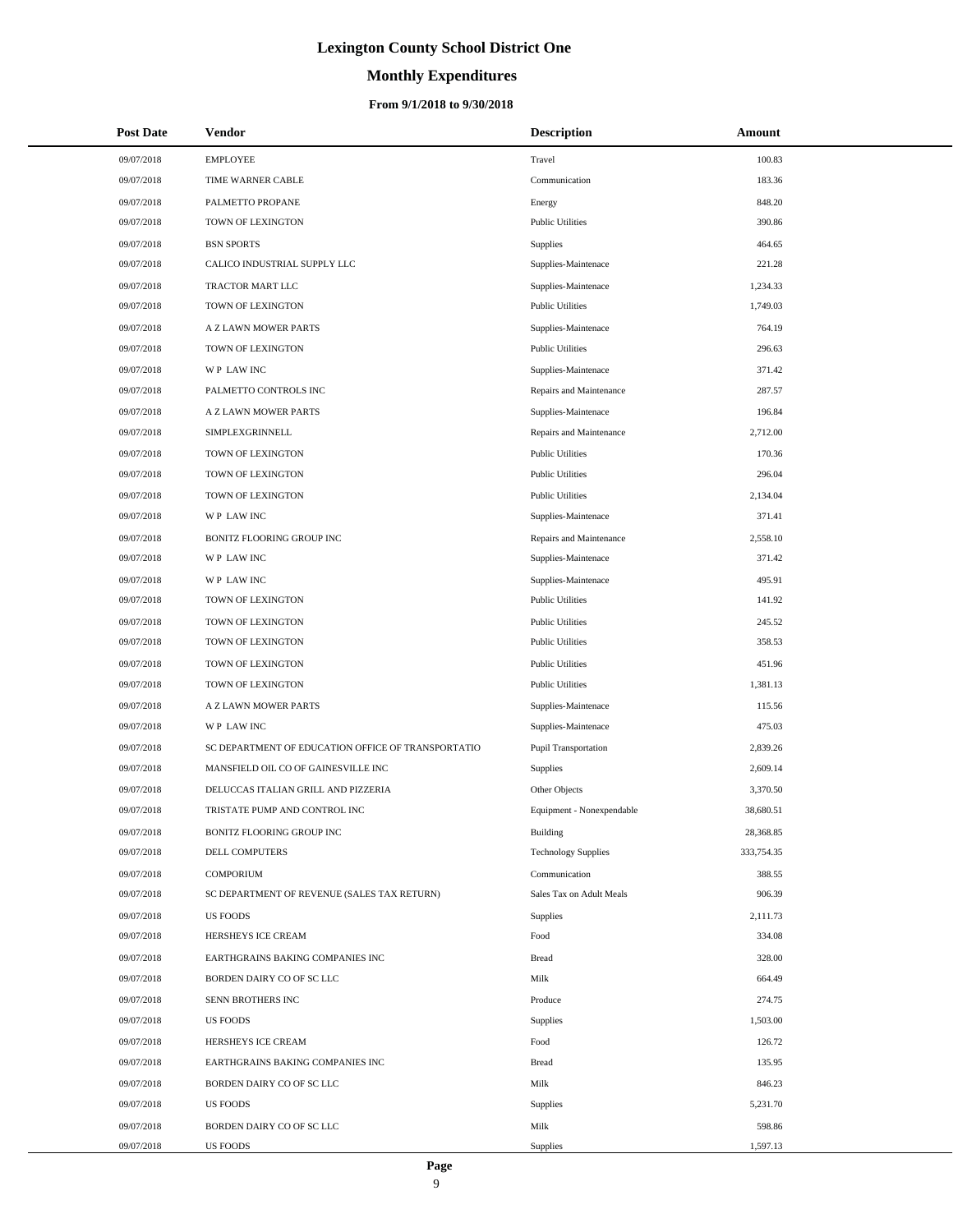# **Monthly Expenditures**

| <b>Post Date</b> | Vendor                                             | <b>Description</b>          | Amount     |
|------------------|----------------------------------------------------|-----------------------------|------------|
| 09/07/2018       | <b>EMPLOYEE</b>                                    | Travel                      | 100.83     |
| 09/07/2018       | TIME WARNER CABLE                                  | Communication               | 183.36     |
| 09/07/2018       | PALMETTO PROPANE                                   | Energy                      | 848.20     |
| 09/07/2018       | <b>TOWN OF LEXINGTON</b>                           | <b>Public Utilities</b>     | 390.86     |
| 09/07/2018       | <b>BSN SPORTS</b>                                  | <b>Supplies</b>             | 464.65     |
| 09/07/2018       | CALICO INDUSTRIAL SUPPLY LLC                       | Supplies-Maintenace         | 221.28     |
| 09/07/2018       | TRACTOR MART LLC                                   | Supplies-Maintenace         | 1,234.33   |
| 09/07/2018       | <b>TOWN OF LEXINGTON</b>                           | <b>Public Utilities</b>     | 1,749.03   |
| 09/07/2018       | A Z LAWN MOWER PARTS                               | Supplies-Maintenace         | 764.19     |
| 09/07/2018       | TOWN OF LEXINGTON                                  | <b>Public Utilities</b>     | 296.63     |
| 09/07/2018       | WP LAW INC                                         | Supplies-Maintenace         | 371.42     |
| 09/07/2018       | PALMETTO CONTROLS INC                              | Repairs and Maintenance     | 287.57     |
| 09/07/2018       | A Z LAWN MOWER PARTS                               | Supplies-Maintenace         | 196.84     |
| 09/07/2018       | SIMPLEXGRINNELL                                    | Repairs and Maintenance     | 2,712.00   |
| 09/07/2018       | TOWN OF LEXINGTON                                  | <b>Public Utilities</b>     | 170.36     |
| 09/07/2018       | TOWN OF LEXINGTON                                  | <b>Public Utilities</b>     | 296.04     |
| 09/07/2018       | TOWN OF LEXINGTON                                  | <b>Public Utilities</b>     | 2,134.04   |
| 09/07/2018       | WP LAW INC                                         | Supplies-Maintenace         | 371.41     |
| 09/07/2018       | BONITZ FLOORING GROUP INC                          | Repairs and Maintenance     | 2,558.10   |
| 09/07/2018       | WP LAW INC                                         | Supplies-Maintenace         | 371.42     |
| 09/07/2018       | WP LAW INC                                         | Supplies-Maintenace         | 495.91     |
| 09/07/2018       | TOWN OF LEXINGTON                                  | <b>Public Utilities</b>     | 141.92     |
| 09/07/2018       | TOWN OF LEXINGTON                                  | <b>Public Utilities</b>     | 245.52     |
| 09/07/2018       | TOWN OF LEXINGTON                                  | <b>Public Utilities</b>     | 358.53     |
| 09/07/2018       | TOWN OF LEXINGTON                                  | <b>Public Utilities</b>     | 451.96     |
| 09/07/2018       | TOWN OF LEXINGTON                                  | <b>Public Utilities</b>     | 1,381.13   |
| 09/07/2018       | A Z LAWN MOWER PARTS                               | Supplies-Maintenace         | 115.56     |
| 09/07/2018       | <b>WP LAWINC</b>                                   | Supplies-Maintenace         | 475.03     |
| 09/07/2018       | SC DEPARTMENT OF EDUCATION OFFICE OF TRANSPORTATIO | <b>Pupil Transportation</b> | 2,839.26   |
| 09/07/2018       | MANSFIELD OIL CO OF GAINESVILLE INC                | Supplies                    | 2,609.14   |
| 09/07/2018       | DELUCCAS ITALIAN GRILL AND PIZZERIA                | Other Objects               | 3,370.50   |
| 09/07/2018       | TRISTATE PUMP AND CONTROL INC                      | Equipment - Nonexpendable   | 38,680.51  |
| 09/07/2018       | BONITZ FLOORING GROUP INC                          | Building                    | 28,368.85  |
| 09/07/2018       | DELL COMPUTERS                                     | <b>Technology Supplies</b>  | 333,754.35 |
| 09/07/2018       | <b>COMPORIUM</b>                                   | Communication               | 388.55     |
| 09/07/2018       | SC DEPARTMENT OF REVENUE (SALES TAX RETURN)        | Sales Tax on Adult Meals    | 906.39     |
| 09/07/2018       | <b>US FOODS</b>                                    | <b>Supplies</b>             | 2,111.73   |
| 09/07/2018       | HERSHEYS ICE CREAM                                 | Food                        | 334.08     |
| 09/07/2018       | EARTHGRAINS BAKING COMPANIES INC                   | Bread                       | 328.00     |
| 09/07/2018       | BORDEN DAIRY CO OF SC LLC                          | Milk                        | 664.49     |
| 09/07/2018       | SENN BROTHERS INC                                  | Produce                     | 274.75     |
| 09/07/2018       | <b>US FOODS</b>                                    | <b>Supplies</b>             | 1,503.00   |
| 09/07/2018       | HERSHEYS ICE CREAM                                 | Food                        | 126.72     |
| 09/07/2018       | EARTHGRAINS BAKING COMPANIES INC                   | Bread                       | 135.95     |
| 09/07/2018       | BORDEN DAIRY CO OF SC LLC                          | Milk                        | 846.23     |
| 09/07/2018       | <b>US FOODS</b>                                    | <b>Supplies</b>             | 5,231.70   |
| 09/07/2018       | BORDEN DAIRY CO OF SC LLC                          | Milk                        | 598.86     |
| 09/07/2018       | <b>US FOODS</b>                                    | Supplies                    | 1,597.13   |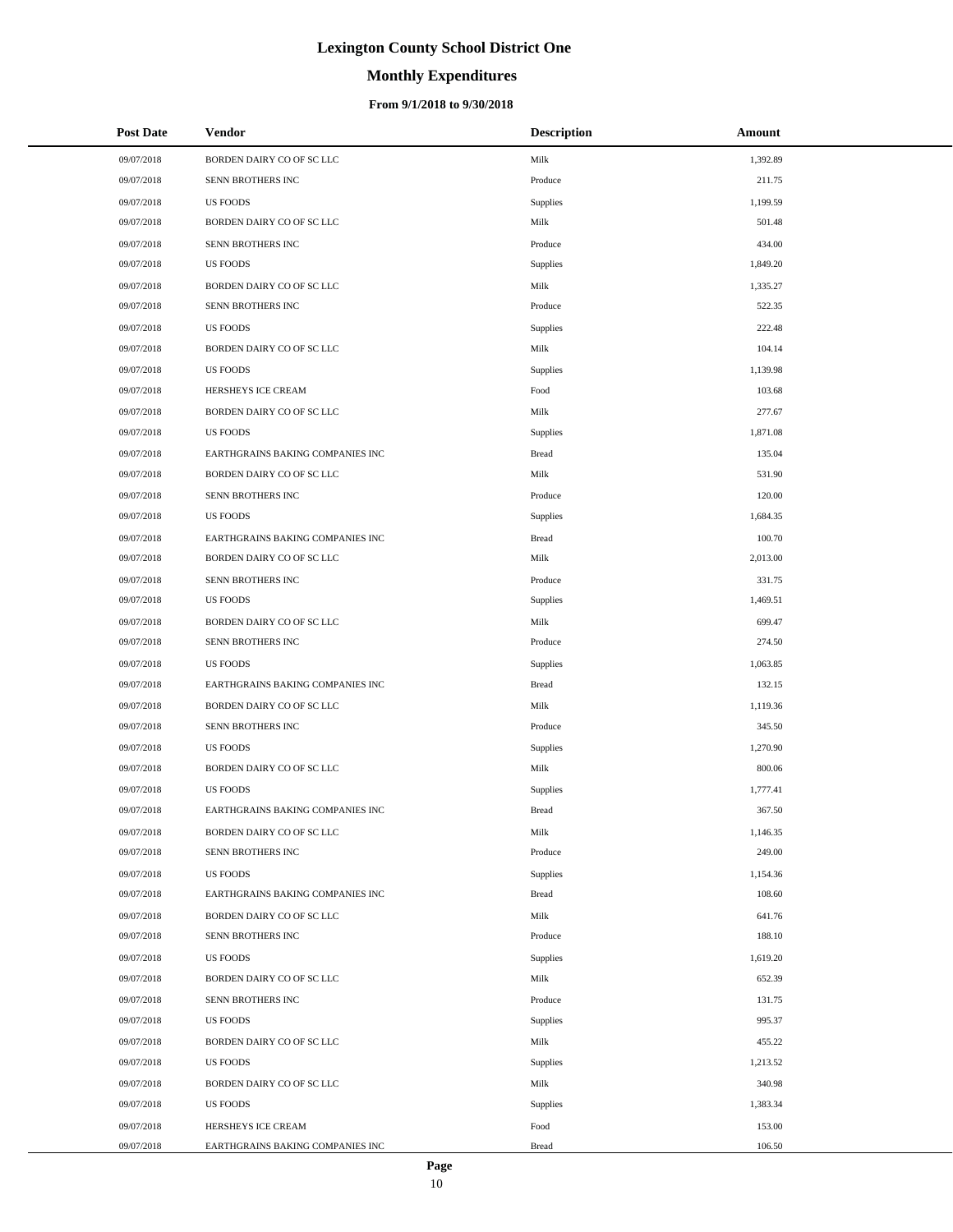# **Monthly Expenditures**

### **From 9/1/2018 to 9/30/2018**

| <b>Post Date</b> | <b>Vendor</b>                    | <b>Description</b> | Amount   |
|------------------|----------------------------------|--------------------|----------|
| 09/07/2018       | BORDEN DAIRY CO OF SC LLC        | Milk               | 1,392.89 |
| 09/07/2018       | <b>SENN BROTHERS INC</b>         | Produce            | 211.75   |
| 09/07/2018       | <b>US FOODS</b>                  | Supplies           | 1,199.59 |
| 09/07/2018       | BORDEN DAIRY CO OF SC LLC        | Milk               | 501.48   |
| 09/07/2018       | SENN BROTHERS INC                | Produce            | 434.00   |
| 09/07/2018       | <b>US FOODS</b>                  | Supplies           | 1,849.20 |
| 09/07/2018       | BORDEN DAIRY CO OF SC LLC        | Milk               | 1,335.27 |
| 09/07/2018       | SENN BROTHERS INC                | Produce            | 522.35   |
| 09/07/2018       | <b>US FOODS</b>                  | <b>Supplies</b>    | 222.48   |
| 09/07/2018       | BORDEN DAIRY CO OF SC LLC        | Milk               | 104.14   |
| 09/07/2018       | <b>US FOODS</b>                  | Supplies           | 1,139.98 |
| 09/07/2018       | HERSHEYS ICE CREAM               | Food               | 103.68   |
| 09/07/2018       | BORDEN DAIRY CO OF SC LLC        | Milk               | 277.67   |
| 09/07/2018       | <b>US FOODS</b>                  | Supplies           | 1,871.08 |
| 09/07/2018       | EARTHGRAINS BAKING COMPANIES INC | <b>Bread</b>       | 135.04   |
| 09/07/2018       | BORDEN DAIRY CO OF SC LLC        | Milk               | 531.90   |
| 09/07/2018       | SENN BROTHERS INC                | Produce            | 120.00   |
| 09/07/2018       | <b>US FOODS</b>                  | Supplies           | 1,684.35 |
| 09/07/2018       | EARTHGRAINS BAKING COMPANIES INC | <b>Bread</b>       | 100.70   |
| 09/07/2018       | BORDEN DAIRY CO OF SC LLC        | Milk               | 2,013.00 |
| 09/07/2018       | SENN BROTHERS INC                | Produce            | 331.75   |
| 09/07/2018       | <b>US FOODS</b>                  | Supplies           | 1,469.51 |
| 09/07/2018       | BORDEN DAIRY CO OF SC LLC        | Milk               | 699.47   |
| 09/07/2018       | SENN BROTHERS INC                | Produce            | 274.50   |
| 09/07/2018       | <b>US FOODS</b>                  | Supplies           | 1,063.85 |
| 09/07/2018       | EARTHGRAINS BAKING COMPANIES INC | <b>Bread</b>       | 132.15   |
| 09/07/2018       | BORDEN DAIRY CO OF SC LLC        | Milk               | 1,119.36 |
| 09/07/2018       | SENN BROTHERS INC                | Produce            | 345.50   |
| 09/07/2018       | <b>US FOODS</b>                  | Supplies           | 1,270.90 |
| 09/07/2018       | BORDEN DAIRY CO OF SC LLC        | Milk               | 800.06   |
| 09/07/2018       | <b>US FOODS</b>                  | Supplies           | 1,777.41 |
| 09/07/2018       | EARTHGRAINS BAKING COMPANIES INC | <b>Bread</b>       | 367.50   |
| 09/07/2018       | BORDEN DAIRY CO OF SC LLC        | Milk               | 1,146.35 |
| 09/07/2018       | SENN BROTHERS INC                | Produce            | 249.00   |
| 09/07/2018       | <b>US FOODS</b>                  | Supplies           | 1,154.36 |
| 09/07/2018       | EARTHGRAINS BAKING COMPANIES INC | <b>Bread</b>       | 108.60   |
| 09/07/2018       | BORDEN DAIRY CO OF SC LLC        | Milk               | 641.76   |
| 09/07/2018       | SENN BROTHERS INC                | Produce            | 188.10   |
| 09/07/2018       | <b>US FOODS</b>                  | Supplies           | 1,619.20 |
| 09/07/2018       | BORDEN DAIRY CO OF SC LLC        | Milk               | 652.39   |
| 09/07/2018       | SENN BROTHERS INC                | Produce            | 131.75   |
| 09/07/2018       | <b>US FOODS</b>                  | Supplies           | 995.37   |
| 09/07/2018       | BORDEN DAIRY CO OF SC LLC        | Milk               | 455.22   |
| 09/07/2018       | <b>US FOODS</b>                  | Supplies           | 1,213.52 |
| 09/07/2018       | BORDEN DAIRY CO OF SC LLC        | Milk               | 340.98   |
| 09/07/2018       | <b>US FOODS</b>                  | Supplies           | 1,383.34 |
| 09/07/2018       | HERSHEYS ICE CREAM               | Food               | 153.00   |
| 09/07/2018       | EARTHGRAINS BAKING COMPANIES INC | <b>Bread</b>       | 106.50   |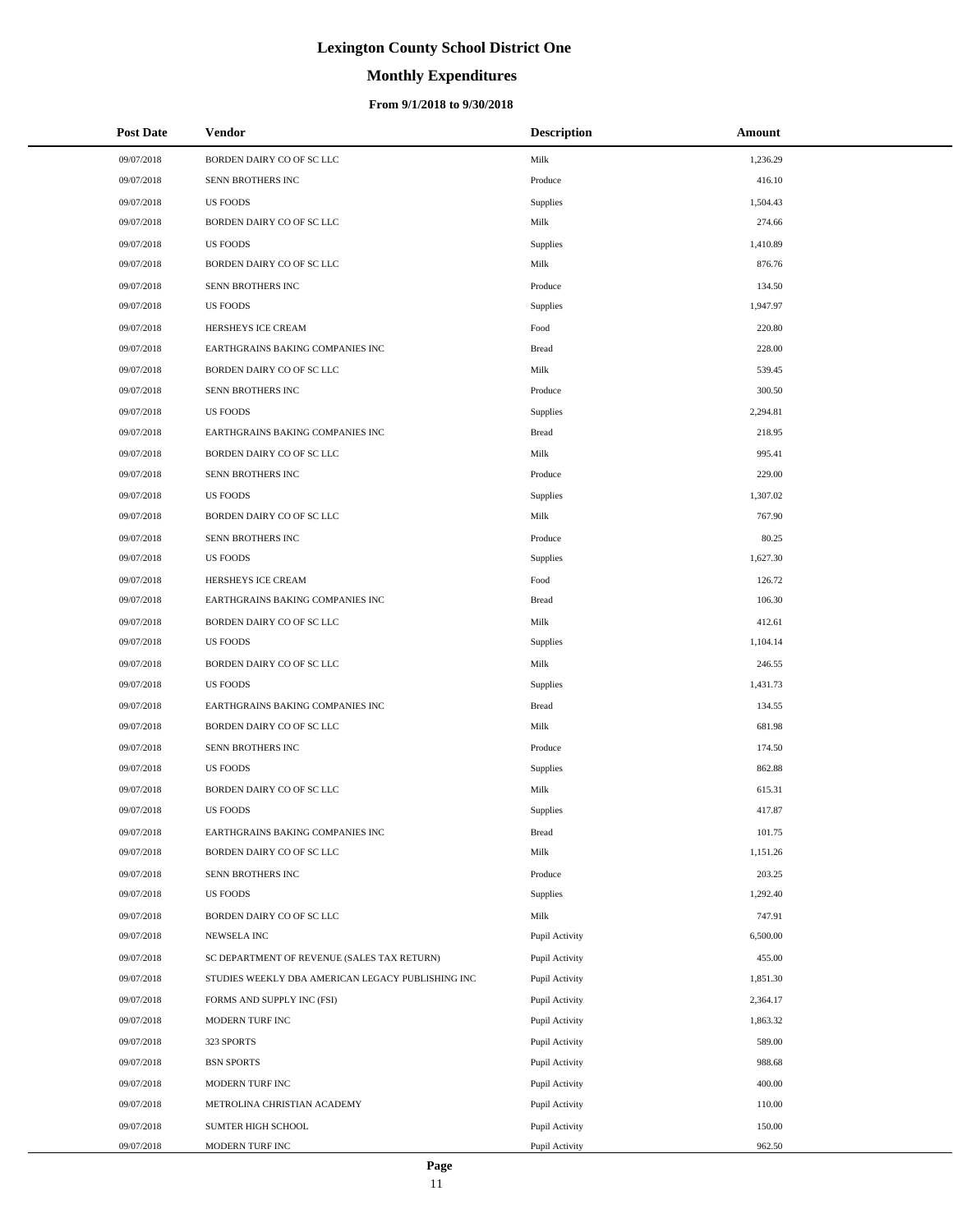# **Monthly Expenditures**

### **From 9/1/2018 to 9/30/2018**

| <b>Post Date</b> | <b>Vendor</b>                                     | <b>Description</b> | Amount   |
|------------------|---------------------------------------------------|--------------------|----------|
| 09/07/2018       | BORDEN DAIRY CO OF SC LLC                         | Milk               | 1,236.29 |
| 09/07/2018       | SENN BROTHERS INC                                 | Produce            | 416.10   |
| 09/07/2018       | <b>US FOODS</b>                                   | Supplies           | 1,504.43 |
| 09/07/2018       | BORDEN DAIRY CO OF SC LLC                         | Milk               | 274.66   |
| 09/07/2018       | <b>US FOODS</b>                                   | Supplies           | 1,410.89 |
| 09/07/2018       | BORDEN DAIRY CO OF SC LLC                         | Milk               | 876.76   |
| 09/07/2018       | SENN BROTHERS INC                                 | Produce            | 134.50   |
| 09/07/2018       | <b>US FOODS</b>                                   | Supplies           | 1,947.97 |
| 09/07/2018       | HERSHEYS ICE CREAM                                | Food               | 220.80   |
| 09/07/2018       | EARTHGRAINS BAKING COMPANIES INC                  | <b>Bread</b>       | 228.00   |
| 09/07/2018       | BORDEN DAIRY CO OF SC LLC                         | Milk               | 539.45   |
| 09/07/2018       | SENN BROTHERS INC                                 | Produce            | 300.50   |
| 09/07/2018       | <b>US FOODS</b>                                   | Supplies           | 2,294.81 |
| 09/07/2018       | EARTHGRAINS BAKING COMPANIES INC                  | <b>Bread</b>       | 218.95   |
| 09/07/2018       | BORDEN DAIRY CO OF SC LLC                         | Milk               | 995.41   |
| 09/07/2018       | SENN BROTHERS INC                                 | Produce            | 229.00   |
| 09/07/2018       | <b>US FOODS</b>                                   | Supplies           | 1,307.02 |
| 09/07/2018       | BORDEN DAIRY CO OF SC LLC                         | Milk               | 767.90   |
| 09/07/2018       | SENN BROTHERS INC                                 | Produce            | 80.25    |
| 09/07/2018       | <b>US FOODS</b>                                   | Supplies           | 1,627.30 |
| 09/07/2018       | HERSHEYS ICE CREAM                                | Food               | 126.72   |
| 09/07/2018       | EARTHGRAINS BAKING COMPANIES INC                  | <b>Bread</b>       | 106.30   |
| 09/07/2018       | BORDEN DAIRY CO OF SC LLC                         | Milk               | 412.61   |
| 09/07/2018       | <b>US FOODS</b>                                   | Supplies           | 1,104.14 |
| 09/07/2018       | BORDEN DAIRY CO OF SC LLC                         | Milk               | 246.55   |
| 09/07/2018       | <b>US FOODS</b>                                   | Supplies           | 1,431.73 |
| 09/07/2018       | EARTHGRAINS BAKING COMPANIES INC                  | <b>Bread</b>       | 134.55   |
| 09/07/2018       | BORDEN DAIRY CO OF SC LLC                         | Milk               | 681.98   |
| 09/07/2018       | SENN BROTHERS INC                                 | Produce            | 174.50   |
| 09/07/2018       | <b>US FOODS</b>                                   | Supplies           | 862.88   |
| 09/07/2018       | BORDEN DAIRY CO OF SC LLC                         | Milk               | 615.31   |
| 09/07/2018       | <b>US FOODS</b>                                   | Supplies           | 417.87   |
| 09/07/2018       | EARTHGRAINS BAKING COMPANIES INC                  | Bread              | 101.75   |
| 09/07/2018       | BORDEN DAIRY CO OF SC LLC                         | Milk               | 1,151.26 |
| 09/07/2018       | SENN BROTHERS INC                                 | Produce            | 203.25   |
| 09/07/2018       | <b>US FOODS</b>                                   | Supplies           | 1,292.40 |
| 09/07/2018       | BORDEN DAIRY CO OF SC LLC                         | Milk               | 747.91   |
| 09/07/2018       | NEWSELA INC                                       | Pupil Activity     | 6,500.00 |
| 09/07/2018       | SC DEPARTMENT OF REVENUE (SALES TAX RETURN)       | Pupil Activity     | 455.00   |
| 09/07/2018       | STUDIES WEEKLY DBA AMERICAN LEGACY PUBLISHING INC | Pupil Activity     | 1,851.30 |
| 09/07/2018       | FORMS AND SUPPLY INC (FSI)                        | Pupil Activity     | 2,364.17 |
| 09/07/2018       | MODERN TURF INC                                   | Pupil Activity     | 1,863.32 |
| 09/07/2018       | 323 SPORTS                                        | Pupil Activity     | 589.00   |
| 09/07/2018       | <b>BSN SPORTS</b>                                 | Pupil Activity     | 988.68   |
| 09/07/2018       | MODERN TURF INC                                   | Pupil Activity     | 400.00   |
| 09/07/2018       | METROLINA CHRISTIAN ACADEMY                       | Pupil Activity     | 110.00   |
| 09/07/2018       | SUMTER HIGH SCHOOL                                | Pupil Activity     | 150.00   |
| 09/07/2018       | MODERN TURF INC                                   | Pupil Activity     | 962.50   |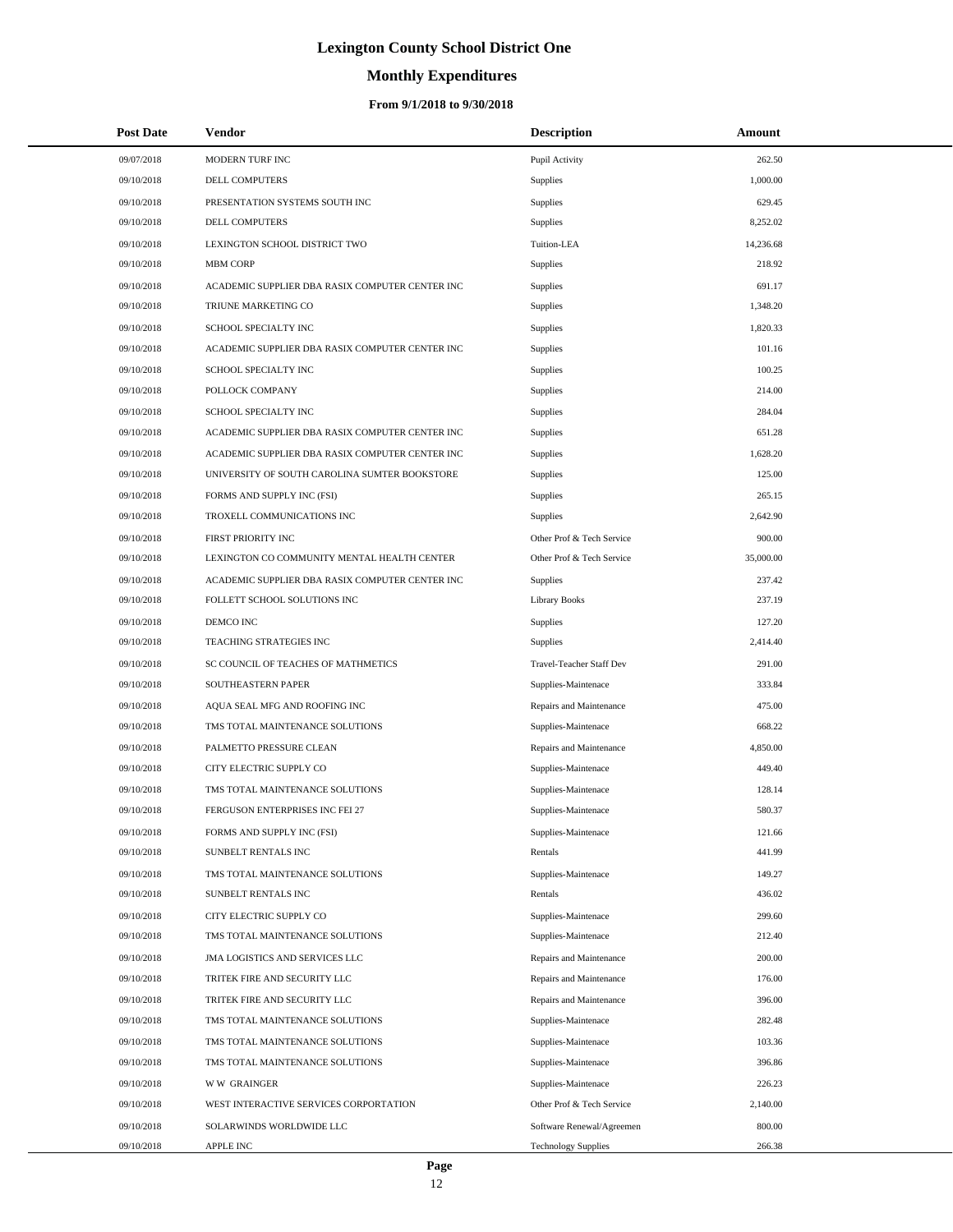# **Monthly Expenditures**

| <b>Post Date</b> | Vendor                                          | <b>Description</b>         | Amount    |
|------------------|-------------------------------------------------|----------------------------|-----------|
| 09/07/2018       | MODERN TURF INC                                 | Pupil Activity             | 262.50    |
| 09/10/2018       | DELL COMPUTERS                                  | Supplies                   | 1,000.00  |
| 09/10/2018       | PRESENTATION SYSTEMS SOUTH INC                  | Supplies                   | 629.45    |
| 09/10/2018       | DELL COMPUTERS                                  | Supplies                   | 8,252.02  |
| 09/10/2018       | LEXINGTON SCHOOL DISTRICT TWO                   | Tuition-LEA                | 14,236.68 |
| 09/10/2018       | <b>MBM CORP</b>                                 | Supplies                   | 218.92    |
| 09/10/2018       | ACADEMIC SUPPLIER DBA RASIX COMPUTER CENTER INC | Supplies                   | 691.17    |
| 09/10/2018       | TRIUNE MARKETING CO                             | Supplies                   | 1,348.20  |
| 09/10/2018       | SCHOOL SPECIALTY INC                            | Supplies                   | 1,820.33  |
| 09/10/2018       | ACADEMIC SUPPLIER DBA RASIX COMPUTER CENTER INC | Supplies                   | 101.16    |
| 09/10/2018       | SCHOOL SPECIALTY INC                            | Supplies                   | 100.25    |
| 09/10/2018       | POLLOCK COMPANY                                 | Supplies                   | 214.00    |
| 09/10/2018       | SCHOOL SPECIALTY INC                            | Supplies                   | 284.04    |
| 09/10/2018       | ACADEMIC SUPPLIER DBA RASIX COMPUTER CENTER INC | Supplies                   | 651.28    |
| 09/10/2018       | ACADEMIC SUPPLIER DBA RASIX COMPUTER CENTER INC | Supplies                   | 1,628.20  |
| 09/10/2018       | UNIVERSITY OF SOUTH CAROLINA SUMTER BOOKSTORE   | Supplies                   | 125.00    |
| 09/10/2018       | FORMS AND SUPPLY INC (FSI)                      | Supplies                   | 265.15    |
| 09/10/2018       | TROXELL COMMUNICATIONS INC                      | Supplies                   | 2,642.90  |
| 09/10/2018       | <b>FIRST PRIORITY INC</b>                       | Other Prof & Tech Service  | 900.00    |
| 09/10/2018       | LEXINGTON CO COMMUNITY MENTAL HEALTH CENTER     | Other Prof & Tech Service  | 35,000.00 |
| 09/10/2018       | ACADEMIC SUPPLIER DBA RASIX COMPUTER CENTER INC | Supplies                   | 237.42    |
| 09/10/2018       | FOLLETT SCHOOL SOLUTIONS INC                    | <b>Library Books</b>       | 237.19    |
| 09/10/2018       | DEMCO INC                                       | Supplies                   | 127.20    |
| 09/10/2018       | TEACHING STRATEGIES INC                         | Supplies                   | 2,414.40  |
| 09/10/2018       | SC COUNCIL OF TEACHES OF MATHMETICS             | Travel-Teacher Staff Dev   | 291.00    |
| 09/10/2018       | SOUTHEASTERN PAPER                              | Supplies-Maintenace        | 333.84    |
| 09/10/2018       | AQUA SEAL MFG AND ROOFING INC                   | Repairs and Maintenance    | 475.00    |
| 09/10/2018       | TMS TOTAL MAINTENANCE SOLUTIONS                 | Supplies-Maintenace        | 668.22    |
| 09/10/2018       | PALMETTO PRESSURE CLEAN                         | Repairs and Maintenance    | 4,850.00  |
| 09/10/2018       | CITY ELECTRIC SUPPLY CO                         | Supplies-Maintenace        | 449.40    |
| 09/10/2018       | TMS TOTAL MAINTENANCE SOLUTIONS                 | Supplies-Maintenace        | 128.14    |
| 09/10/2018       | FERGUSON ENTERPRISES INC FEI 27                 | Supplies-Maintenace        | 580.37    |
| 09/10/2018       | FORMS AND SUPPLY INC (FSI)                      | Supplies-Maintenace        | 121.66    |
| 09/10/2018       | SUNBELT RENTALS INC                             | Rentals                    | 441.99    |
| 09/10/2018       | TMS TOTAL MAINTENANCE SOLUTIONS                 | Supplies-Maintenace        | 149.27    |
| 09/10/2018       | SUNBELT RENTALS INC                             | Rentals                    | 436.02    |
| 09/10/2018       | CITY ELECTRIC SUPPLY CO                         | Supplies-Maintenace        | 299.60    |
| 09/10/2018       | TMS TOTAL MAINTENANCE SOLUTIONS                 | Supplies-Maintenace        | 212.40    |
| 09/10/2018       | JMA LOGISTICS AND SERVICES LLC                  | Repairs and Maintenance    | 200.00    |
| 09/10/2018       | TRITEK FIRE AND SECURITY LLC                    | Repairs and Maintenance    | 176.00    |
| 09/10/2018       | TRITEK FIRE AND SECURITY LLC                    | Repairs and Maintenance    | 396.00    |
| 09/10/2018       | TMS TOTAL MAINTENANCE SOLUTIONS                 | Supplies-Maintenace        | 282.48    |
| 09/10/2018       | TMS TOTAL MAINTENANCE SOLUTIONS                 | Supplies-Maintenace        | 103.36    |
| 09/10/2018       | TMS TOTAL MAINTENANCE SOLUTIONS                 | Supplies-Maintenace        | 396.86    |
| 09/10/2018       | <b>WW GRAINGER</b>                              | Supplies-Maintenace        | 226.23    |
| 09/10/2018       | WEST INTERACTIVE SERVICES CORPORTATION          | Other Prof & Tech Service  | 2,140.00  |
| 09/10/2018       | SOLARWINDS WORLDWIDE LLC                        | Software Renewal/Agreemen  | 800.00    |
| 09/10/2018       | APPLE INC                                       | <b>Technology Supplies</b> | 266.38    |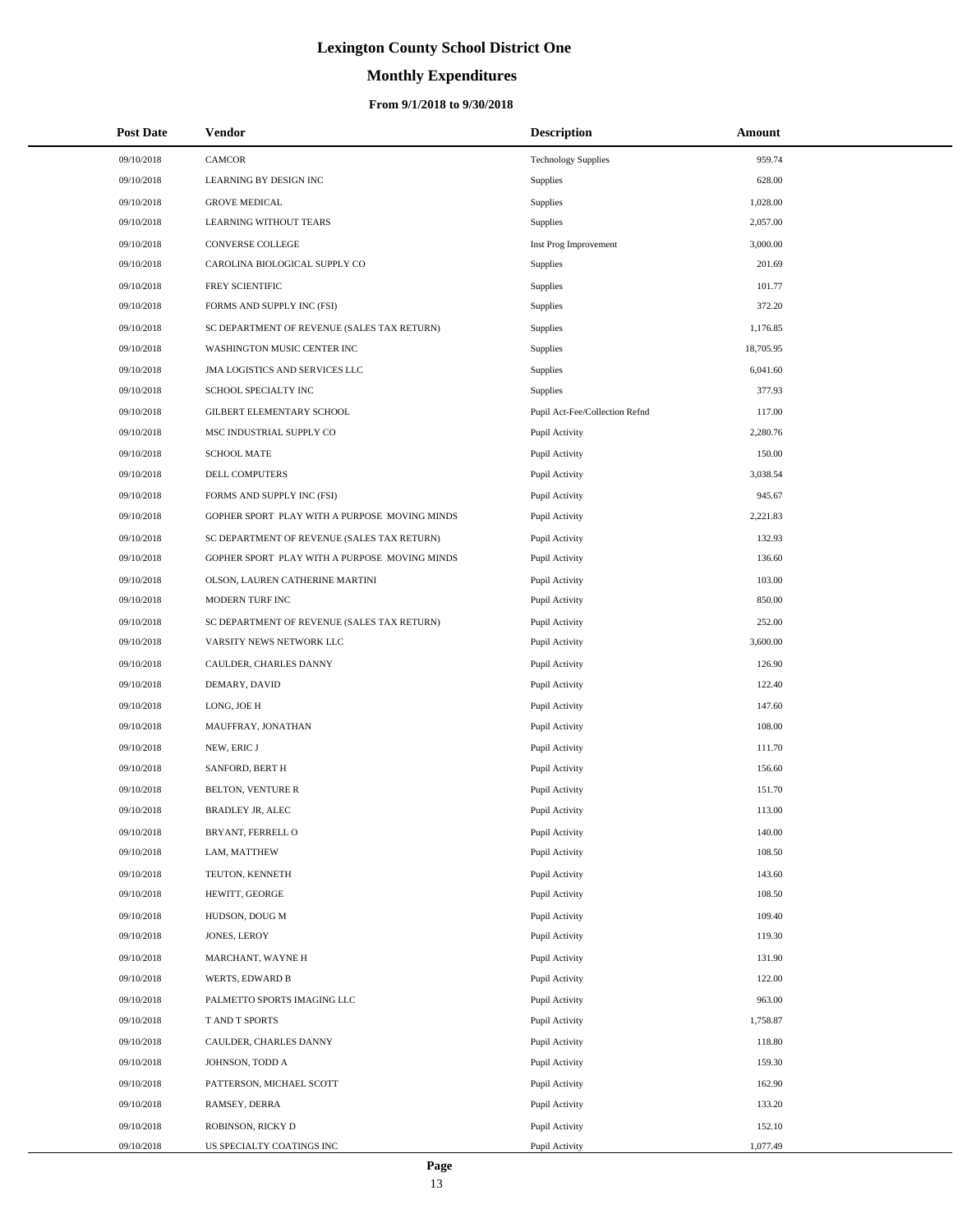# **Monthly Expenditures**

### **From 9/1/2018 to 9/30/2018**

| <b>Post Date</b> | Vendor                                        | <b>Description</b>             | Amount    |
|------------------|-----------------------------------------------|--------------------------------|-----------|
| 09/10/2018       | <b>CAMCOR</b>                                 | <b>Technology Supplies</b>     | 959.74    |
| 09/10/2018       | LEARNING BY DESIGN INC                        | Supplies                       | 628.00    |
| 09/10/2018       | <b>GROVE MEDICAL</b>                          | Supplies                       | 1,028.00  |
| 09/10/2018       | <b>LEARNING WITHOUT TEARS</b>                 | Supplies                       | 2,057.00  |
| 09/10/2018       | CONVERSE COLLEGE                              | Inst Prog Improvement          | 3,000.00  |
| 09/10/2018       | CAROLINA BIOLOGICAL SUPPLY CO                 | Supplies                       | 201.69    |
| 09/10/2018       | FREY SCIENTIFIC                               | Supplies                       | 101.77    |
| 09/10/2018       | FORMS AND SUPPLY INC (FSI)                    | Supplies                       | 372.20    |
| 09/10/2018       | SC DEPARTMENT OF REVENUE (SALES TAX RETURN)   | Supplies                       | 1,176.85  |
| 09/10/2018       | WASHINGTON MUSIC CENTER INC                   | Supplies                       | 18,705.95 |
| 09/10/2018       | JMA LOGISTICS AND SERVICES LLC                | Supplies                       | 6,041.60  |
| 09/10/2018       | SCHOOL SPECIALTY INC                          | Supplies                       | 377.93    |
| 09/10/2018       | GILBERT ELEMENTARY SCHOOL                     | Pupil Act-Fee/Collection Refnd | 117.00    |
| 09/10/2018       | MSC INDUSTRIAL SUPPLY CO                      | Pupil Activity                 | 2,280.76  |
| 09/10/2018       | <b>SCHOOL MATE</b>                            | Pupil Activity                 | 150.00    |
| 09/10/2018       | DELL COMPUTERS                                | Pupil Activity                 | 3,038.54  |
| 09/10/2018       | FORMS AND SUPPLY INC (FSI)                    | Pupil Activity                 | 945.67    |
| 09/10/2018       | GOPHER SPORT PLAY WITH A PURPOSE MOVING MINDS | Pupil Activity                 | 2,221.83  |
| 09/10/2018       | SC DEPARTMENT OF REVENUE (SALES TAX RETURN)   | Pupil Activity                 | 132.93    |
| 09/10/2018       | GOPHER SPORT PLAY WITH A PURPOSE MOVING MINDS | Pupil Activity                 | 136.60    |
| 09/10/2018       | OLSON, LAUREN CATHERINE MARTINI               | Pupil Activity                 | 103.00    |
| 09/10/2018       | MODERN TURF INC                               | Pupil Activity                 | 850.00    |
| 09/10/2018       | SC DEPARTMENT OF REVENUE (SALES TAX RETURN)   | Pupil Activity                 | 252.00    |
| 09/10/2018       | VARSITY NEWS NETWORK LLC                      | Pupil Activity                 | 3,600.00  |
| 09/10/2018       | CAULDER, CHARLES DANNY                        | Pupil Activity                 | 126.90    |
| 09/10/2018       | DEMARY, DAVID                                 | Pupil Activity                 | 122.40    |
| 09/10/2018       | LONG, JOE H                                   | Pupil Activity                 | 147.60    |
| 09/10/2018       | MAUFFRAY, JONATHAN                            | Pupil Activity                 | 108.00    |
| 09/10/2018       | NEW, ERIC J                                   | Pupil Activity                 | 111.70    |
| 09/10/2018       | SANFORD, BERT H                               | Pupil Activity                 | 156.60    |
| 09/10/2018       | <b>BELTON, VENTURE R</b>                      | Pupil Activity                 | 151.70    |
| 09/10/2018       | <b>BRADLEY JR. ALEC</b>                       | Pupil Activity                 | 113.00    |
| 09/10/2018       | BRYANT, FERRELL O                             | Pupil Activity                 | 140.00    |
| 09/10/2018       | LAM, MATTHEW                                  | Pupil Activity                 | 108.50    |
| 09/10/2018       | TEUTON, KENNETH                               | Pupil Activity                 | 143.60    |
| 09/10/2018       | HEWITT, GEORGE                                | Pupil Activity                 | 108.50    |
| 09/10/2018       | HUDSON, DOUG M                                | Pupil Activity                 | 109.40    |
| 09/10/2018       | JONES, LEROY                                  | Pupil Activity                 | 119.30    |
| 09/10/2018       | MARCHANT, WAYNE H                             | Pupil Activity                 | 131.90    |
| 09/10/2018       | WERTS, EDWARD B                               | Pupil Activity                 | 122.00    |
| 09/10/2018       | PALMETTO SPORTS IMAGING LLC                   | Pupil Activity                 | 963.00    |
| 09/10/2018       | T AND T SPORTS                                | Pupil Activity                 | 1,758.87  |
| 09/10/2018       | CAULDER, CHARLES DANNY                        | Pupil Activity                 | 118.80    |
| 09/10/2018       | JOHNSON, TODD A                               | Pupil Activity                 | 159.30    |
| 09/10/2018       | PATTERSON, MICHAEL SCOTT                      | Pupil Activity                 | 162.90    |
| 09/10/2018       | RAMSEY, DERRA                                 | Pupil Activity                 | 133.20    |
| 09/10/2018       | ROBINSON, RICKY D                             | Pupil Activity                 | 152.10    |
| 09/10/2018       | US SPECIALTY COATINGS INC                     | Pupil Activity                 | 1,077.49  |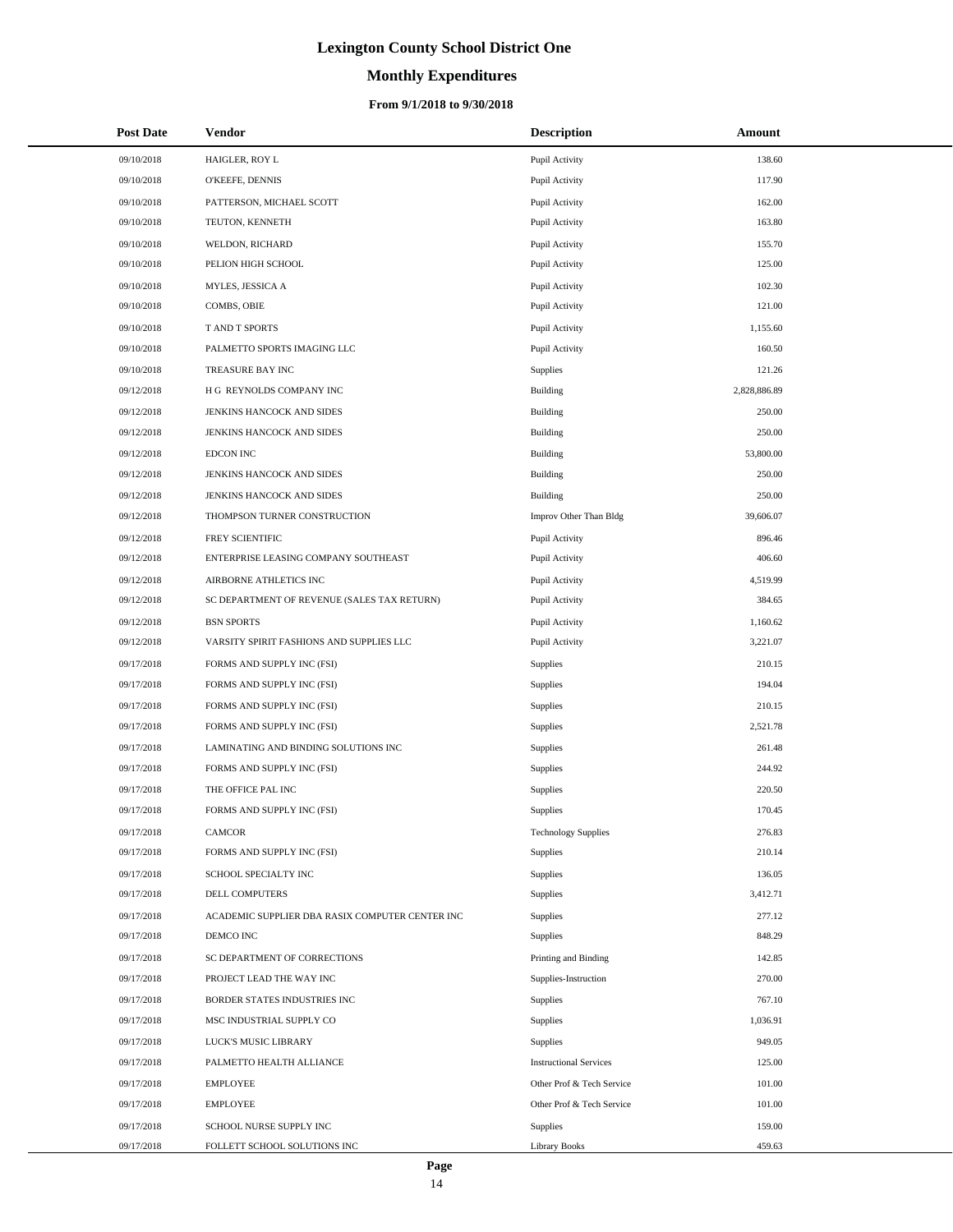# **Monthly Expenditures**

| <b>Post Date</b> | Vendor                                          | <b>Description</b>            | Amount       |
|------------------|-------------------------------------------------|-------------------------------|--------------|
| 09/10/2018       | HAIGLER, ROY L                                  | Pupil Activity                | 138.60       |
| 09/10/2018       | O'KEEFE, DENNIS                                 | Pupil Activity                | 117.90       |
| 09/10/2018       | PATTERSON, MICHAEL SCOTT                        | Pupil Activity                | 162.00       |
| 09/10/2018       | TEUTON, KENNETH                                 | Pupil Activity                | 163.80       |
| 09/10/2018       | WELDON, RICHARD                                 | Pupil Activity                | 155.70       |
| 09/10/2018       | PELION HIGH SCHOOL                              | Pupil Activity                | 125.00       |
| 09/10/2018       | MYLES, JESSICA A                                | Pupil Activity                | 102.30       |
| 09/10/2018       | COMBS, OBIE                                     | Pupil Activity                | 121.00       |
| 09/10/2018       | <b>TAND T SPORTS</b>                            | Pupil Activity                | 1,155.60     |
| 09/10/2018       | PALMETTO SPORTS IMAGING LLC                     | Pupil Activity                | 160.50       |
| 09/10/2018       | TREASURE BAY INC                                | Supplies                      | 121.26       |
| 09/12/2018       | H G REYNOLDS COMPANY INC                        | <b>Building</b>               | 2,828,886.89 |
| 09/12/2018       | JENKINS HANCOCK AND SIDES                       | <b>Building</b>               | 250.00       |
| 09/12/2018       | JENKINS HANCOCK AND SIDES                       | <b>Building</b>               | 250.00       |
| 09/12/2018       | <b>EDCON INC</b>                                | <b>Building</b>               | 53,800.00    |
| 09/12/2018       | JENKINS HANCOCK AND SIDES                       | <b>Building</b>               | 250.00       |
| 09/12/2018       | JENKINS HANCOCK AND SIDES                       | <b>Building</b>               | 250.00       |
| 09/12/2018       | THOMPSON TURNER CONSTRUCTION                    | Improv Other Than Bldg        | 39,606.07    |
| 09/12/2018       | FREY SCIENTIFIC                                 | Pupil Activity                | 896.46       |
| 09/12/2018       | ENTERPRISE LEASING COMPANY SOUTHEAST            | Pupil Activity                | 406.60       |
| 09/12/2018       | AIRBORNE ATHLETICS INC                          | Pupil Activity                | 4,519.99     |
| 09/12/2018       | SC DEPARTMENT OF REVENUE (SALES TAX RETURN)     | Pupil Activity                | 384.65       |
| 09/12/2018       | <b>BSN SPORTS</b>                               | Pupil Activity                | 1,160.62     |
| 09/12/2018       | VARSITY SPIRIT FASHIONS AND SUPPLIES LLC        | Pupil Activity                | 3,221.07     |
| 09/17/2018       | FORMS AND SUPPLY INC (FSI)                      | Supplies                      | 210.15       |
| 09/17/2018       | FORMS AND SUPPLY INC (FSI)                      | <b>Supplies</b>               | 194.04       |
| 09/17/2018       | FORMS AND SUPPLY INC (FSI)                      | Supplies                      | 210.15       |
| 09/17/2018       | FORMS AND SUPPLY INC (FSI)                      | <b>Supplies</b>               | 2,521.78     |
| 09/17/2018       | LAMINATING AND BINDING SOLUTIONS INC            | Supplies                      | 261.48       |
| 09/17/2018       | FORMS AND SUPPLY INC (FSI)                      | <b>Supplies</b>               | 244.92       |
| 09/17/2018       | THE OFFICE PAL INC                              | Supplies                      | 220.50       |
| 09/17/2018       | FORMS AND SUPPLY INC (FSI)                      | Supplies                      | 170.45       |
| 09/17/2018       | CAMCOR                                          | <b>Technology Supplies</b>    | 276.83       |
| 09/17/2018       | FORMS AND SUPPLY INC (FSI)                      | Supplies                      | 210.14       |
| 09/17/2018       | SCHOOL SPECIALTY INC                            | Supplies                      | 136.05       |
| 09/17/2018       | <b>DELL COMPUTERS</b>                           | Supplies                      | 3,412.71     |
| 09/17/2018       | ACADEMIC SUPPLIER DBA RASIX COMPUTER CENTER INC | Supplies                      | 277.12       |
| 09/17/2018       | DEMCO INC                                       | Supplies                      | 848.29       |
| 09/17/2018       | SC DEPARTMENT OF CORRECTIONS                    | Printing and Binding          | 142.85       |
| 09/17/2018       | PROJECT LEAD THE WAY INC                        | Supplies-Instruction          | 270.00       |
| 09/17/2018       | BORDER STATES INDUSTRIES INC                    | Supplies                      | 767.10       |
| 09/17/2018       | MSC INDUSTRIAL SUPPLY CO                        | Supplies                      | 1,036.91     |
| 09/17/2018       | LUCK'S MUSIC LIBRARY                            | Supplies                      | 949.05       |
| 09/17/2018       | PALMETTO HEALTH ALLIANCE                        | <b>Instructional Services</b> | 125.00       |
| 09/17/2018       | <b>EMPLOYEE</b>                                 | Other Prof & Tech Service     | 101.00       |
| 09/17/2018       | <b>EMPLOYEE</b>                                 | Other Prof & Tech Service     | 101.00       |
| 09/17/2018       | SCHOOL NURSE SUPPLY INC                         | Supplies                      | 159.00       |
| 09/17/2018       | FOLLETT SCHOOL SOLUTIONS INC                    | Library Books                 | 459.63       |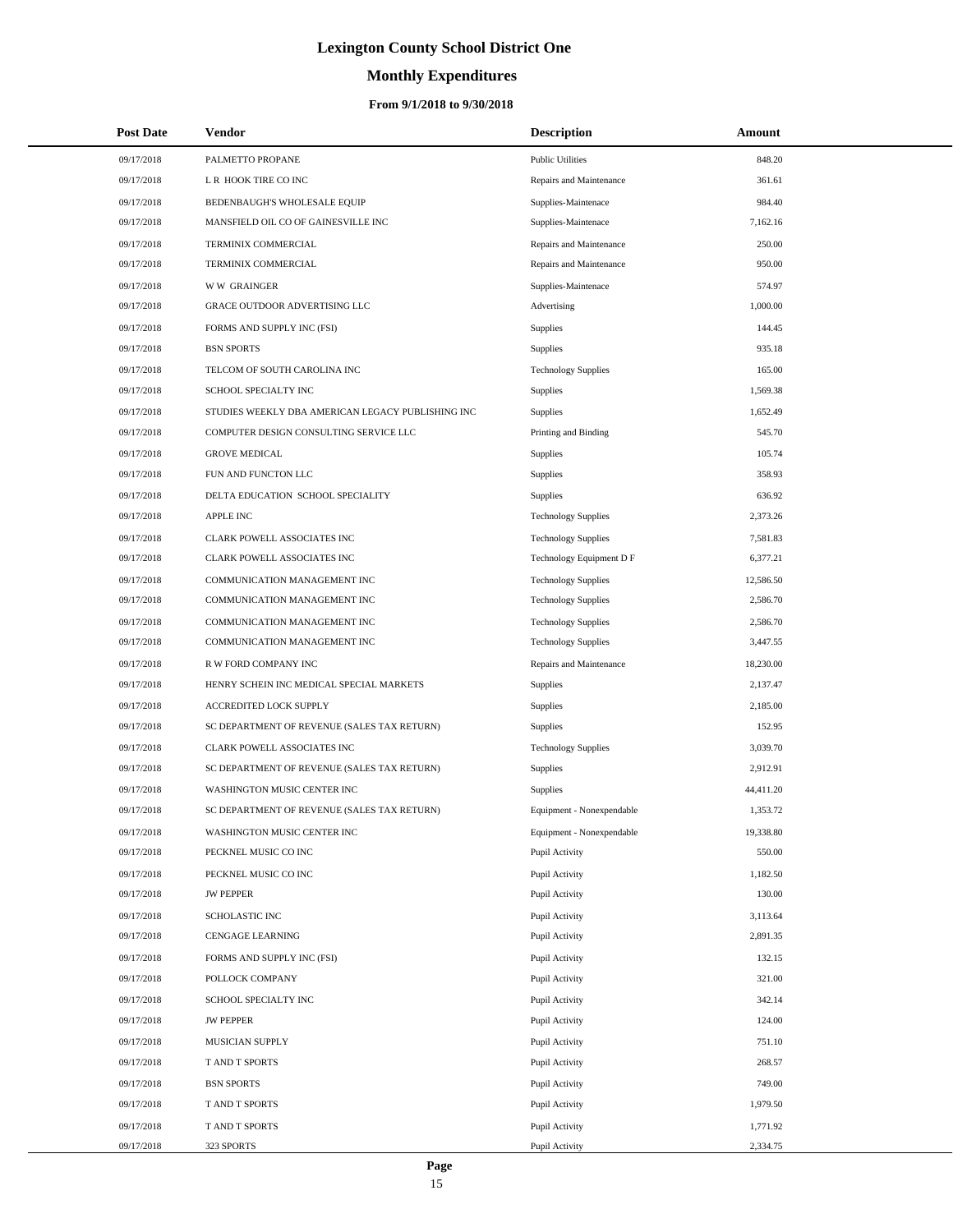# **Monthly Expenditures**

### **From 9/1/2018 to 9/30/2018**

| <b>Post Date</b> | Vendor                                            | <b>Description</b>         | Amount    |
|------------------|---------------------------------------------------|----------------------------|-----------|
| 09/17/2018       | PALMETTO PROPANE                                  | <b>Public Utilities</b>    | 848.20    |
| 09/17/2018       | L R HOOK TIRE CO INC                              | Repairs and Maintenance    | 361.61    |
| 09/17/2018       | BEDENBAUGH'S WHOLESALE EQUIP                      | Supplies-Maintenace        | 984.40    |
| 09/17/2018       | MANSFIELD OIL CO OF GAINESVILLE INC               | Supplies-Maintenace        | 7,162.16  |
| 09/17/2018       | TERMINIX COMMERCIAL                               | Repairs and Maintenance    | 250.00    |
| 09/17/2018       | TERMINIX COMMERCIAL                               | Repairs and Maintenance    | 950.00    |
| 09/17/2018       | <b>WW GRAINGER</b>                                | Supplies-Maintenace        | 574.97    |
| 09/17/2018       | GRACE OUTDOOR ADVERTISING LLC                     | Advertising                | 1,000.00  |
| 09/17/2018       | FORMS AND SUPPLY INC (FSI)                        | Supplies                   | 144.45    |
| 09/17/2018       | <b>BSN SPORTS</b>                                 | Supplies                   | 935.18    |
| 09/17/2018       | TELCOM OF SOUTH CAROLINA INC                      | <b>Technology Supplies</b> | 165.00    |
| 09/17/2018       | SCHOOL SPECIALTY INC                              | Supplies                   | 1,569.38  |
| 09/17/2018       | STUDIES WEEKLY DBA AMERICAN LEGACY PUBLISHING INC | Supplies                   | 1,652.49  |
| 09/17/2018       | COMPUTER DESIGN CONSULTING SERVICE LLC            | Printing and Binding       | 545.70    |
| 09/17/2018       | <b>GROVE MEDICAL</b>                              | Supplies                   | 105.74    |
| 09/17/2018       | FUN AND FUNCTON LLC                               | Supplies                   | 358.93    |
| 09/17/2018       | DELTA EDUCATION SCHOOL SPECIALITY                 | Supplies                   | 636.92    |
| 09/17/2018       | <b>APPLE INC</b>                                  | <b>Technology Supplies</b> | 2,373.26  |
| 09/17/2018       | CLARK POWELL ASSOCIATES INC                       | <b>Technology Supplies</b> | 7,581.83  |
| 09/17/2018       | CLARK POWELL ASSOCIATES INC                       | Technology Equipment D F   | 6,377.21  |
| 09/17/2018       | COMMUNICATION MANAGEMENT INC                      | <b>Technology Supplies</b> | 12,586.50 |
| 09/17/2018       | COMMUNICATION MANAGEMENT INC                      | <b>Technology Supplies</b> | 2,586.70  |
| 09/17/2018       | COMMUNICATION MANAGEMENT INC                      | <b>Technology Supplies</b> | 2,586.70  |
| 09/17/2018       | COMMUNICATION MANAGEMENT INC                      | <b>Technology Supplies</b> | 3,447.55  |
| 09/17/2018       | R W FORD COMPANY INC                              | Repairs and Maintenance    | 18,230.00 |
| 09/17/2018       | HENRY SCHEIN INC MEDICAL SPECIAL MARKETS          | Supplies                   | 2,137.47  |
| 09/17/2018       | ACCREDITED LOCK SUPPLY                            | Supplies                   | 2,185.00  |
| 09/17/2018       | SC DEPARTMENT OF REVENUE (SALES TAX RETURN)       | Supplies                   | 152.95    |
| 09/17/2018       | CLARK POWELL ASSOCIATES INC                       | <b>Technology Supplies</b> | 3,039.70  |
| 09/17/2018       | SC DEPARTMENT OF REVENUE (SALES TAX RETURN)       | Supplies                   | 2,912.91  |
| 09/17/2018       | WASHINGTON MUSIC CENTER INC                       | Supplies                   | 44,411.20 |
| 09/17/2018       | SC DEPARTMENT OF REVENUE (SALES TAX RETURN)       | Equipment - Nonexpendable  | 1,353.72  |
| 09/17/2018       | WASHINGTON MUSIC CENTER INC                       | Equipment - Nonexpendable  | 19,338.80 |
| 09/17/2018       | PECKNEL MUSIC CO INC                              | Pupil Activity             | 550.00    |
| 09/17/2018       | PECKNEL MUSIC CO INC                              | Pupil Activity             | 1,182.50  |
| 09/17/2018       | <b>JW PEPPER</b>                                  | Pupil Activity             | 130.00    |
| 09/17/2018       | SCHOLASTIC INC                                    | Pupil Activity             | 3,113.64  |
| 09/17/2018       | CENGAGE LEARNING                                  | Pupil Activity             | 2,891.35  |
| 09/17/2018       | FORMS AND SUPPLY INC (FSI)                        | Pupil Activity             | 132.15    |
| 09/17/2018       | POLLOCK COMPANY                                   | Pupil Activity             | 321.00    |
| 09/17/2018       | SCHOOL SPECIALTY INC                              | Pupil Activity             | 342.14    |
| 09/17/2018       | <b>JW PEPPER</b>                                  | Pupil Activity             | 124.00    |
| 09/17/2018       | MUSICIAN SUPPLY                                   | Pupil Activity             | 751.10    |
| 09/17/2018       | T AND T SPORTS                                    | Pupil Activity             | 268.57    |
| 09/17/2018       | <b>BSN SPORTS</b>                                 | Pupil Activity             | 749.00    |
| 09/17/2018       | T AND T SPORTS                                    | Pupil Activity             | 1,979.50  |
| 09/17/2018       | T AND T SPORTS                                    | Pupil Activity             | 1,771.92  |
| 09/17/2018       | 323 SPORTS                                        | Pupil Activity             | 2,334.75  |

L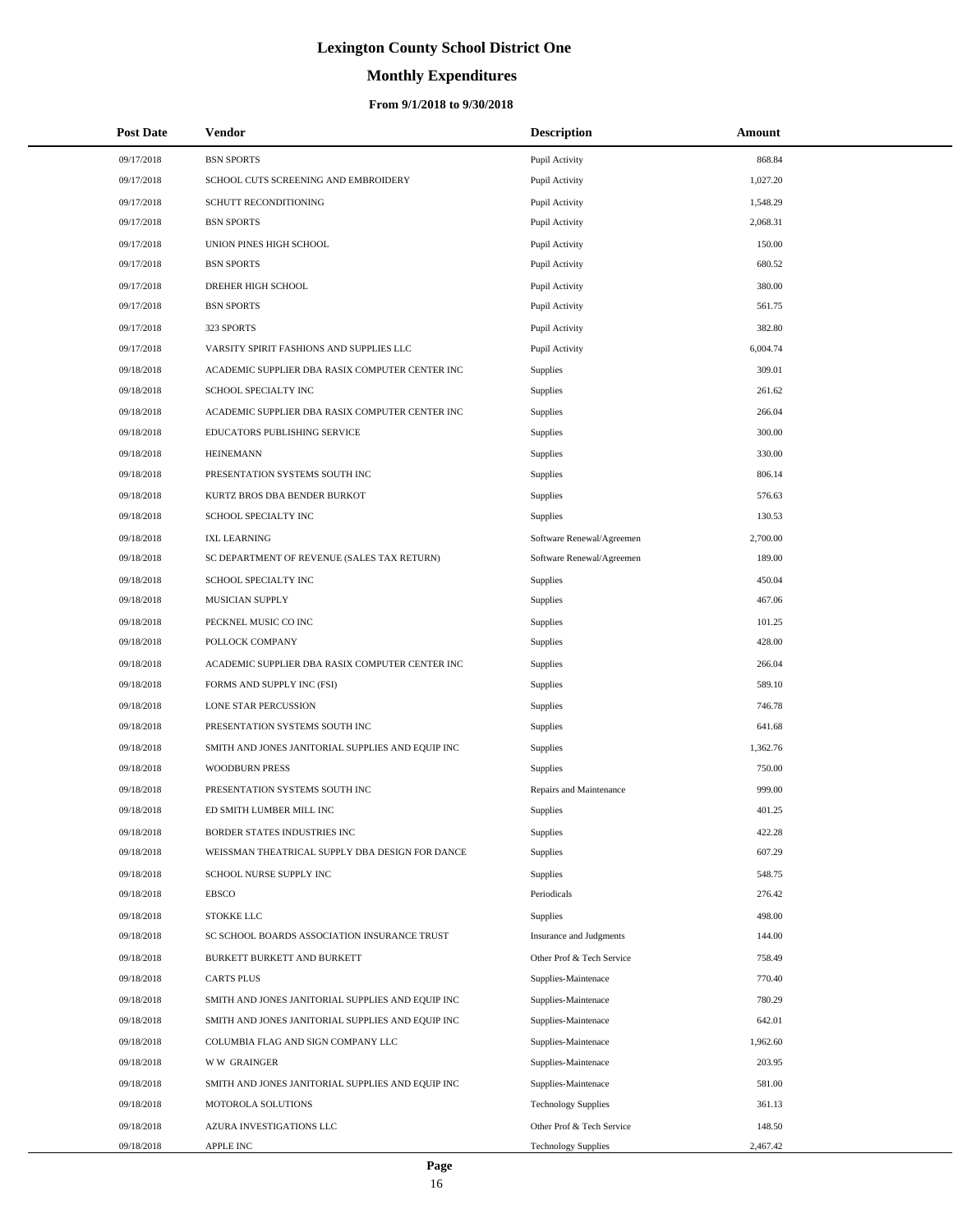# **Monthly Expenditures**

| <b>Post Date</b> | Vendor                                            | <b>Description</b>         | Amount   |
|------------------|---------------------------------------------------|----------------------------|----------|
| 09/17/2018       | <b>BSN SPORTS</b>                                 | Pupil Activity             | 868.84   |
| 09/17/2018       | SCHOOL CUTS SCREENING AND EMBROIDERY              | Pupil Activity             | 1,027.20 |
| 09/17/2018       | SCHUTT RECONDITIONING                             | Pupil Activity             | 1,548.29 |
| 09/17/2018       | <b>BSN SPORTS</b>                                 | Pupil Activity             | 2,068.31 |
| 09/17/2018       | UNION PINES HIGH SCHOOL                           | Pupil Activity             | 150.00   |
| 09/17/2018       | <b>BSN SPORTS</b>                                 | Pupil Activity             | 680.52   |
| 09/17/2018       | DREHER HIGH SCHOOL                                | Pupil Activity             | 380.00   |
| 09/17/2018       | <b>BSN SPORTS</b>                                 | Pupil Activity             | 561.75   |
| 09/17/2018       | 323 SPORTS                                        | Pupil Activity             | 382.80   |
| 09/17/2018       | VARSITY SPIRIT FASHIONS AND SUPPLIES LLC          | Pupil Activity             | 6,004.74 |
| 09/18/2018       | ACADEMIC SUPPLIER DBA RASIX COMPUTER CENTER INC   | Supplies                   | 309.01   |
| 09/18/2018       | SCHOOL SPECIALTY INC                              | Supplies                   | 261.62   |
| 09/18/2018       | ACADEMIC SUPPLIER DBA RASIX COMPUTER CENTER INC   | <b>Supplies</b>            | 266.04   |
| 09/18/2018       | EDUCATORS PUBLISHING SERVICE                      | Supplies                   | 300.00   |
| 09/18/2018       | <b>HEINEMANN</b>                                  | Supplies                   | 330.00   |
| 09/18/2018       | PRESENTATION SYSTEMS SOUTH INC                    | Supplies                   | 806.14   |
| 09/18/2018       | KURTZ BROS DBA BENDER BURKOT                      | Supplies                   | 576.63   |
| 09/18/2018       | SCHOOL SPECIALTY INC                              | Supplies                   | 130.53   |
| 09/18/2018       | <b>IXL LEARNING</b>                               | Software Renewal/Agreemen  | 2,700.00 |
| 09/18/2018       | SC DEPARTMENT OF REVENUE (SALES TAX RETURN)       | Software Renewal/Agreemen  | 189.00   |
| 09/18/2018       | SCHOOL SPECIALTY INC                              | Supplies                   | 450.04   |
| 09/18/2018       | MUSICIAN SUPPLY                                   | Supplies                   | 467.06   |
| 09/18/2018       | PECKNEL MUSIC CO INC                              | Supplies                   | 101.25   |
| 09/18/2018       | POLLOCK COMPANY                                   | Supplies                   | 428.00   |
| 09/18/2018       | ACADEMIC SUPPLIER DBA RASIX COMPUTER CENTER INC   | Supplies                   | 266.04   |
| 09/18/2018       | FORMS AND SUPPLY INC (FSI)                        | Supplies                   | 589.10   |
| 09/18/2018       | <b>LONE STAR PERCUSSION</b>                       | Supplies                   | 746.78   |
| 09/18/2018       | PRESENTATION SYSTEMS SOUTH INC                    | Supplies                   | 641.68   |
| 09/18/2018       | SMITH AND JONES JANITORIAL SUPPLIES AND EQUIP INC | <b>Supplies</b>            | 1,362.76 |
| 09/18/2018       | <b>WOODBURN PRESS</b>                             | Supplies                   | 750.00   |
| 09/18/2018       | PRESENTATION SYSTEMS SOUTH INC                    | Repairs and Maintenance    | 999.00   |
| 09/18/2018       | ED SMITH LUMBER MILL INC                          | Supplies                   | 401.25   |
| 09/18/2018       | BORDER STATES INDUSTRIES INC                      | Supplies                   | 422.28   |
| 09/18/2018       | WEISSMAN THEATRICAL SUPPLY DBA DESIGN FOR DANCE   | Supplies                   | 607.29   |
| 09/18/2018       | SCHOOL NURSE SUPPLY INC                           | Supplies                   | 548.75   |
| 09/18/2018       | <b>EBSCO</b>                                      | Periodicals                | 276.42   |
| 09/18/2018       | STOKKE LLC                                        | <b>Supplies</b>            | 498.00   |
| 09/18/2018       | SC SCHOOL BOARDS ASSOCIATION INSURANCE TRUST      | Insurance and Judgments    | 144.00   |
| 09/18/2018       | BURKETT BURKETT AND BURKETT                       | Other Prof & Tech Service  | 758.49   |
| 09/18/2018       | <b>CARTS PLUS</b>                                 | Supplies-Maintenace        | 770.40   |
| 09/18/2018       | SMITH AND JONES JANITORIAL SUPPLIES AND EQUIP INC | Supplies-Maintenace        | 780.29   |
| 09/18/2018       | SMITH AND JONES JANITORIAL SUPPLIES AND EQUIP INC | Supplies-Maintenace        | 642.01   |
| 09/18/2018       | COLUMBIA FLAG AND SIGN COMPANY LLC                | Supplies-Maintenace        | 1,962.60 |
| 09/18/2018       | <b>WW GRAINGER</b>                                | Supplies-Maintenace        | 203.95   |
| 09/18/2018       | SMITH AND JONES JANITORIAL SUPPLIES AND EQUIP INC | Supplies-Maintenace        | 581.00   |
| 09/18/2018       | MOTOROLA SOLUTIONS                                | <b>Technology Supplies</b> | 361.13   |
| 09/18/2018       | AZURA INVESTIGATIONS LLC                          | Other Prof & Tech Service  | 148.50   |
| 09/18/2018       | APPLE INC                                         | <b>Technology Supplies</b> | 2,467.42 |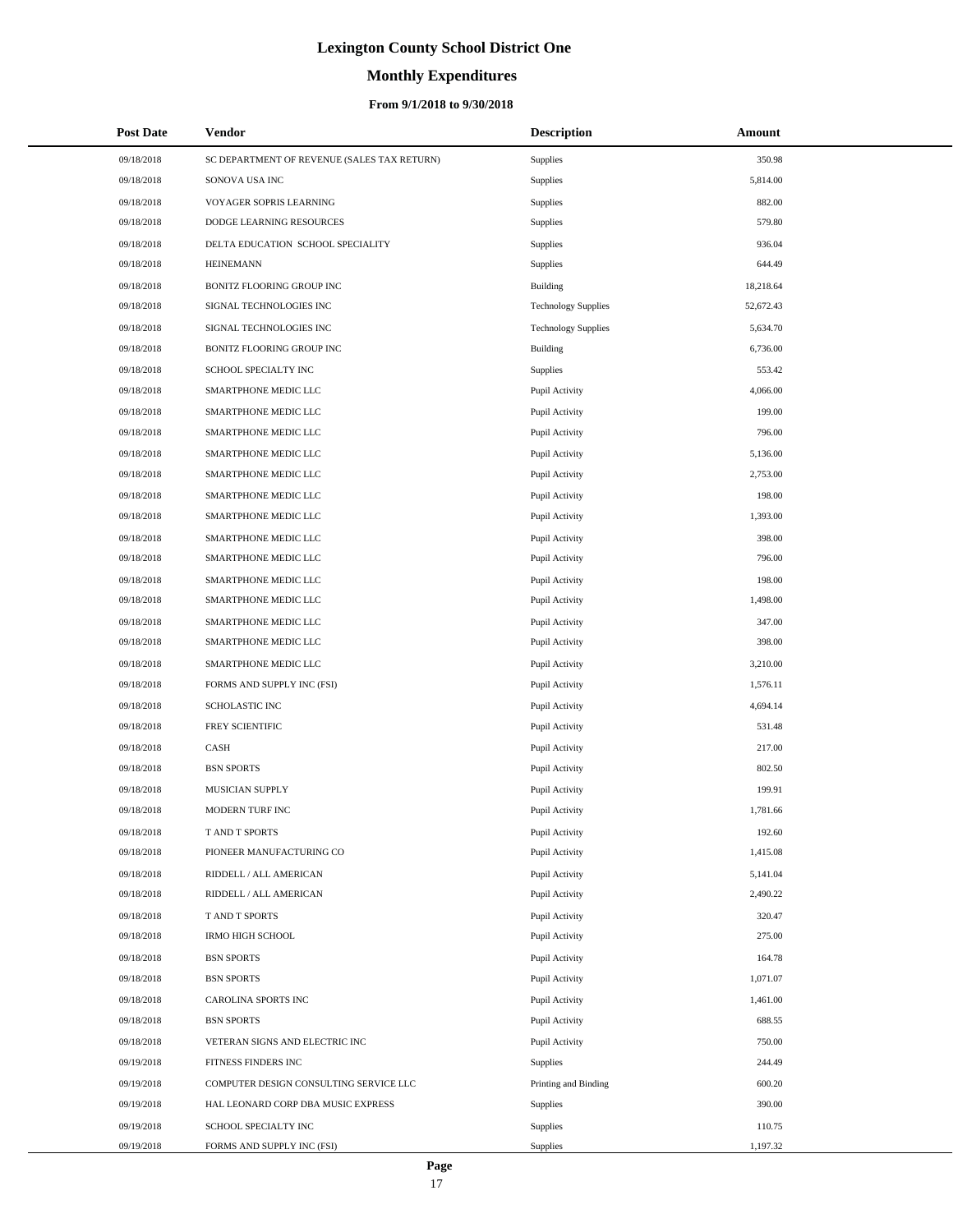# **Monthly Expenditures**

| <b>Post Date</b> | Vendor                                      | <b>Description</b>         | Amount    |
|------------------|---------------------------------------------|----------------------------|-----------|
| 09/18/2018       | SC DEPARTMENT OF REVENUE (SALES TAX RETURN) | Supplies                   | 350.98    |
| 09/18/2018       | SONOVA USA INC                              | Supplies                   | 5,814.00  |
| 09/18/2018       | VOYAGER SOPRIS LEARNING                     | Supplies                   | 882.00    |
| 09/18/2018       | DODGE LEARNING RESOURCES                    | Supplies                   | 579.80    |
| 09/18/2018       | DELTA EDUCATION SCHOOL SPECIALITY           | Supplies                   | 936.04    |
| 09/18/2018       | <b>HEINEMANN</b>                            | Supplies                   | 644.49    |
| 09/18/2018       | BONITZ FLOORING GROUP INC                   | Building                   | 18,218.64 |
| 09/18/2018       | SIGNAL TECHNOLOGIES INC                     | <b>Technology Supplies</b> | 52,672.43 |
| 09/18/2018       | SIGNAL TECHNOLOGIES INC                     | <b>Technology Supplies</b> | 5,634.70  |
| 09/18/2018       | BONITZ FLOORING GROUP INC                   | Building                   | 6,736.00  |
| 09/18/2018       | SCHOOL SPECIALTY INC                        | Supplies                   | 553.42    |
| 09/18/2018       | SMARTPHONE MEDIC LLC                        | Pupil Activity             | 4,066.00  |
| 09/18/2018       | SMARTPHONE MEDIC LLC                        | Pupil Activity             | 199.00    |
| 09/18/2018       | SMARTPHONE MEDIC LLC                        | Pupil Activity             | 796.00    |
| 09/18/2018       | SMARTPHONE MEDIC LLC                        | Pupil Activity             | 5,136.00  |
| 09/18/2018       | SMARTPHONE MEDIC LLC                        | Pupil Activity             | 2,753.00  |
| 09/18/2018       | SMARTPHONE MEDIC LLC                        | Pupil Activity             | 198.00    |
| 09/18/2018       | SMARTPHONE MEDIC LLC                        | Pupil Activity             | 1,393.00  |
| 09/18/2018       | SMARTPHONE MEDIC LLC                        | Pupil Activity             | 398.00    |
| 09/18/2018       | SMARTPHONE MEDIC LLC                        | Pupil Activity             | 796.00    |
| 09/18/2018       | SMARTPHONE MEDIC LLC                        | Pupil Activity             | 198.00    |
| 09/18/2018       | SMARTPHONE MEDIC LLC                        | Pupil Activity             | 1,498.00  |
| 09/18/2018       | SMARTPHONE MEDIC LLC                        | Pupil Activity             | 347.00    |
| 09/18/2018       | SMARTPHONE MEDIC LLC                        | Pupil Activity             | 398.00    |
| 09/18/2018       | SMARTPHONE MEDIC LLC                        | Pupil Activity             | 3,210.00  |
| 09/18/2018       | FORMS AND SUPPLY INC (FSI)                  | Pupil Activity             | 1,576.11  |
| 09/18/2018       | <b>SCHOLASTIC INC</b>                       | Pupil Activity             | 4,694.14  |
| 09/18/2018       | FREY SCIENTIFIC                             | Pupil Activity             | 531.48    |
| 09/18/2018       | CASH                                        | Pupil Activity             | 217.00    |
| 09/18/2018       | <b>BSN SPORTS</b>                           | Pupil Activity             | 802.50    |
| 09/18/2018       | MUSICIAN SUPPLY                             | Pupil Activity             | 199.91    |
| 09/18/2018       | MODERN TURF INC                             | Pupil Activity             | 1,781.66  |
| 09/18/2018       | T AND T SPORTS                              | Pupil Activity             | 192.60    |
| 09/18/2018       | PIONEER MANUFACTURING CO                    | Pupil Activity             | 1,415.08  |
| 09/18/2018       | RIDDELL / ALL AMERICAN                      | Pupil Activity             | 5,141.04  |
| 09/18/2018       | RIDDELL / ALL AMERICAN                      | Pupil Activity             | 2,490.22  |
| 09/18/2018       | T AND T SPORTS                              | Pupil Activity             | 320.47    |
| 09/18/2018       | <b>IRMO HIGH SCHOOL</b>                     | Pupil Activity             | 275.00    |
| 09/18/2018       | <b>BSN SPORTS</b>                           | Pupil Activity             | 164.78    |
| 09/18/2018       | <b>BSN SPORTS</b>                           | Pupil Activity             | 1,071.07  |
| 09/18/2018       | CAROLINA SPORTS INC                         | Pupil Activity             | 1,461.00  |
| 09/18/2018       | <b>BSN SPORTS</b>                           | Pupil Activity             | 688.55    |
| 09/18/2018       | VETERAN SIGNS AND ELECTRIC INC              | Pupil Activity             | 750.00    |
| 09/19/2018       | FITNESS FINDERS INC                         | Supplies                   | 244.49    |
| 09/19/2018       | COMPUTER DESIGN CONSULTING SERVICE LLC      | Printing and Binding       | 600.20    |
| 09/19/2018       | HAL LEONARD CORP DBA MUSIC EXPRESS          | Supplies                   | 390.00    |
| 09/19/2018       | SCHOOL SPECIALTY INC                        | Supplies                   | 110.75    |
| 09/19/2018       | FORMS AND SUPPLY INC (FSI)                  | Supplies                   | 1,197.32  |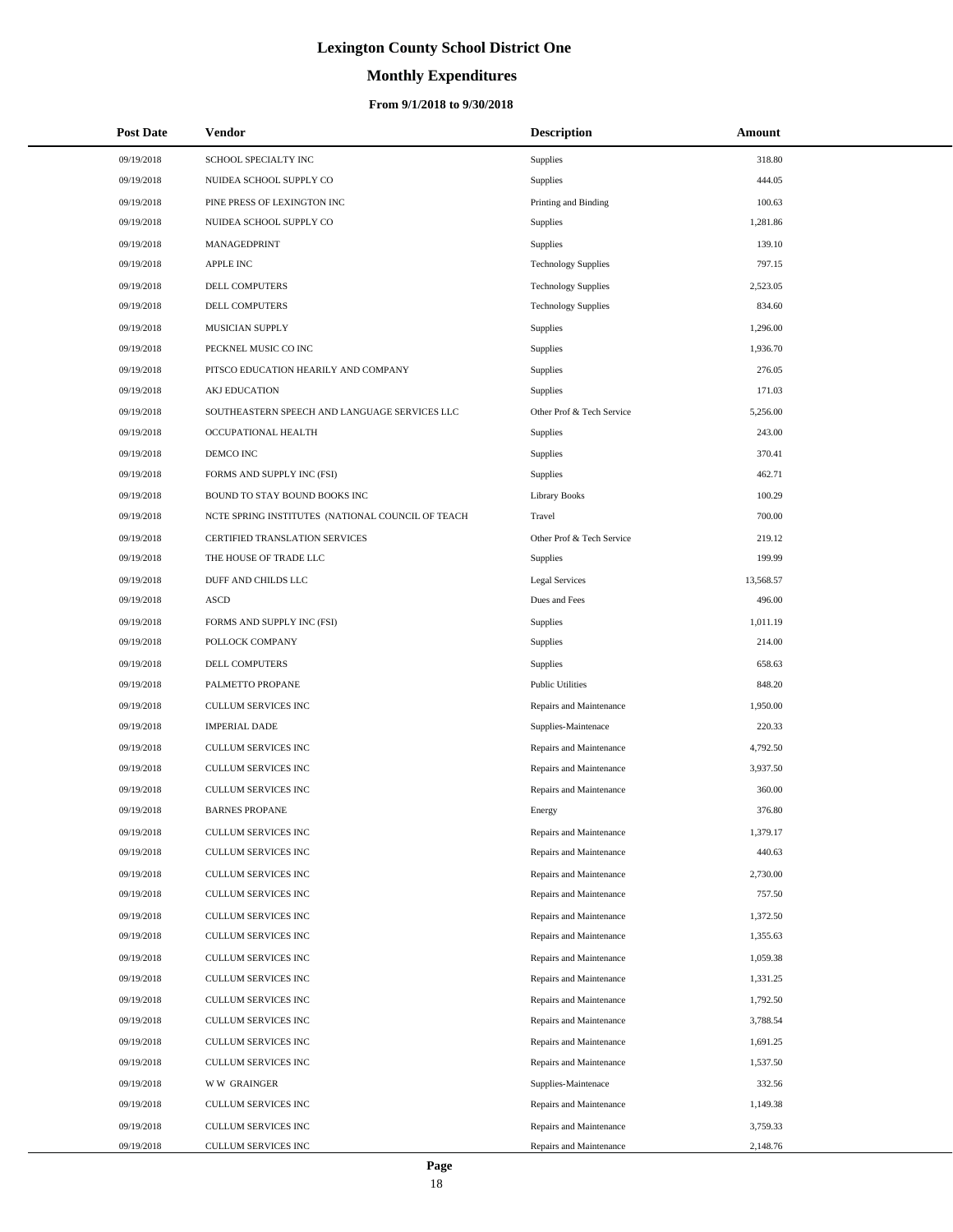# **Monthly Expenditures**

### **From 9/1/2018 to 9/30/2018**

| <b>Post Date</b> | <b>Vendor</b>                                     | <b>Description</b>         | Amount    |
|------------------|---------------------------------------------------|----------------------------|-----------|
| 09/19/2018       | SCHOOL SPECIALTY INC                              | Supplies                   | 318.80    |
| 09/19/2018       | NUIDEA SCHOOL SUPPLY CO                           | Supplies                   | 444.05    |
| 09/19/2018       | PINE PRESS OF LEXINGTON INC                       | Printing and Binding       | 100.63    |
| 09/19/2018       | NUIDEA SCHOOL SUPPLY CO                           | Supplies                   | 1.281.86  |
| 09/19/2018       | MANAGEDPRINT                                      | Supplies                   | 139.10    |
| 09/19/2018       | <b>APPLE INC</b>                                  | <b>Technology Supplies</b> | 797.15    |
| 09/19/2018       | DELL COMPUTERS                                    | <b>Technology Supplies</b> | 2,523.05  |
| 09/19/2018       | <b>DELL COMPUTERS</b>                             | <b>Technology Supplies</b> | 834.60    |
| 09/19/2018       | MUSICIAN SUPPLY                                   | Supplies                   | 1,296.00  |
| 09/19/2018       | PECKNEL MUSIC CO INC                              | Supplies                   | 1,936.70  |
| 09/19/2018       | PITSCO EDUCATION HEARILY AND COMPANY              | Supplies                   | 276.05    |
| 09/19/2018       | <b>AKJ EDUCATION</b>                              | Supplies                   | 171.03    |
| 09/19/2018       | SOUTHEASTERN SPEECH AND LANGUAGE SERVICES LLC     | Other Prof & Tech Service  | 5,256.00  |
| 09/19/2018       | OCCUPATIONAL HEALTH                               | Supplies                   | 243.00    |
| 09/19/2018       | DEMCO INC                                         | Supplies                   | 370.41    |
| 09/19/2018       | FORMS AND SUPPLY INC (FSI)                        | Supplies                   | 462.71    |
| 09/19/2018       | BOUND TO STAY BOUND BOOKS INC                     | <b>Library Books</b>       | 100.29    |
| 09/19/2018       | NCTE SPRING INSTITUTES (NATIONAL COUNCIL OF TEACH | Travel                     | 700.00    |
| 09/19/2018       | CERTIFIED TRANSLATION SERVICES                    | Other Prof & Tech Service  | 219.12    |
| 09/19/2018       | THE HOUSE OF TRADE LLC                            | Supplies                   | 199.99    |
| 09/19/2018       | DUFF AND CHILDS LLC                               | <b>Legal Services</b>      | 13,568.57 |
| 09/19/2018       | <b>ASCD</b>                                       | Dues and Fees              | 496.00    |
| 09/19/2018       | FORMS AND SUPPLY INC (FSI)                        | Supplies                   | 1,011.19  |
| 09/19/2018       | POLLOCK COMPANY                                   | Supplies                   | 214.00    |
| 09/19/2018       | DELL COMPUTERS                                    | Supplies                   | 658.63    |
| 09/19/2018       | PALMETTO PROPANE                                  | <b>Public Utilities</b>    | 848.20    |
| 09/19/2018       | CULLUM SERVICES INC                               | Repairs and Maintenance    | 1,950.00  |
| 09/19/2018       | <b>IMPERIAL DADE</b>                              | Supplies-Maintenace        | 220.33    |
| 09/19/2018       | CULLUM SERVICES INC                               | Repairs and Maintenance    | 4,792.50  |
| 09/19/2018       | CULLUM SERVICES INC                               | Repairs and Maintenance    | 3,937.50  |
| 09/19/2018       | <b>CULLUM SERVICES INC</b>                        | Repairs and Maintenance    | 360.00    |
| 09/19/2018       | <b>BARNES PROPANE</b>                             | Energy                     | 376.80    |
| 09/19/2018       | CULLUM SERVICES INC                               | Repairs and Maintenance    | 1,379.17  |
| 09/19/2018       | CULLUM SERVICES INC                               | Repairs and Maintenance    | 440.63    |
| 09/19/2018       | CULLUM SERVICES INC                               | Repairs and Maintenance    | 2,730.00  |
| 09/19/2018       | CULLUM SERVICES INC                               | Repairs and Maintenance    | 757.50    |
| 09/19/2018       | CULLUM SERVICES INC                               | Repairs and Maintenance    | 1,372.50  |
| 09/19/2018       | CULLUM SERVICES INC                               | Repairs and Maintenance    | 1,355.63  |
| 09/19/2018       | CULLUM SERVICES INC                               | Repairs and Maintenance    | 1,059.38  |
| 09/19/2018       | CULLUM SERVICES INC                               | Repairs and Maintenance    | 1,331.25  |
| 09/19/2018       | CULLUM SERVICES INC                               | Repairs and Maintenance    | 1,792.50  |
| 09/19/2018       | CULLUM SERVICES INC                               | Repairs and Maintenance    | 3,788.54  |
| 09/19/2018       | CULLUM SERVICES INC                               | Repairs and Maintenance    | 1,691.25  |
| 09/19/2018       | CULLUM SERVICES INC                               | Repairs and Maintenance    | 1,537.50  |
| 09/19/2018       | <b>WW GRAINGER</b>                                | Supplies-Maintenace        | 332.56    |
| 09/19/2018       | CULLUM SERVICES INC                               | Repairs and Maintenance    | 1,149.38  |
| 09/19/2018       | CULLUM SERVICES INC                               | Repairs and Maintenance    | 3,759.33  |
| 09/19/2018       | CULLUM SERVICES INC                               | Repairs and Maintenance    | 2,148.76  |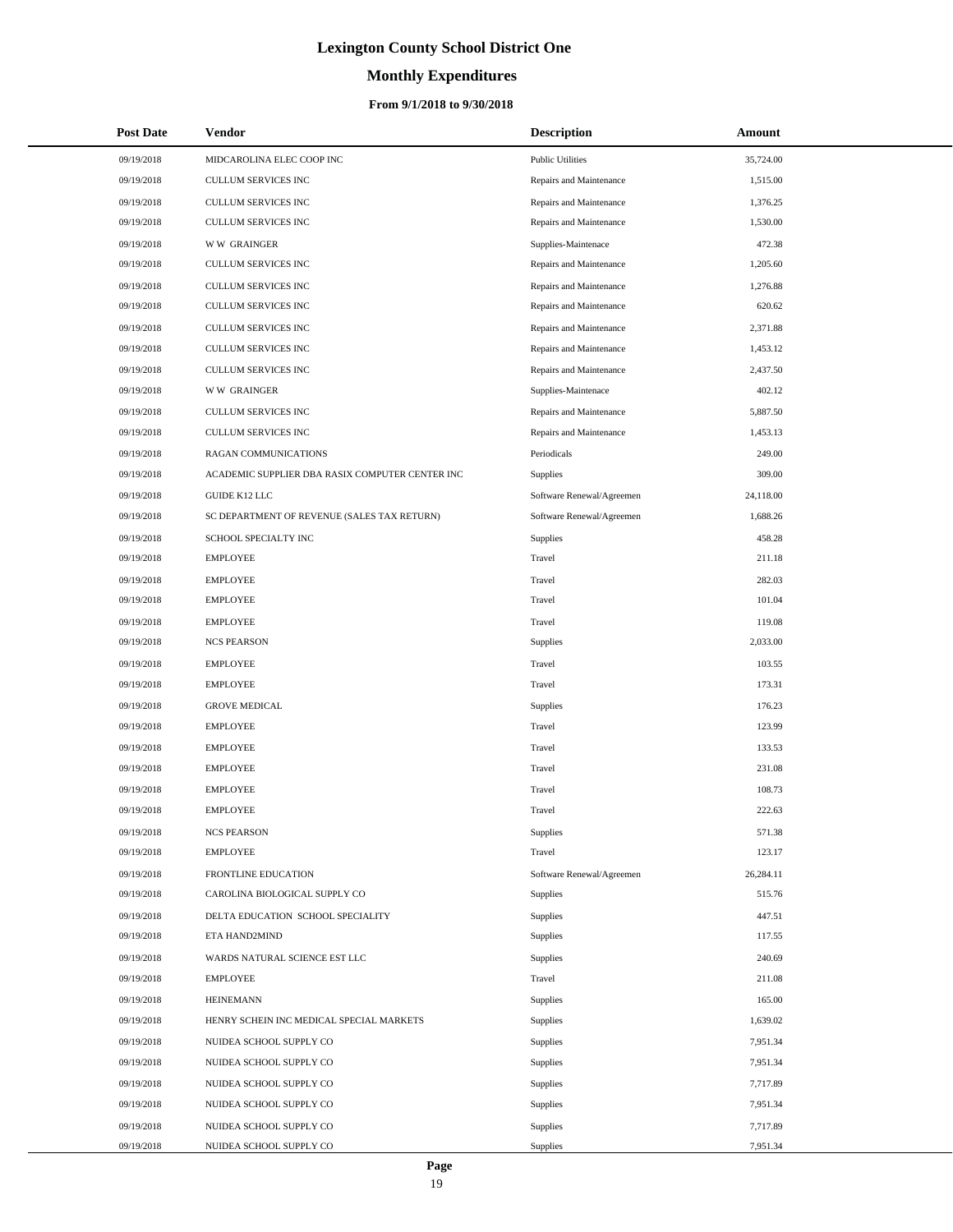# **Monthly Expenditures**

### **From 9/1/2018 to 9/30/2018**

| <b>Post Date</b> | Vendor                                          | <b>Description</b>        | Amount    |  |
|------------------|-------------------------------------------------|---------------------------|-----------|--|
| 09/19/2018       | MIDCAROLINA ELEC COOP INC                       | <b>Public Utilities</b>   | 35,724.00 |  |
| 09/19/2018       | <b>CULLUM SERVICES INC</b>                      | Repairs and Maintenance   | 1,515.00  |  |
| 09/19/2018       | CULLUM SERVICES INC                             | Repairs and Maintenance   | 1,376.25  |  |
| 09/19/2018       | <b>CULLUM SERVICES INC</b>                      | Repairs and Maintenance   | 1,530.00  |  |
| 09/19/2018       | <b>WW GRAINGER</b>                              | Supplies-Maintenace       | 472.38    |  |
| 09/19/2018       | CULLUM SERVICES INC                             | Repairs and Maintenance   | 1,205.60  |  |
| 09/19/2018       | CULLUM SERVICES INC                             | Repairs and Maintenance   | 1,276.88  |  |
| 09/19/2018       | CULLUM SERVICES INC                             | Repairs and Maintenance   | 620.62    |  |
| 09/19/2018       | CULLUM SERVICES INC                             | Repairs and Maintenance   | 2,371.88  |  |
| 09/19/2018       | CULLUM SERVICES INC                             | Repairs and Maintenance   | 1,453.12  |  |
| 09/19/2018       | CULLUM SERVICES INC                             | Repairs and Maintenance   | 2,437.50  |  |
| 09/19/2018       | <b>WW GRAINGER</b>                              | Supplies-Maintenace       | 402.12    |  |
| 09/19/2018       | CULLUM SERVICES INC                             | Repairs and Maintenance   | 5,887.50  |  |
| 09/19/2018       | CULLUM SERVICES INC                             | Repairs and Maintenance   | 1,453.13  |  |
| 09/19/2018       | RAGAN COMMUNICATIONS                            | Periodicals               | 249.00    |  |
| 09/19/2018       | ACADEMIC SUPPLIER DBA RASIX COMPUTER CENTER INC | Supplies                  | 309.00    |  |
| 09/19/2018       | GUIDE K12 LLC                                   | Software Renewal/Agreemen | 24,118.00 |  |
| 09/19/2018       | SC DEPARTMENT OF REVENUE (SALES TAX RETURN)     | Software Renewal/Agreemen | 1,688.26  |  |
| 09/19/2018       | SCHOOL SPECIALTY INC                            | Supplies                  | 458.28    |  |
| 09/19/2018       | <b>EMPLOYEE</b>                                 | Travel                    | 211.18    |  |
| 09/19/2018       | <b>EMPLOYEE</b>                                 | Travel                    | 282.03    |  |
| 09/19/2018       | <b>EMPLOYEE</b>                                 | Travel                    | 101.04    |  |
| 09/19/2018       | <b>EMPLOYEE</b>                                 | Travel                    | 119.08    |  |
| 09/19/2018       | <b>NCS PEARSON</b>                              | Supplies                  | 2,033.00  |  |
| 09/19/2018       | <b>EMPLOYEE</b>                                 | Travel                    | 103.55    |  |
| 09/19/2018       | <b>EMPLOYEE</b>                                 | Travel                    | 173.31    |  |
| 09/19/2018       | <b>GROVE MEDICAL</b>                            | Supplies                  | 176.23    |  |
| 09/19/2018       | <b>EMPLOYEE</b>                                 | Travel                    | 123.99    |  |
| 09/19/2018       | <b>EMPLOYEE</b>                                 | Travel                    | 133.53    |  |
| 09/19/2018       | <b>EMPLOYEE</b>                                 | Travel                    | 231.08    |  |
| 09/19/2018       | <b>EMPLOYEE</b>                                 | Travel                    | 108.73    |  |
| 09/19/2018       | <b>EMPLOYEE</b>                                 | Travel                    | 222.63    |  |
| 09/19/2018       | <b>NCS PEARSON</b>                              | Supplies                  | 571.38    |  |
| 09/19/2018       | <b>EMPLOYEE</b>                                 | Travel                    | 123.17    |  |
| 09/19/2018       | FRONTLINE EDUCATION                             | Software Renewal/Agreemen | 26,284.11 |  |
| 09/19/2018       | CAROLINA BIOLOGICAL SUPPLY CO                   | Supplies                  | 515.76    |  |
| 09/19/2018       | DELTA EDUCATION SCHOOL SPECIALITY               | <b>Supplies</b>           | 447.51    |  |
| 09/19/2018       | ETA HAND2MIND                                   | Supplies                  | 117.55    |  |
| 09/19/2018       | WARDS NATURAL SCIENCE EST LLC                   | Supplies                  | 240.69    |  |
| 09/19/2018       | <b>EMPLOYEE</b>                                 | Travel                    | 211.08    |  |
| 09/19/2018       | <b>HEINEMANN</b>                                | <b>Supplies</b>           | 165.00    |  |
| 09/19/2018       | HENRY SCHEIN INC MEDICAL SPECIAL MARKETS        | Supplies                  | 1,639.02  |  |
| 09/19/2018       | NUIDEA SCHOOL SUPPLY CO                         | Supplies                  | 7,951.34  |  |
| 09/19/2018       | NUIDEA SCHOOL SUPPLY CO                         | Supplies                  | 7,951.34  |  |
| 09/19/2018       | NUIDEA SCHOOL SUPPLY CO                         | <b>Supplies</b>           | 7,717.89  |  |
| 09/19/2018       | NUIDEA SCHOOL SUPPLY CO                         | Supplies                  | 7,951.34  |  |
| 09/19/2018       | NUIDEA SCHOOL SUPPLY CO                         | Supplies                  | 7,717.89  |  |
| 09/19/2018       | NUIDEA SCHOOL SUPPLY CO                         | Supplies                  | 7,951.34  |  |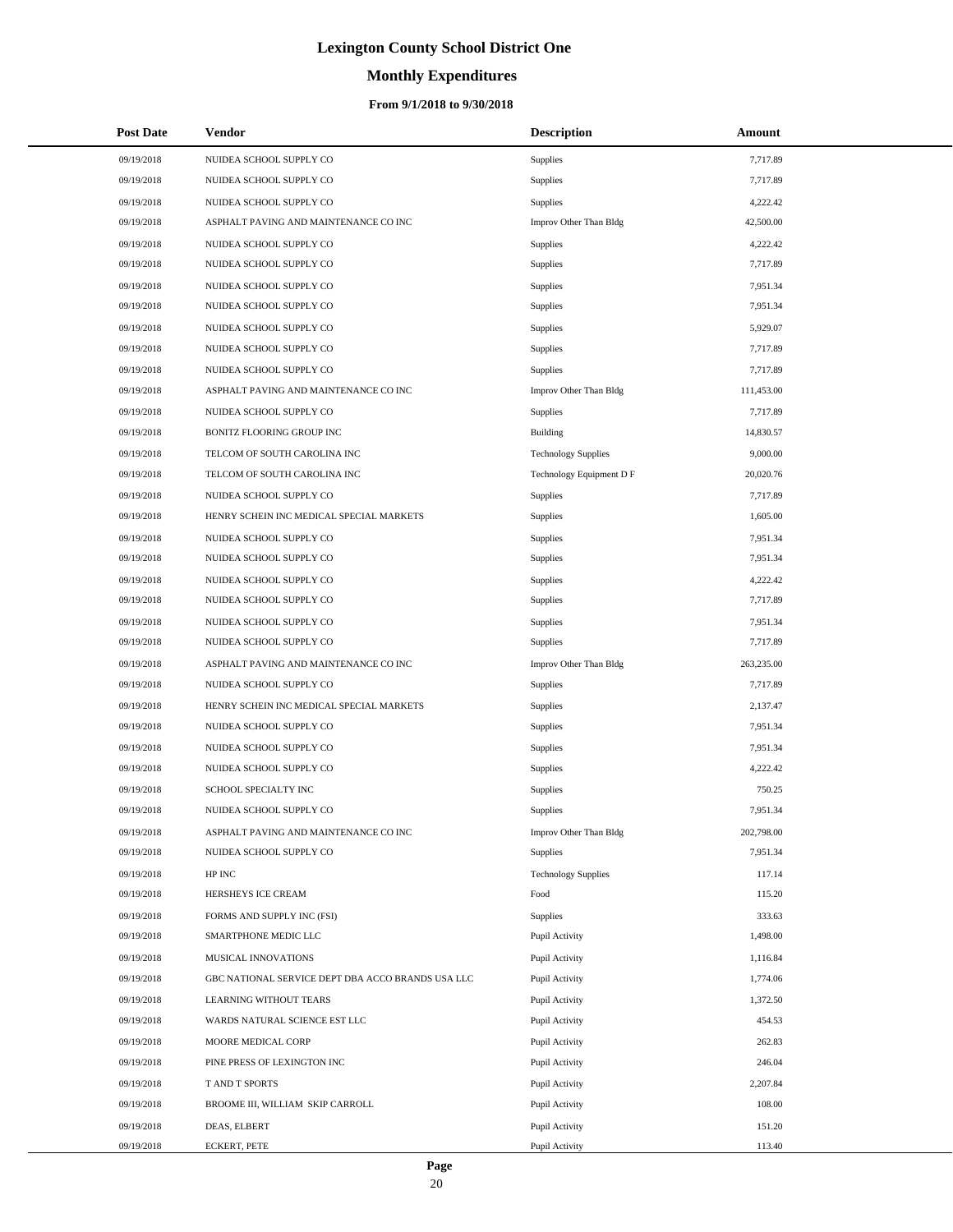# **Monthly Expenditures**

### **From 9/1/2018 to 9/30/2018**

| <b>Post Date</b> | Vendor                                            | <b>Description</b>         | <b>Amount</b> |
|------------------|---------------------------------------------------|----------------------------|---------------|
| 09/19/2018       | NUIDEA SCHOOL SUPPLY CO                           | <b>Supplies</b>            | 7,717.89      |
| 09/19/2018       | NUIDEA SCHOOL SUPPLY CO                           | Supplies                   | 7,717.89      |
| 09/19/2018       | NUIDEA SCHOOL SUPPLY CO                           | <b>Supplies</b>            | 4,222.42      |
| 09/19/2018       | ASPHALT PAVING AND MAINTENANCE CO INC             | Improv Other Than Bldg     | 42,500.00     |
| 09/19/2018       | NUIDEA SCHOOL SUPPLY CO                           | <b>Supplies</b>            | 4,222.42      |
| 09/19/2018       | NUIDEA SCHOOL SUPPLY CO                           | Supplies                   | 7,717.89      |
| 09/19/2018       | NUIDEA SCHOOL SUPPLY CO                           | <b>Supplies</b>            | 7,951.34      |
| 09/19/2018       | NUIDEA SCHOOL SUPPLY CO                           | Supplies                   | 7,951.34      |
| 09/19/2018       | NUIDEA SCHOOL SUPPLY CO                           | <b>Supplies</b>            | 5,929.07      |
| 09/19/2018       | NUIDEA SCHOOL SUPPLY CO                           | Supplies                   | 7,717.89      |
| 09/19/2018       | NUIDEA SCHOOL SUPPLY CO                           | Supplies                   | 7,717.89      |
| 09/19/2018       | ASPHALT PAVING AND MAINTENANCE CO INC             | Improv Other Than Bldg     | 111,453.00    |
| 09/19/2018       | NUIDEA SCHOOL SUPPLY CO                           | Supplies                   | 7,717.89      |
| 09/19/2018       | BONITZ FLOORING GROUP INC                         | Building                   | 14,830.57     |
| 09/19/2018       | TELCOM OF SOUTH CAROLINA INC                      | <b>Technology Supplies</b> | 9,000.00      |
| 09/19/2018       | TELCOM OF SOUTH CAROLINA INC                      | Technology Equipment D F   | 20,020.76     |
| 09/19/2018       | NUIDEA SCHOOL SUPPLY CO                           | Supplies                   | 7,717.89      |
| 09/19/2018       | HENRY SCHEIN INC MEDICAL SPECIAL MARKETS          | Supplies                   | 1,605.00      |
| 09/19/2018       | NUIDEA SCHOOL SUPPLY CO                           | Supplies                   | 7,951.34      |
| 09/19/2018       | NUIDEA SCHOOL SUPPLY CO                           | Supplies                   | 7,951.34      |
| 09/19/2018       | NUIDEA SCHOOL SUPPLY CO                           | Supplies                   | 4,222.42      |
| 09/19/2018       | NUIDEA SCHOOL SUPPLY CO                           | Supplies                   | 7,717.89      |
| 09/19/2018       | NUIDEA SCHOOL SUPPLY CO                           | Supplies                   | 7,951.34      |
| 09/19/2018       | NUIDEA SCHOOL SUPPLY CO                           | Supplies                   | 7,717.89      |
| 09/19/2018       | ASPHALT PAVING AND MAINTENANCE CO INC             | Improv Other Than Bldg     | 263,235.00    |
| 09/19/2018       | NUIDEA SCHOOL SUPPLY CO                           | Supplies                   | 7,717.89      |
| 09/19/2018       | HENRY SCHEIN INC MEDICAL SPECIAL MARKETS          | Supplies                   | 2,137.47      |
| 09/19/2018       | NUIDEA SCHOOL SUPPLY CO                           | Supplies                   | 7,951.34      |
| 09/19/2018       | NUIDEA SCHOOL SUPPLY CO                           | Supplies                   | 7,951.34      |
| 09/19/2018       | NUIDEA SCHOOL SUPPLY CO                           | Supplies                   | 4,222.42      |
| 09/19/2018       | SCHOOL SPECIALTY INC                              | Supplies                   | 750.25        |
| 09/19/2018       | NUIDEA SCHOOL SUPPLY CO                           | Supplies                   | 7,951.34      |
| 09/19/2018       | ASPHALT PAVING AND MAINTENANCE CO INC             | Improv Other Than Bldg     | 202,798.00    |
| 09/19/2018       | NUIDEA SCHOOL SUPPLY CO                           | Supplies                   | 7,951.34      |
| 09/19/2018       | HP INC                                            | <b>Technology Supplies</b> | 117.14        |
| 09/19/2018       | HERSHEYS ICE CREAM                                | Food                       | 115.20        |
| 09/19/2018       | FORMS AND SUPPLY INC (FSI)                        | Supplies                   | 333.63        |
| 09/19/2018       | SMARTPHONE MEDIC LLC                              | Pupil Activity             | 1,498.00      |
| 09/19/2018       | MUSICAL INNOVATIONS                               | Pupil Activity             | 1,116.84      |
| 09/19/2018       | GBC NATIONAL SERVICE DEPT DBA ACCO BRANDS USA LLC | Pupil Activity             | 1,774.06      |
| 09/19/2018       | LEARNING WITHOUT TEARS                            | Pupil Activity             | 1,372.50      |
| 09/19/2018       | WARDS NATURAL SCIENCE EST LLC                     | Pupil Activity             | 454.53        |
| 09/19/2018       | MOORE MEDICAL CORP                                | Pupil Activity             | 262.83        |
| 09/19/2018       | PINE PRESS OF LEXINGTON INC                       | Pupil Activity             | 246.04        |
| 09/19/2018       | T AND T SPORTS                                    | Pupil Activity             | 2,207.84      |
| 09/19/2018       | BROOME III, WILLIAM SKIP CARROLL                  | Pupil Activity             | 108.00        |
| 09/19/2018       | DEAS, ELBERT                                      | Pupil Activity             | 151.20        |
| 09/19/2018       | <b>ECKERT, PETE</b>                               | Pupil Activity             | 113.40        |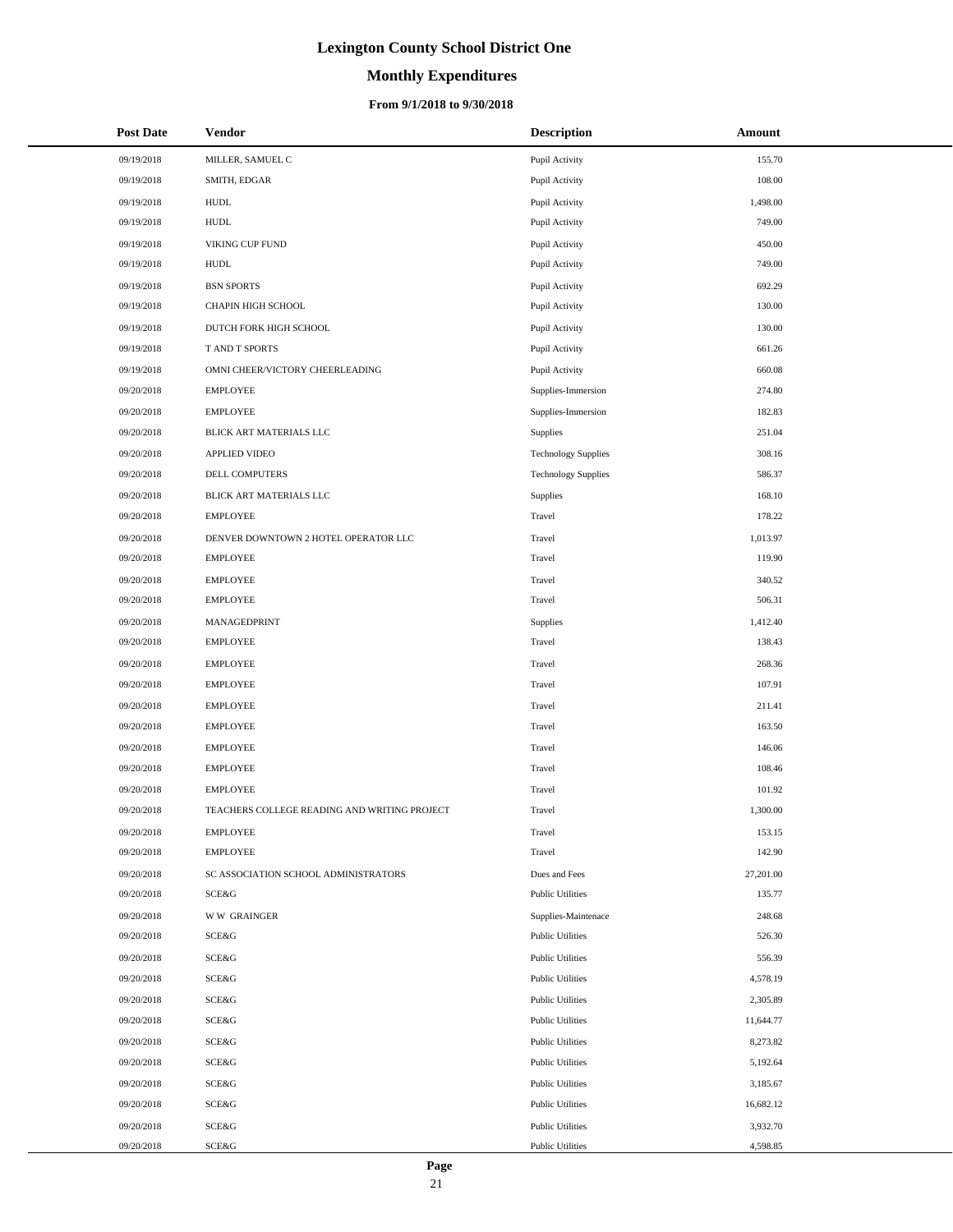# **Monthly Expenditures**

### **From 9/1/2018 to 9/30/2018**

| <b>Post Date</b> | Vendor                                       | <b>Description</b>         | Amount    |
|------------------|----------------------------------------------|----------------------------|-----------|
| 09/19/2018       | MILLER, SAMUEL C                             | Pupil Activity             | 155.70    |
| 09/19/2018       | SMITH, EDGAR                                 | Pupil Activity             | 108.00    |
| 09/19/2018       | <b>HUDL</b>                                  | Pupil Activity             | 1,498.00  |
| 09/19/2018       | <b>HUDL</b>                                  | Pupil Activity             | 749.00    |
| 09/19/2018       | VIKING CUP FUND                              | Pupil Activity             | 450.00    |
| 09/19/2018       | <b>HUDL</b>                                  | Pupil Activity             | 749.00    |
| 09/19/2018       | <b>BSN SPORTS</b>                            | Pupil Activity             | 692.29    |
| 09/19/2018       | CHAPIN HIGH SCHOOL                           | Pupil Activity             | 130.00    |
| 09/19/2018       | DUTCH FORK HIGH SCHOOL                       | Pupil Activity             | 130.00    |
| 09/19/2018       | T AND T SPORTS                               | Pupil Activity             | 661.26    |
| 09/19/2018       | OMNI CHEER/VICTORY CHEERLEADING              | Pupil Activity             | 660.08    |
| 09/20/2018       | <b>EMPLOYEE</b>                              | Supplies-Immersion         | 274.80    |
| 09/20/2018       | <b>EMPLOYEE</b>                              | Supplies-Immersion         | 182.83    |
| 09/20/2018       | BLICK ART MATERIALS LLC                      | Supplies                   | 251.04    |
| 09/20/2018       | <b>APPLIED VIDEO</b>                         | <b>Technology Supplies</b> | 308.16    |
| 09/20/2018       | DELL COMPUTERS                               | <b>Technology Supplies</b> | 586.37    |
| 09/20/2018       | BLICK ART MATERIALS LLC                      | Supplies                   | 168.10    |
| 09/20/2018       | <b>EMPLOYEE</b>                              | Travel                     | 178.22    |
| 09/20/2018       | DENVER DOWNTOWN 2 HOTEL OPERATOR LLC         | Travel                     | 1,013.97  |
| 09/20/2018       | <b>EMPLOYEE</b>                              | Travel                     | 119.90    |
| 09/20/2018       | <b>EMPLOYEE</b>                              | Travel                     | 340.52    |
| 09/20/2018       | <b>EMPLOYEE</b>                              | Travel                     | 506.31    |
| 09/20/2018       | MANAGEDPRINT                                 | Supplies                   | 1,412.40  |
| 09/20/2018       | <b>EMPLOYEE</b>                              | Travel                     | 138.43    |
| 09/20/2018       | <b>EMPLOYEE</b>                              | Travel                     | 268.36    |
| 09/20/2018       | <b>EMPLOYEE</b>                              | Travel                     | 107.91    |
| 09/20/2018       | <b>EMPLOYEE</b>                              | Travel                     | 211.41    |
| 09/20/2018       | <b>EMPLOYEE</b>                              | Travel                     | 163.50    |
| 09/20/2018       | <b>EMPLOYEE</b>                              | Travel                     | 146.06    |
| 09/20/2018       | <b>EMPLOYEE</b>                              | Travel                     | 108.46    |
| 09/20/2018       | <b>EMPLOYEE</b>                              | Travel                     | 101.92    |
| 09/20/2018       | TEACHERS COLLEGE READING AND WRITING PROJECT | Travel                     | 1,300.00  |
| 09/20/2018       | <b>EMPLOYEE</b>                              | Travel                     | 153.15    |
| 09/20/2018       | <b>EMPLOYEE</b>                              | Travel                     | 142.90    |
| 09/20/2018       | SC ASSOCIATION SCHOOL ADMINISTRATORS         | Dues and Fees              | 27,201.00 |
| 09/20/2018       | SCE&G                                        | <b>Public Utilities</b>    | 135.77    |
| 09/20/2018       | <b>WW GRAINGER</b>                           | Supplies-Maintenace        | 248.68    |
| 09/20/2018       | SCE&G                                        | <b>Public Utilities</b>    | 526.30    |
| 09/20/2018       | SCE&G                                        | <b>Public Utilities</b>    | 556.39    |
| 09/20/2018       | SCE&G                                        | <b>Public Utilities</b>    | 4,578.19  |
| 09/20/2018       | SCE&G                                        | <b>Public Utilities</b>    | 2,305.89  |
| 09/20/2018       | SCE&G                                        | <b>Public Utilities</b>    | 11,644.77 |
| 09/20/2018       | SCE&G                                        | <b>Public Utilities</b>    | 8,273.82  |
| 09/20/2018       | SCE&G                                        | <b>Public Utilities</b>    | 5,192.64  |
| 09/20/2018       | SCE&G                                        | <b>Public Utilities</b>    | 3,185.67  |
| 09/20/2018       | SCE&G                                        | <b>Public Utilities</b>    | 16,682.12 |
| 09/20/2018       | SCE&G                                        | <b>Public Utilities</b>    | 3,932.70  |
| 09/20/2018       | SCE&G                                        | <b>Public Utilities</b>    | 4,598.85  |

÷.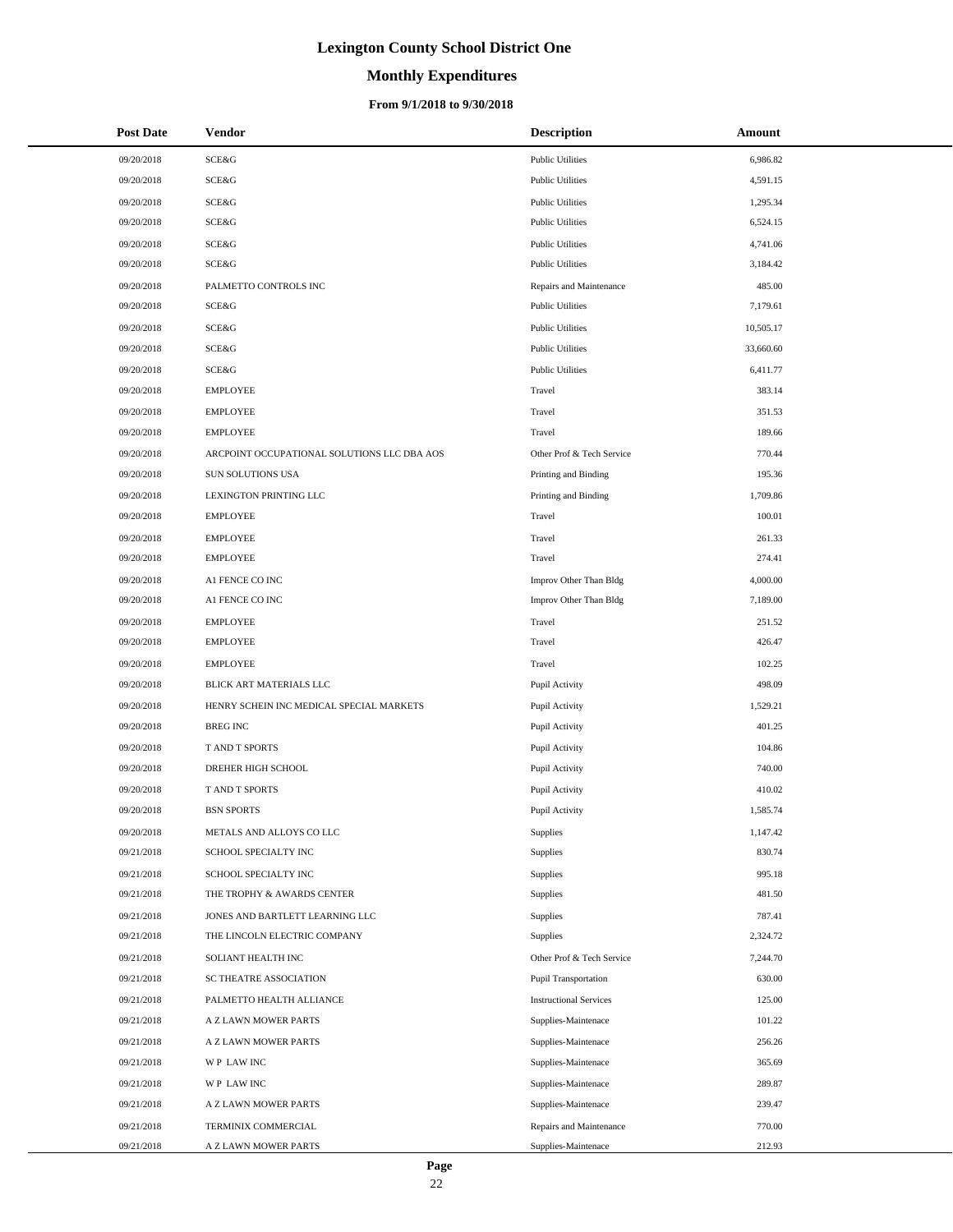# **Monthly Expenditures**

### **From 9/1/2018 to 9/30/2018**

| <b>Post Date</b> | Vendor                                      | <b>Description</b>            | Amount    |
|------------------|---------------------------------------------|-------------------------------|-----------|
| 09/20/2018       | SCE&G                                       | <b>Public Utilities</b>       | 6,986.82  |
| 09/20/2018       | SCE&G                                       | <b>Public Utilities</b>       | 4,591.15  |
| 09/20/2018       | <b>SCE&amp;G</b>                            | <b>Public Utilities</b>       | 1,295.34  |
| 09/20/2018       | SCE&G                                       | <b>Public Utilities</b>       | 6,524.15  |
| 09/20/2018       | SCE&G                                       | <b>Public Utilities</b>       | 4,741.06  |
| 09/20/2018       | SCE&G                                       | <b>Public Utilities</b>       | 3,184.42  |
| 09/20/2018       | PALMETTO CONTROLS INC                       | Repairs and Maintenance       | 485.00    |
| 09/20/2018       | SCE&G                                       | <b>Public Utilities</b>       | 7,179.61  |
| 09/20/2018       | SCE&G                                       | <b>Public Utilities</b>       | 10,505.17 |
| 09/20/2018       | SCE&G                                       | <b>Public Utilities</b>       | 33,660.60 |
| 09/20/2018       | <b>SCE&amp;G</b>                            | <b>Public Utilities</b>       | 6,411.77  |
| 09/20/2018       | <b>EMPLOYEE</b>                             | Travel                        | 383.14    |
| 09/20/2018       | <b>EMPLOYEE</b>                             | Travel                        | 351.53    |
| 09/20/2018       | <b>EMPLOYEE</b>                             | Travel                        | 189.66    |
| 09/20/2018       | ARCPOINT OCCUPATIONAL SOLUTIONS LLC DBA AOS | Other Prof & Tech Service     | 770.44    |
| 09/20/2018       | SUN SOLUTIONS USA                           | Printing and Binding          | 195.36    |
| 09/20/2018       | LEXINGTON PRINTING LLC                      | Printing and Binding          | 1,709.86  |
| 09/20/2018       | <b>EMPLOYEE</b>                             | Travel                        | 100.01    |
| 09/20/2018       | <b>EMPLOYEE</b>                             | Travel                        | 261.33    |
| 09/20/2018       | <b>EMPLOYEE</b>                             | Travel                        | 274.41    |
| 09/20/2018       | A1 FENCE CO INC                             | Improv Other Than Bldg        | 4,000.00  |
| 09/20/2018       | A1 FENCE CO INC                             | Improv Other Than Bldg        | 7,189.00  |
| 09/20/2018       | <b>EMPLOYEE</b>                             | Travel                        | 251.52    |
| 09/20/2018       | <b>EMPLOYEE</b>                             | Travel                        | 426.47    |
| 09/20/2018       | <b>EMPLOYEE</b>                             | Travel                        | 102.25    |
| 09/20/2018       | BLICK ART MATERIALS LLC                     | Pupil Activity                | 498.09    |
| 09/20/2018       | HENRY SCHEIN INC MEDICAL SPECIAL MARKETS    | Pupil Activity                | 1,529.21  |
| 09/20/2018       | <b>BREG INC</b>                             | Pupil Activity                | 401.25    |
| 09/20/2018       | T AND T SPORTS                              | Pupil Activity                | 104.86    |
| 09/20/2018       | DREHER HIGH SCHOOL                          | Pupil Activity                | 740.00    |
| 09/20/2018       | T AND T SPORTS                              | Pupil Activity                | 410.02    |
| 09/20/2018       | <b>BSN SPORTS</b>                           | Pupil Activity                | 1,585.74  |
| 09/20/2018       | METALS AND ALLOYS CO LLC                    | Supplies                      | 1,147.42  |
| 09/21/2018       | SCHOOL SPECIALTY INC                        | Supplies                      | 830.74    |
| 09/21/2018       | SCHOOL SPECIALTY INC                        | Supplies                      | 995.18    |
| 09/21/2018       | THE TROPHY & AWARDS CENTER                  | Supplies                      | 481.50    |
| 09/21/2018       | JONES AND BARTLETT LEARNING LLC             | Supplies                      | 787.41    |
| 09/21/2018       | THE LINCOLN ELECTRIC COMPANY                | Supplies                      | 2,324.72  |
| 09/21/2018       | SOLIANT HEALTH INC                          | Other Prof & Tech Service     | 7,244.70  |
| 09/21/2018       | SC THEATRE ASSOCIATION                      | <b>Pupil Transportation</b>   | 630.00    |
| 09/21/2018       | PALMETTO HEALTH ALLIANCE                    | <b>Instructional Services</b> | 125.00    |
| 09/21/2018       | A Z LAWN MOWER PARTS                        | Supplies-Maintenace           | 101.22    |
| 09/21/2018       | A Z LAWN MOWER PARTS                        | Supplies-Maintenace           | 256.26    |
| 09/21/2018       | WP LAW INC                                  | Supplies-Maintenace           | 365.69    |
| 09/21/2018       | WP LAW INC                                  | Supplies-Maintenace           | 289.87    |
| 09/21/2018       | A Z LAWN MOWER PARTS                        | Supplies-Maintenace           | 239.47    |
| 09/21/2018       | TERMINIX COMMERCIAL                         | Repairs and Maintenance       | 770.00    |
| 09/21/2018       | A Z LAWN MOWER PARTS                        | Supplies-Maintenace           | 212.93    |

 $\overline{\phantom{a}}$  $\overline{\phantom{0}}$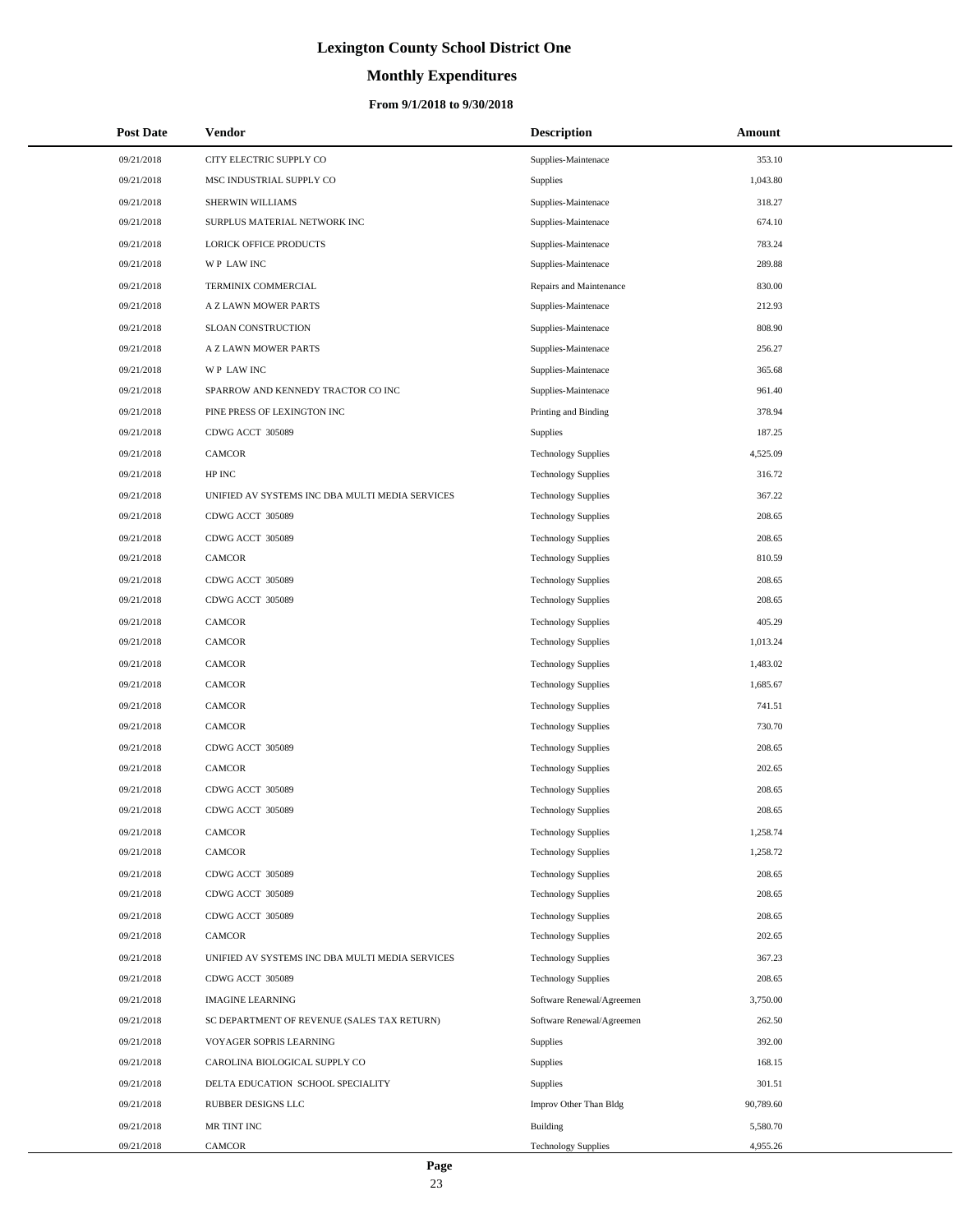# **Monthly Expenditures**

### **From 9/1/2018 to 9/30/2018**

| <b>Post Date</b> | Vendor                                          | <b>Description</b>         | Amount    |
|------------------|-------------------------------------------------|----------------------------|-----------|
| 09/21/2018       | CITY ELECTRIC SUPPLY CO                         | Supplies-Maintenace        | 353.10    |
| 09/21/2018       | MSC INDUSTRIAL SUPPLY CO                        | Supplies                   | 1,043.80  |
| 09/21/2018       | SHERWIN WILLIAMS                                | Supplies-Maintenace        | 318.27    |
| 09/21/2018       | SURPLUS MATERIAL NETWORK INC                    | Supplies-Maintenace        | 674.10    |
| 09/21/2018       | LORICK OFFICE PRODUCTS                          | Supplies-Maintenace        | 783.24    |
| 09/21/2018       | WP LAW INC                                      | Supplies-Maintenace        | 289.88    |
| 09/21/2018       | TERMINIX COMMERCIAL                             | Repairs and Maintenance    | 830.00    |
| 09/21/2018       | A Z LAWN MOWER PARTS                            | Supplies-Maintenace        | 212.93    |
| 09/21/2018       | SLOAN CONSTRUCTION                              | Supplies-Maintenace        | 808.90    |
| 09/21/2018       | A Z LAWN MOWER PARTS                            | Supplies-Maintenace        | 256.27    |
| 09/21/2018       | WP LAW INC                                      | Supplies-Maintenace        | 365.68    |
| 09/21/2018       | SPARROW AND KENNEDY TRACTOR CO INC              | Supplies-Maintenace        | 961.40    |
| 09/21/2018       | PINE PRESS OF LEXINGTON INC                     | Printing and Binding       | 378.94    |
| 09/21/2018       | CDWG ACCT 305089                                | Supplies                   | 187.25    |
| 09/21/2018       | <b>CAMCOR</b>                                   | <b>Technology Supplies</b> | 4,525.09  |
| 09/21/2018       | HP INC                                          | <b>Technology Supplies</b> | 316.72    |
| 09/21/2018       | UNIFIED AV SYSTEMS INC DBA MULTI MEDIA SERVICES | <b>Technology Supplies</b> | 367.22    |
| 09/21/2018       | CDWG ACCT 305089                                | <b>Technology Supplies</b> | 208.65    |
| 09/21/2018       | CDWG ACCT 305089                                | <b>Technology Supplies</b> | 208.65    |
| 09/21/2018       | <b>CAMCOR</b>                                   | <b>Technology Supplies</b> | 810.59    |
| 09/21/2018       | CDWG ACCT 305089                                | <b>Technology Supplies</b> | 208.65    |
| 09/21/2018       | CDWG ACCT 305089                                | <b>Technology Supplies</b> | 208.65    |
| 09/21/2018       | <b>CAMCOR</b>                                   | <b>Technology Supplies</b> | 405.29    |
| 09/21/2018       | <b>CAMCOR</b>                                   | <b>Technology Supplies</b> | 1,013.24  |
| 09/21/2018       | <b>CAMCOR</b>                                   | <b>Technology Supplies</b> | 1,483.02  |
| 09/21/2018       | <b>CAMCOR</b>                                   | <b>Technology Supplies</b> | 1,685.67  |
| 09/21/2018       | <b>CAMCOR</b>                                   | <b>Technology Supplies</b> | 741.51    |
| 09/21/2018       | <b>CAMCOR</b>                                   | <b>Technology Supplies</b> | 730.70    |
| 09/21/2018       | CDWG ACCT 305089                                | <b>Technology Supplies</b> | 208.65    |
| 09/21/2018       | <b>CAMCOR</b>                                   | <b>Technology Supplies</b> | 202.65    |
| 09/21/2018       | CDWG ACCT 305089                                | <b>Technology Supplies</b> | 208.65    |
| 09/21/2018       | CDWG ACCT 305089                                | <b>Technology Supplies</b> | 208.65    |
| 09/21/2018       | CAMCOR                                          | <b>Technology Supplies</b> | 1,258.74  |
| 09/21/2018       | <b>CAMCOR</b>                                   | <b>Technology Supplies</b> | 1,258.72  |
| 09/21/2018       | CDWG ACCT 305089                                | <b>Technology Supplies</b> | 208.65    |
| 09/21/2018       | CDWG ACCT 305089                                | <b>Technology Supplies</b> | 208.65    |
| 09/21/2018       | CDWG ACCT 305089                                | <b>Technology Supplies</b> | 208.65    |
| 09/21/2018       | <b>CAMCOR</b>                                   | <b>Technology Supplies</b> | 202.65    |
| 09/21/2018       | UNIFIED AV SYSTEMS INC DBA MULTI MEDIA SERVICES | <b>Technology Supplies</b> | 367.23    |
| 09/21/2018       | CDWG ACCT 305089                                | <b>Technology Supplies</b> | 208.65    |
| 09/21/2018       | <b>IMAGINE LEARNING</b>                         | Software Renewal/Agreemen  | 3,750.00  |
| 09/21/2018       | SC DEPARTMENT OF REVENUE (SALES TAX RETURN)     | Software Renewal/Agreemen  | 262.50    |
| 09/21/2018       | VOYAGER SOPRIS LEARNING                         | Supplies                   | 392.00    |
| 09/21/2018       | CAROLINA BIOLOGICAL SUPPLY CO                   | Supplies                   | 168.15    |
| 09/21/2018       | DELTA EDUCATION SCHOOL SPECIALITY               | Supplies                   | 301.51    |
| 09/21/2018       | RUBBER DESIGNS LLC                              | Improv Other Than Bldg     | 90,789.60 |
| 09/21/2018       | MR TINT INC                                     | Building                   | 5,580.70  |
| 09/21/2018       | CAMCOR                                          | <b>Technology Supplies</b> | 4,955.26  |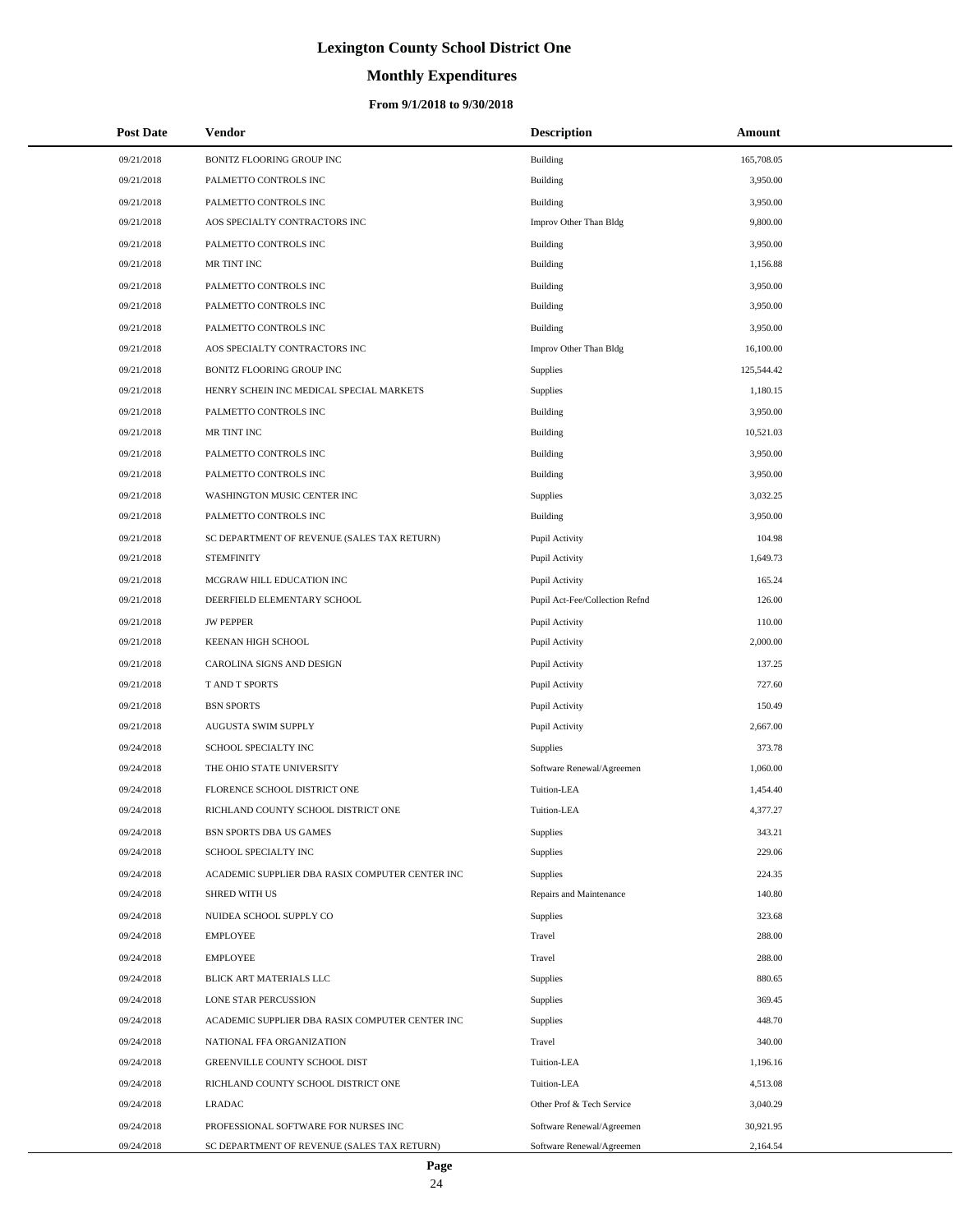# **Monthly Expenditures**

### **From 9/1/2018 to 9/30/2018**

| <b>Post Date</b> | Vendor                                          | <b>Description</b>             | Amount     |
|------------------|-------------------------------------------------|--------------------------------|------------|
| 09/21/2018       | BONITZ FLOORING GROUP INC                       | Building                       | 165,708.05 |
| 09/21/2018       | PALMETTO CONTROLS INC                           | Building                       | 3,950.00   |
| 09/21/2018       | PALMETTO CONTROLS INC                           | Building                       | 3,950.00   |
| 09/21/2018       | AOS SPECIALTY CONTRACTORS INC                   | Improv Other Than Bldg         | 9,800.00   |
| 09/21/2018       | PALMETTO CONTROLS INC                           | Building                       | 3,950.00   |
| 09/21/2018       | MR TINT INC                                     | Building                       | 1,156.88   |
| 09/21/2018       | PALMETTO CONTROLS INC                           | Building                       | 3,950.00   |
| 09/21/2018       | PALMETTO CONTROLS INC                           | Building                       | 3,950.00   |
| 09/21/2018       | PALMETTO CONTROLS INC                           | Building                       | 3,950.00   |
| 09/21/2018       | AOS SPECIALTY CONTRACTORS INC                   | Improv Other Than Bldg         | 16,100.00  |
| 09/21/2018       | BONITZ FLOORING GROUP INC                       | Supplies                       | 125,544.42 |
| 09/21/2018       | HENRY SCHEIN INC MEDICAL SPECIAL MARKETS        | Supplies                       | 1,180.15   |
| 09/21/2018       | PALMETTO CONTROLS INC                           | Building                       | 3,950.00   |
| 09/21/2018       | MR TINT INC                                     | Building                       | 10,521.03  |
| 09/21/2018       | PALMETTO CONTROLS INC                           | Building                       | 3,950.00   |
| 09/21/2018       | PALMETTO CONTROLS INC                           | Building                       | 3,950.00   |
| 09/21/2018       | WASHINGTON MUSIC CENTER INC                     | Supplies                       | 3,032.25   |
| 09/21/2018       | PALMETTO CONTROLS INC                           | Building                       | 3,950.00   |
| 09/21/2018       | SC DEPARTMENT OF REVENUE (SALES TAX RETURN)     | Pupil Activity                 | 104.98     |
| 09/21/2018       | <b>STEMFINITY</b>                               | Pupil Activity                 | 1,649.73   |
| 09/21/2018       | MCGRAW HILL EDUCATION INC                       | Pupil Activity                 | 165.24     |
| 09/21/2018       | DEERFIELD ELEMENTARY SCHOOL                     | Pupil Act-Fee/Collection Refnd | 126.00     |
| 09/21/2018       | <b>JW PEPPER</b>                                | Pupil Activity                 | 110.00     |
| 09/21/2018       | KEENAN HIGH SCHOOL                              | Pupil Activity                 | 2,000.00   |
| 09/21/2018       | CAROLINA SIGNS AND DESIGN                       | Pupil Activity                 | 137.25     |
| 09/21/2018       | T AND T SPORTS                                  | Pupil Activity                 | 727.60     |
| 09/21/2018       | <b>BSN SPORTS</b>                               | Pupil Activity                 | 150.49     |
| 09/21/2018       | AUGUSTA SWIM SUPPLY                             | Pupil Activity                 | 2,667.00   |
| 09/24/2018       | SCHOOL SPECIALTY INC                            | Supplies                       | 373.78     |
| 09/24/2018       | THE OHIO STATE UNIVERSITY                       | Software Renewal/Agreemen      | 1,060.00   |
| 09/24/2018       | FLORENCE SCHOOL DISTRICT ONE                    | Tuition-LEA                    | 1,454.40   |
| 09/24/2018       | RICHLAND COUNTY SCHOOL DISTRICT ONE             | Tuition-LEA                    | 4,377.27   |
| 09/24/2018       | BSN SPORTS DBA US GAMES                         | Supplies                       | 343.21     |
| 09/24/2018       | SCHOOL SPECIALTY INC                            | Supplies                       | 229.06     |
| 09/24/2018       | ACADEMIC SUPPLIER DBA RASIX COMPUTER CENTER INC | Supplies                       | 224.35     |
| 09/24/2018       | <b>SHRED WITH US</b>                            | Repairs and Maintenance        | 140.80     |
| 09/24/2018       | NUIDEA SCHOOL SUPPLY CO                         | Supplies                       | 323.68     |
| 09/24/2018       | <b>EMPLOYEE</b>                                 | Travel                         | 288.00     |
| 09/24/2018       | <b>EMPLOYEE</b>                                 | Travel                         | 288.00     |
| 09/24/2018       | BLICK ART MATERIALS LLC                         | Supplies                       | 880.65     |
| 09/24/2018       | LONE STAR PERCUSSION                            | Supplies                       | 369.45     |
| 09/24/2018       | ACADEMIC SUPPLIER DBA RASIX COMPUTER CENTER INC | Supplies                       | 448.70     |
| 09/24/2018       | NATIONAL FFA ORGANIZATION                       | Travel                         | 340.00     |
| 09/24/2018       | GREENVILLE COUNTY SCHOOL DIST                   | Tuition-LEA                    | 1,196.16   |
| 09/24/2018       | RICHLAND COUNTY SCHOOL DISTRICT ONE             | Tuition-LEA                    | 4,513.08   |
| 09/24/2018       | <b>LRADAC</b>                                   | Other Prof & Tech Service      | 3,040.29   |
| 09/24/2018       | PROFESSIONAL SOFTWARE FOR NURSES INC            | Software Renewal/Agreemen      | 30,921.95  |
| 09/24/2018       | SC DEPARTMENT OF REVENUE (SALES TAX RETURN)     | Software Renewal/Agreemen      | 2,164.54   |

L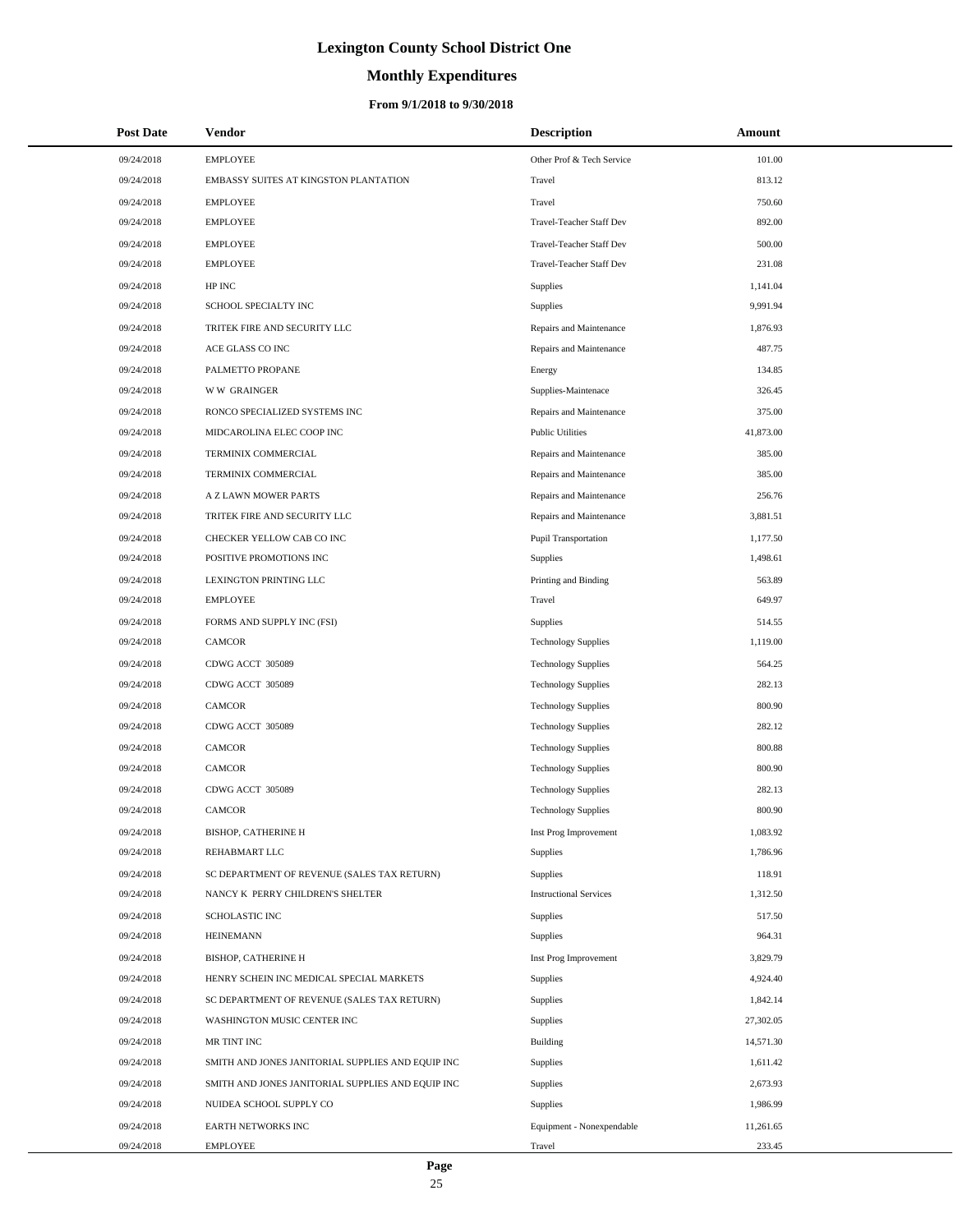# **Monthly Expenditures**

| <b>Post Date</b> | Vendor                                            | <b>Description</b>              | Amount    |
|------------------|---------------------------------------------------|---------------------------------|-----------|
| 09/24/2018       | <b>EMPLOYEE</b>                                   | Other Prof & Tech Service       | 101.00    |
| 09/24/2018       | EMBASSY SUITES AT KINGSTON PLANTATION             | Travel                          | 813.12    |
| 09/24/2018       | <b>EMPLOYEE</b>                                   | Travel                          | 750.60    |
| 09/24/2018       | <b>EMPLOYEE</b>                                   | <b>Travel-Teacher Staff Dev</b> | 892.00    |
| 09/24/2018       | <b>EMPLOYEE</b>                                   | Travel-Teacher Staff Dev        | 500.00    |
| 09/24/2018       | <b>EMPLOYEE</b>                                   | Travel-Teacher Staff Dev        | 231.08    |
| 09/24/2018       | HP INC                                            | Supplies                        | 1,141.04  |
| 09/24/2018       | SCHOOL SPECIALTY INC                              | Supplies                        | 9,991.94  |
| 09/24/2018       | TRITEK FIRE AND SECURITY LLC                      | Repairs and Maintenance         | 1,876.93  |
| 09/24/2018       | ACE GLASS CO INC                                  | Repairs and Maintenance         | 487.75    |
| 09/24/2018       | PALMETTO PROPANE                                  | Energy                          | 134.85    |
| 09/24/2018       | <b>WW GRAINGER</b>                                | Supplies-Maintenace             | 326.45    |
| 09/24/2018       | RONCO SPECIALIZED SYSTEMS INC                     | Repairs and Maintenance         | 375.00    |
| 09/24/2018       | MIDCAROLINA ELEC COOP INC                         | <b>Public Utilities</b>         | 41,873.00 |
| 09/24/2018       | TERMINIX COMMERCIAL                               | Repairs and Maintenance         | 385.00    |
| 09/24/2018       | TERMINIX COMMERCIAL                               | Repairs and Maintenance         | 385.00    |
| 09/24/2018       | A Z LAWN MOWER PARTS                              | Repairs and Maintenance         | 256.76    |
| 09/24/2018       | TRITEK FIRE AND SECURITY LLC                      | Repairs and Maintenance         | 3,881.51  |
| 09/24/2018       | CHECKER YELLOW CAB CO INC                         | Pupil Transportation            | 1,177.50  |
| 09/24/2018       | POSITIVE PROMOTIONS INC                           | <b>Supplies</b>                 | 1,498.61  |
| 09/24/2018       | LEXINGTON PRINTING LLC                            | Printing and Binding            | 563.89    |
| 09/24/2018       | <b>EMPLOYEE</b>                                   | Travel                          | 649.97    |
| 09/24/2018       | FORMS AND SUPPLY INC (FSI)                        | Supplies                        | 514.55    |
| 09/24/2018       | <b>CAMCOR</b>                                     | <b>Technology Supplies</b>      | 1,119.00  |
| 09/24/2018       | CDWG ACCT 305089                                  | <b>Technology Supplies</b>      | 564.25    |
| 09/24/2018       | CDWG ACCT 305089                                  | <b>Technology Supplies</b>      | 282.13    |
| 09/24/2018       | <b>CAMCOR</b>                                     | <b>Technology Supplies</b>      | 800.90    |
| 09/24/2018       | CDWG ACCT 305089                                  | <b>Technology Supplies</b>      | 282.12    |
| 09/24/2018       | CAMCOR                                            | <b>Technology Supplies</b>      | 800.88    |
| 09/24/2018       | <b>CAMCOR</b>                                     | <b>Technology Supplies</b>      | 800.90    |
| 09/24/2018       | CDWG ACCT 305089                                  | <b>Technology Supplies</b>      | 282.13    |
| 09/24/2018       | CAMCOR                                            | <b>Technology Supplies</b>      | 800.90    |
| 09/24/2018       | <b>BISHOP, CATHERINE H</b>                        | Inst Prog Improvement           | 1,083.92  |
| 09/24/2018       | REHABMART LLC                                     | Supplies                        | 1,786.96  |
| 09/24/2018       | SC DEPARTMENT OF REVENUE (SALES TAX RETURN)       | Supplies                        | 118.91    |
| 09/24/2018       | NANCY K PERRY CHILDREN'S SHELTER                  | <b>Instructional Services</b>   | 1,312.50  |
| 09/24/2018       | <b>SCHOLASTIC INC</b>                             | Supplies                        | 517.50    |
| 09/24/2018       | <b>HEINEMANN</b>                                  | Supplies                        | 964.31    |
| 09/24/2018       | <b>BISHOP, CATHERINE H</b>                        | Inst Prog Improvement           | 3,829.79  |
| 09/24/2018       | HENRY SCHEIN INC MEDICAL SPECIAL MARKETS          | <b>Supplies</b>                 | 4,924.40  |
| 09/24/2018       | SC DEPARTMENT OF REVENUE (SALES TAX RETURN)       | <b>Supplies</b>                 | 1,842.14  |
| 09/24/2018       | WASHINGTON MUSIC CENTER INC                       | <b>Supplies</b>                 | 27,302.05 |
| 09/24/2018       | MR TINT INC                                       | Building                        | 14,571.30 |
| 09/24/2018       | SMITH AND JONES JANITORIAL SUPPLIES AND EQUIP INC | <b>Supplies</b>                 | 1,611.42  |
| 09/24/2018       | SMITH AND JONES JANITORIAL SUPPLIES AND EQUIP INC | <b>Supplies</b>                 | 2,673.93  |
| 09/24/2018       | NUIDEA SCHOOL SUPPLY CO                           | <b>Supplies</b>                 | 1,986.99  |
| 09/24/2018       | EARTH NETWORKS INC                                | Equipment - Nonexpendable       | 11,261.65 |
| 09/24/2018       | <b>EMPLOYEE</b>                                   | Travel                          | 233.45    |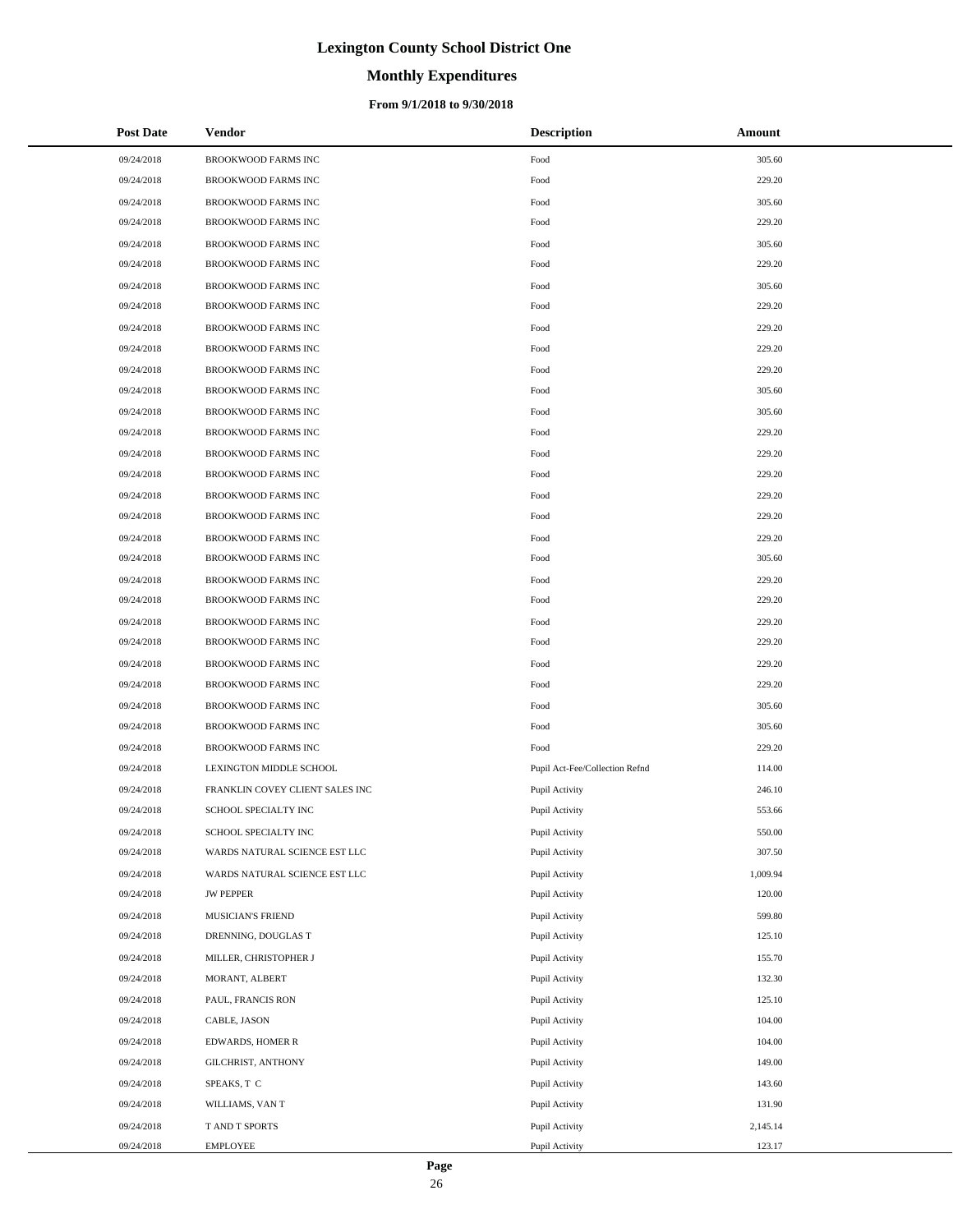# **Monthly Expenditures**

### **From 9/1/2018 to 9/30/2018**

| <b>Post Date</b> | Vendor                          | <b>Description</b>             | Amount   |
|------------------|---------------------------------|--------------------------------|----------|
| 09/24/2018       | <b>BROOKWOOD FARMS INC</b>      | Food                           | 305.60   |
| 09/24/2018       | <b>BROOKWOOD FARMS INC</b>      | Food                           | 229.20   |
| 09/24/2018       | BROOKWOOD FARMS INC             | Food                           | 305.60   |
| 09/24/2018       | BROOKWOOD FARMS INC             | Food                           | 229.20   |
| 09/24/2018       | BROOKWOOD FARMS INC             | Food                           | 305.60   |
| 09/24/2018       | BROOKWOOD FARMS INC             | Food                           | 229.20   |
| 09/24/2018       | BROOKWOOD FARMS INC             | Food                           | 305.60   |
| 09/24/2018       | BROOKWOOD FARMS INC             | Food                           | 229.20   |
| 09/24/2018       | BROOKWOOD FARMS INC             | Food                           | 229.20   |
| 09/24/2018       | BROOKWOOD FARMS INC             | Food                           | 229.20   |
| 09/24/2018       | BROOKWOOD FARMS INC             | Food                           | 229.20   |
| 09/24/2018       | BROOKWOOD FARMS INC             | Food                           | 305.60   |
| 09/24/2018       | BROOKWOOD FARMS INC             | Food                           | 305.60   |
| 09/24/2018       | <b>BROOKWOOD FARMS INC</b>      | Food                           | 229.20   |
| 09/24/2018       | BROOKWOOD FARMS INC             | Food                           | 229.20   |
| 09/24/2018       | BROOKWOOD FARMS INC             | Food                           | 229.20   |
| 09/24/2018       | BROOKWOOD FARMS INC             | Food                           | 229.20   |
| 09/24/2018       | BROOKWOOD FARMS INC             | Food                           | 229.20   |
| 09/24/2018       | BROOKWOOD FARMS INC             | Food                           | 229.20   |
| 09/24/2018       | <b>BROOKWOOD FARMS INC</b>      | Food                           | 305.60   |
| 09/24/2018       | BROOKWOOD FARMS INC             | Food                           | 229.20   |
| 09/24/2018       | BROOKWOOD FARMS INC             | Food                           | 229.20   |
| 09/24/2018       | BROOKWOOD FARMS INC             | Food                           | 229.20   |
| 09/24/2018       | BROOKWOOD FARMS INC             | Food                           | 229.20   |
| 09/24/2018       | BROOKWOOD FARMS INC             | Food                           | 229.20   |
| 09/24/2018       | BROOKWOOD FARMS INC             | Food                           | 229.20   |
| 09/24/2018       | BROOKWOOD FARMS INC             | Food                           | 305.60   |
| 09/24/2018       | <b>BROOKWOOD FARMS INC</b>      | Food                           | 305.60   |
| 09/24/2018       | <b>BROOKWOOD FARMS INC</b>      | Food                           | 229.20   |
| 09/24/2018       | LEXINGTON MIDDLE SCHOOL         | Pupil Act-Fee/Collection Refnd | 114.00   |
| 09/24/2018       | FRANKLIN COVEY CLIENT SALES INC | Pupil Activity                 | 246.10   |
| 09/24/2018       | SCHOOL SPECIALTY INC            | Pupil Activity                 | 553.66   |
| 09/24/2018       | SCHOOL SPECIALTY INC            | Pupil Activity                 | 550.00   |
| 09/24/2018       | WARDS NATURAL SCIENCE EST LLC   | Pupil Activity                 | 307.50   |
| 09/24/2018       | WARDS NATURAL SCIENCE EST LLC   | Pupil Activity                 | 1,009.94 |
| 09/24/2018       | <b>JW PEPPER</b>                | Pupil Activity                 | 120.00   |
| 09/24/2018       | MUSICIAN'S FRIEND               | Pupil Activity                 | 599.80   |
| 09/24/2018       | DRENNING, DOUGLAS T             | Pupil Activity                 | 125.10   |
| 09/24/2018       | MILLER, CHRISTOPHER J           | Pupil Activity                 | 155.70   |
| 09/24/2018       | MORANT, ALBERT                  | Pupil Activity                 | 132.30   |
| 09/24/2018       | PAUL, FRANCIS RON               | Pupil Activity                 | 125.10   |
| 09/24/2018       | CABLE, JASON                    | Pupil Activity                 | 104.00   |
| 09/24/2018       | EDWARDS, HOMER R                | Pupil Activity                 | 104.00   |
| 09/24/2018       | GILCHRIST, ANTHONY              | Pupil Activity                 | 149.00   |
| 09/24/2018       | SPEAKS, T C                     | Pupil Activity                 | 143.60   |
| 09/24/2018       | WILLIAMS, VAN T                 | Pupil Activity                 | 131.90   |
| 09/24/2018       | T AND T SPORTS                  | Pupil Activity                 | 2,145.14 |
| 09/24/2018       | <b>EMPLOYEE</b>                 | Pupil Activity                 | 123.17   |

÷.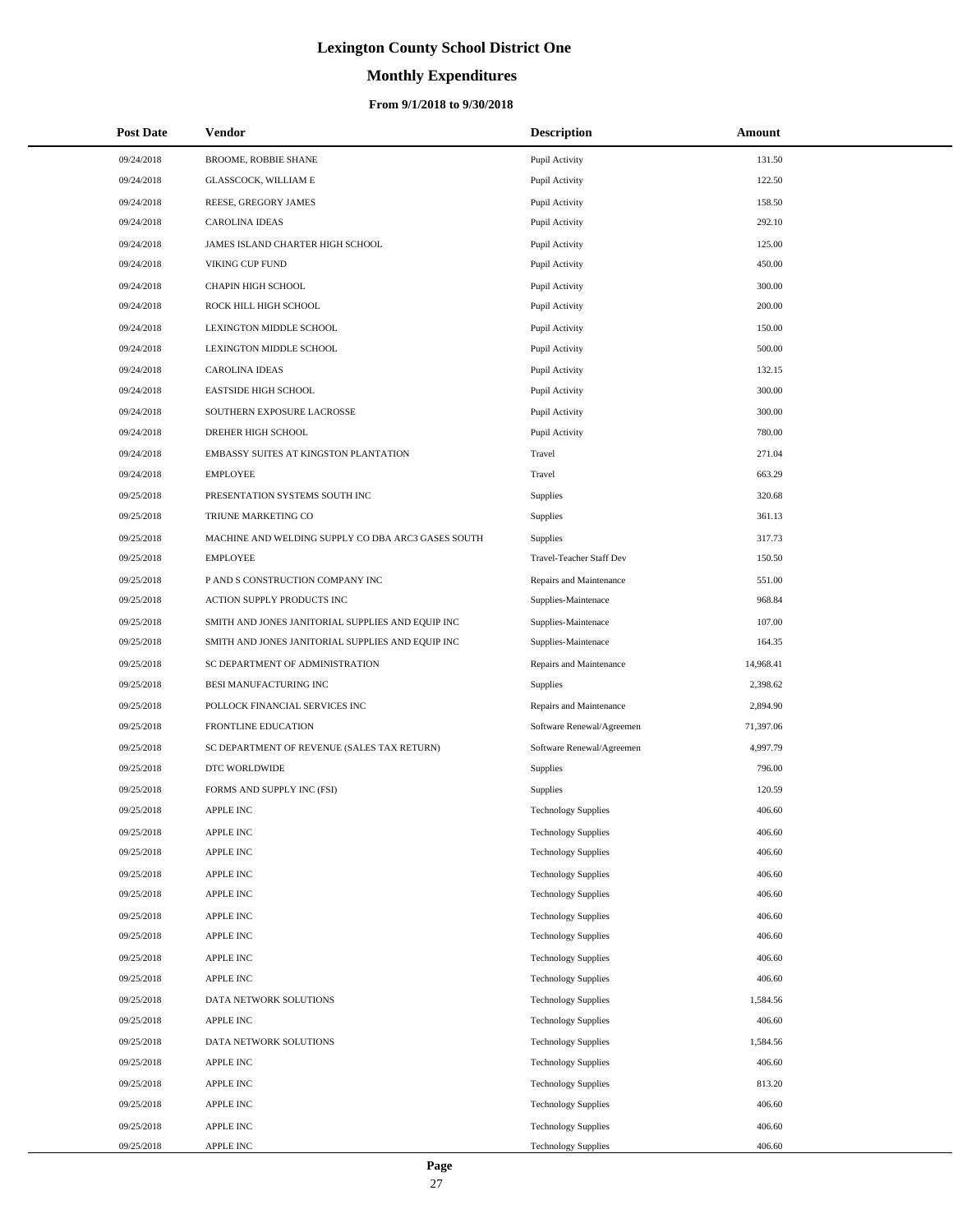# **Monthly Expenditures**

### **From 9/1/2018 to 9/30/2018**

| <b>Post Date</b> | <b>Vendor</b>                                      | <b>Description</b>         | <b>Amount</b> |
|------------------|----------------------------------------------------|----------------------------|---------------|
| 09/24/2018       | BROOME, ROBBIE SHANE                               | Pupil Activity             | 131.50        |
| 09/24/2018       | GLASSCOCK, WILLIAM E                               | Pupil Activity             | 122.50        |
| 09/24/2018       | REESE, GREGORY JAMES                               | Pupil Activity             | 158.50        |
| 09/24/2018       | <b>CAROLINA IDEAS</b>                              | Pupil Activity             | 292.10        |
| 09/24/2018       | JAMES ISLAND CHARTER HIGH SCHOOL                   | Pupil Activity             | 125.00        |
| 09/24/2018       | VIKING CUP FUND                                    | Pupil Activity             | 450.00        |
| 09/24/2018       | CHAPIN HIGH SCHOOL                                 | Pupil Activity             | 300.00        |
| 09/24/2018       | ROCK HILL HIGH SCHOOL                              | Pupil Activity             | 200.00        |
| 09/24/2018       | LEXINGTON MIDDLE SCHOOL                            | Pupil Activity             | 150.00        |
| 09/24/2018       | LEXINGTON MIDDLE SCHOOL                            | Pupil Activity             | 500.00        |
| 09/24/2018       | <b>CAROLINA IDEAS</b>                              | Pupil Activity             | 132.15        |
| 09/24/2018       | <b>EASTSIDE HIGH SCHOOL</b>                        | Pupil Activity             | 300.00        |
| 09/24/2018       | SOUTHERN EXPOSURE LACROSSE                         | Pupil Activity             | 300.00        |
| 09/24/2018       | DREHER HIGH SCHOOL                                 | Pupil Activity             | 780.00        |
| 09/24/2018       | EMBASSY SUITES AT KINGSTON PLANTATION              | Travel                     | 271.04        |
| 09/24/2018       | <b>EMPLOYEE</b>                                    | Travel                     | 663.29        |
| 09/25/2018       | PRESENTATION SYSTEMS SOUTH INC                     | Supplies                   | 320.68        |
| 09/25/2018       | TRIUNE MARKETING CO                                | Supplies                   | 361.13        |
| 09/25/2018       | MACHINE AND WELDING SUPPLY CO DBA ARC3 GASES SOUTH | Supplies                   | 317.73        |
| 09/25/2018       | <b>EMPLOYEE</b>                                    | Travel-Teacher Staff Dev   | 150.50        |
| 09/25/2018       | P AND S CONSTRUCTION COMPANY INC                   | Repairs and Maintenance    | 551.00        |
| 09/25/2018       | ACTION SUPPLY PRODUCTS INC                         | Supplies-Maintenace        | 968.84        |
| 09/25/2018       | SMITH AND JONES JANITORIAL SUPPLIES AND EQUIP INC  | Supplies-Maintenace        | 107.00        |
| 09/25/2018       | SMITH AND JONES JANITORIAL SUPPLIES AND EQUIP INC  | Supplies-Maintenace        | 164.35        |
| 09/25/2018       | SC DEPARTMENT OF ADMINISTRATION                    | Repairs and Maintenance    | 14,968.41     |
| 09/25/2018       | BESI MANUFACTURING INC                             | <b>Supplies</b>            | 2,398.62      |
| 09/25/2018       | POLLOCK FINANCIAL SERVICES INC                     | Repairs and Maintenance    | 2,894.90      |
| 09/25/2018       | <b>FRONTLINE EDUCATION</b>                         | Software Renewal/Agreemen  | 71,397.06     |
| 09/25/2018       | SC DEPARTMENT OF REVENUE (SALES TAX RETURN)        | Software Renewal/Agreemen  | 4,997.79      |
| 09/25/2018       | DTC WORLDWIDE                                      | Supplies                   | 796.00        |
| 09/25/2018       | FORMS AND SUPPLY INC (FSI)                         | Supplies                   | 120.59        |
| 09/25/2018       | <b>APPLE INC</b>                                   | <b>Technology Supplies</b> | 406.60        |
| 09/25/2018       | APPLE INC                                          | <b>Technology Supplies</b> | 406.60        |
| 09/25/2018       | APPLE INC                                          | <b>Technology Supplies</b> | 406.60        |
| 09/25/2018       | APPLE INC                                          | <b>Technology Supplies</b> | 406.60        |
| 09/25/2018       | <b>APPLE INC</b>                                   | <b>Technology Supplies</b> | 406.60        |
| 09/25/2018       | APPLE INC                                          | <b>Technology Supplies</b> | 406.60        |
| 09/25/2018       | APPLE INC                                          | <b>Technology Supplies</b> | 406.60        |
| 09/25/2018       | <b>APPLE INC</b>                                   | <b>Technology Supplies</b> | 406.60        |
| 09/25/2018       | <b>APPLE INC</b>                                   | <b>Technology Supplies</b> | 406.60        |
| 09/25/2018       | DATA NETWORK SOLUTIONS                             | <b>Technology Supplies</b> | 1,584.56      |
| 09/25/2018       | APPLE INC                                          | <b>Technology Supplies</b> | 406.60        |
| 09/25/2018       | DATA NETWORK SOLUTIONS                             | <b>Technology Supplies</b> | 1,584.56      |
| 09/25/2018       | APPLE INC                                          | <b>Technology Supplies</b> | 406.60        |
| 09/25/2018       | APPLE INC                                          | <b>Technology Supplies</b> | 813.20        |
| 09/25/2018       | APPLE INC                                          | <b>Technology Supplies</b> | 406.60        |
| 09/25/2018       | APPLE INC                                          | <b>Technology Supplies</b> | 406.60        |
| 09/25/2018       | APPLE INC                                          | <b>Technology Supplies</b> | 406.60        |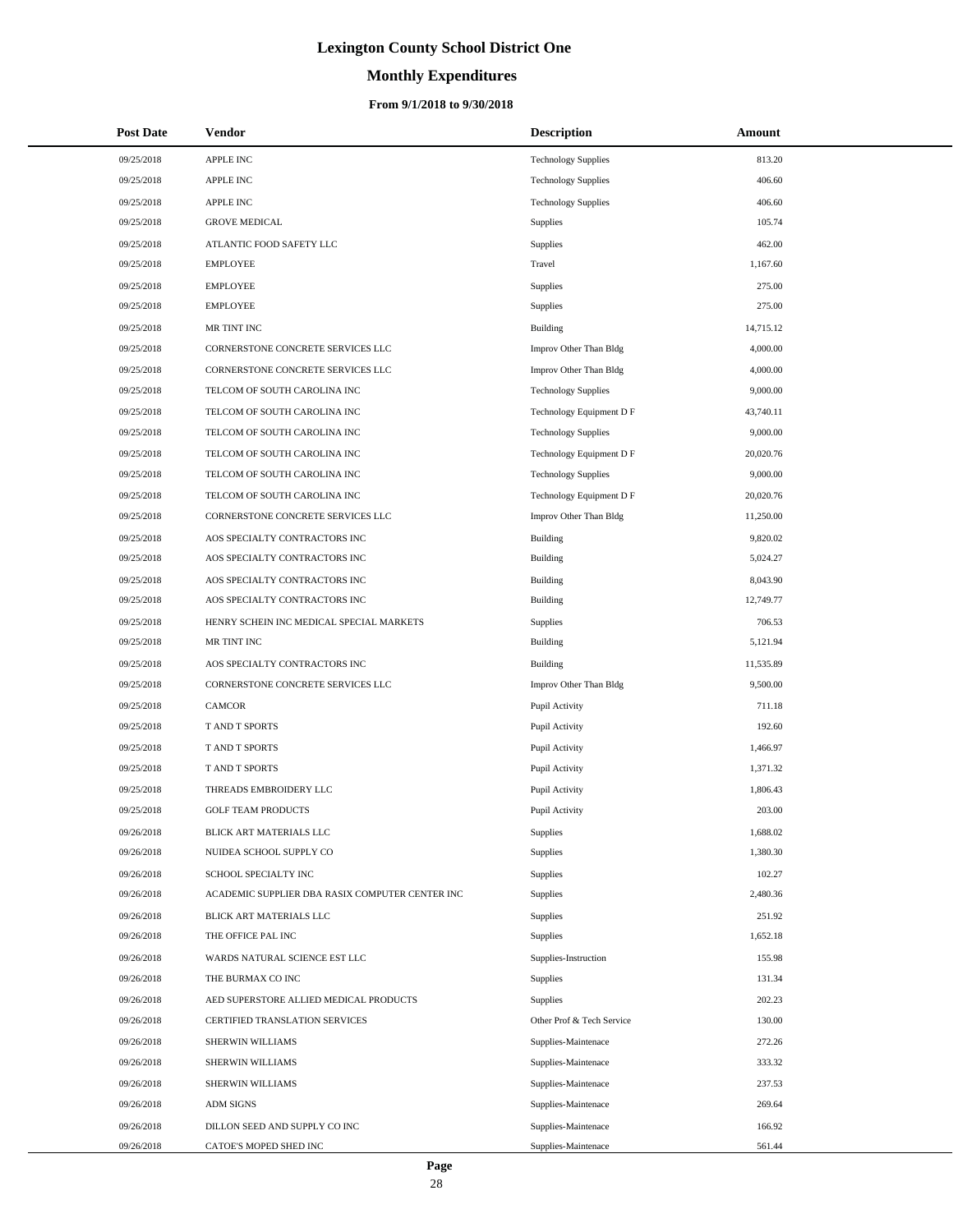# **Monthly Expenditures**

| <b>Post Date</b> | Vendor                                          | <b>Description</b>         | Amount    |
|------------------|-------------------------------------------------|----------------------------|-----------|
| 09/25/2018       | <b>APPLE INC</b>                                | <b>Technology Supplies</b> | 813.20    |
| 09/25/2018       | APPLE INC                                       | <b>Technology Supplies</b> | 406.60    |
| 09/25/2018       | APPLE INC                                       | <b>Technology Supplies</b> | 406.60    |
| 09/25/2018       | <b>GROVE MEDICAL</b>                            | Supplies                   | 105.74    |
| 09/25/2018       | ATLANTIC FOOD SAFETY LLC                        | Supplies                   | 462.00    |
| 09/25/2018       | <b>EMPLOYEE</b>                                 | Travel                     | 1,167.60  |
| 09/25/2018       | <b>EMPLOYEE</b>                                 | Supplies                   | 275.00    |
| 09/25/2018       | <b>EMPLOYEE</b>                                 | Supplies                   | 275.00    |
| 09/25/2018       | MR TINT INC                                     | Building                   | 14,715.12 |
| 09/25/2018       | CORNERSTONE CONCRETE SERVICES LLC               | Improv Other Than Bldg     | 4,000.00  |
| 09/25/2018       | CORNERSTONE CONCRETE SERVICES LLC               | Improv Other Than Bldg     | 4,000.00  |
| 09/25/2018       | TELCOM OF SOUTH CAROLINA INC                    | <b>Technology Supplies</b> | 9,000.00  |
| 09/25/2018       | TELCOM OF SOUTH CAROLINA INC                    | Technology Equipment D F   | 43,740.11 |
| 09/25/2018       | TELCOM OF SOUTH CAROLINA INC                    | <b>Technology Supplies</b> | 9,000.00  |
| 09/25/2018       | TELCOM OF SOUTH CAROLINA INC                    | Technology Equipment D F   | 20,020.76 |
| 09/25/2018       | TELCOM OF SOUTH CAROLINA INC                    | <b>Technology Supplies</b> | 9,000.00  |
| 09/25/2018       | TELCOM OF SOUTH CAROLINA INC                    | Technology Equipment D F   | 20,020.76 |
| 09/25/2018       | CORNERSTONE CONCRETE SERVICES LLC               | Improv Other Than Bldg     | 11,250.00 |
| 09/25/2018       | AOS SPECIALTY CONTRACTORS INC                   | <b>Building</b>            | 9,820.02  |
| 09/25/2018       | AOS SPECIALTY CONTRACTORS INC                   | <b>Building</b>            | 5,024.27  |
| 09/25/2018       | AOS SPECIALTY CONTRACTORS INC                   | Building                   | 8,043.90  |
| 09/25/2018       | AOS SPECIALTY CONTRACTORS INC                   | <b>Building</b>            | 12,749.77 |
| 09/25/2018       | HENRY SCHEIN INC MEDICAL SPECIAL MARKETS        | <b>Supplies</b>            | 706.53    |
| 09/25/2018       | MR TINT INC                                     | <b>Building</b>            | 5,121.94  |
| 09/25/2018       | AOS SPECIALTY CONTRACTORS INC                   | Building                   | 11,535.89 |
| 09/25/2018       | CORNERSTONE CONCRETE SERVICES LLC               | Improv Other Than Bldg     | 9,500.00  |
| 09/25/2018       | CAMCOR                                          | Pupil Activity             | 711.18    |
| 09/25/2018       | T AND T SPORTS                                  | Pupil Activity             | 192.60    |
| 09/25/2018       | T AND T SPORTS                                  | Pupil Activity             | 1,466.97  |
| 09/25/2018       | T AND T SPORTS                                  | Pupil Activity             | 1,371.32  |
| 09/25/2018       | THREADS EMBROIDERY LLC                          | Pupil Activity             | 1,806.43  |
| 09/25/2018       | <b>GOLF TEAM PRODUCTS</b>                       | Pupil Activity             | 203.00    |
| 09/26/2018       | BLICK ART MATERIALS LLC                         | Supplies                   | 1,688.02  |
| 09/26/2018       | NUIDEA SCHOOL SUPPLY CO                         | <b>Supplies</b>            | 1,380.30  |
| 09/26/2018       | SCHOOL SPECIALTY INC                            | Supplies                   | 102.27    |
| 09/26/2018       | ACADEMIC SUPPLIER DBA RASIX COMPUTER CENTER INC | Supplies                   | 2,480.36  |
| 09/26/2018       | BLICK ART MATERIALS LLC                         | Supplies                   | 251.92    |
| 09/26/2018       | THE OFFICE PAL INC                              | Supplies                   | 1,652.18  |
| 09/26/2018       | WARDS NATURAL SCIENCE EST LLC                   | Supplies-Instruction       | 155.98    |
| 09/26/2018       | THE BURMAX CO INC                               | Supplies                   | 131.34    |
| 09/26/2018       | AED SUPERSTORE ALLIED MEDICAL PRODUCTS          | <b>Supplies</b>            | 202.23    |
| 09/26/2018       | CERTIFIED TRANSLATION SERVICES                  | Other Prof & Tech Service  | 130.00    |
| 09/26/2018       | SHERWIN WILLIAMS                                | Supplies-Maintenace        | 272.26    |
| 09/26/2018       | SHERWIN WILLIAMS                                | Supplies-Maintenace        | 333.32    |
| 09/26/2018       | SHERWIN WILLIAMS                                | Supplies-Maintenace        | 237.53    |
| 09/26/2018       | <b>ADM SIGNS</b>                                | Supplies-Maintenace        | 269.64    |
| 09/26/2018       | DILLON SEED AND SUPPLY CO INC                   | Supplies-Maintenace        | 166.92    |
| 09/26/2018       | CATOE'S MOPED SHED INC                          | Supplies-Maintenace        | 561.44    |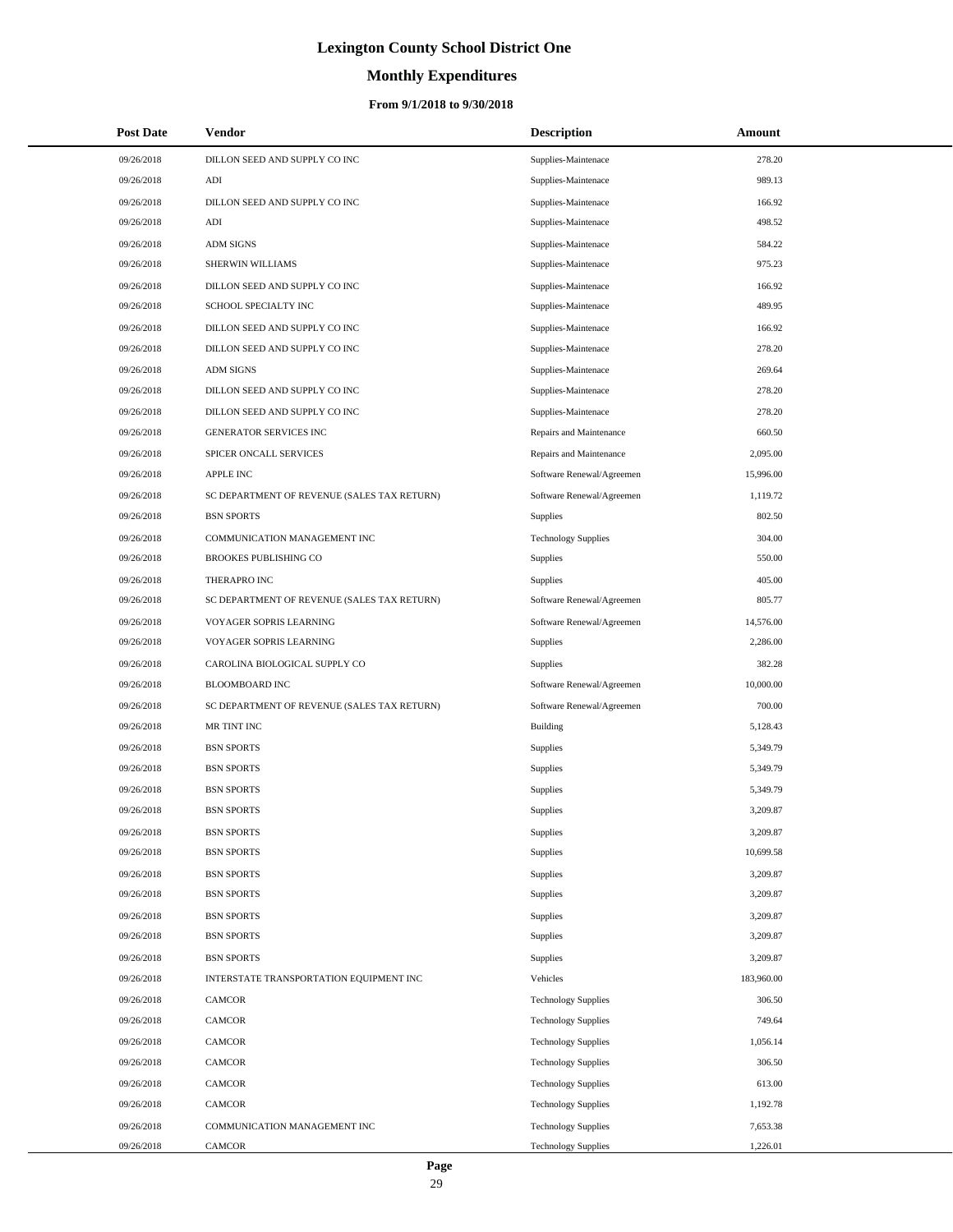# **Monthly Expenditures**

| <b>Post Date</b> | Vendor                                      | <b>Description</b>         | Amount     |
|------------------|---------------------------------------------|----------------------------|------------|
| 09/26/2018       | DILLON SEED AND SUPPLY CO INC               | Supplies-Maintenace        | 278.20     |
| 09/26/2018       | ADI                                         | Supplies-Maintenace        | 989.13     |
| 09/26/2018       | DILLON SEED AND SUPPLY CO INC               | Supplies-Maintenace        | 166.92     |
| 09/26/2018       | $\mathbf{A}\mathbf{D}\mathbf{I}$            | Supplies-Maintenace        | 498.52     |
| 09/26/2018       | <b>ADM SIGNS</b>                            | Supplies-Maintenace        | 584.22     |
| 09/26/2018       | SHERWIN WILLIAMS                            | Supplies-Maintenace        | 975.23     |
| 09/26/2018       | DILLON SEED AND SUPPLY CO INC               | Supplies-Maintenace        | 166.92     |
| 09/26/2018       | SCHOOL SPECIALTY INC                        | Supplies-Maintenace        | 489.95     |
| 09/26/2018       | DILLON SEED AND SUPPLY CO INC               | Supplies-Maintenace        | 166.92     |
| 09/26/2018       | DILLON SEED AND SUPPLY CO INC               | Supplies-Maintenace        | 278.20     |
| 09/26/2018       | <b>ADM SIGNS</b>                            | Supplies-Maintenace        | 269.64     |
| 09/26/2018       | DILLON SEED AND SUPPLY CO INC               | Supplies-Maintenace        | 278.20     |
| 09/26/2018       | DILLON SEED AND SUPPLY CO INC               | Supplies-Maintenace        | 278.20     |
| 09/26/2018       | <b>GENERATOR SERVICES INC</b>               | Repairs and Maintenance    | 660.50     |
| 09/26/2018       | SPICER ONCALL SERVICES                      | Repairs and Maintenance    | 2,095.00   |
| 09/26/2018       | <b>APPLE INC</b>                            | Software Renewal/Agreemen  | 15,996.00  |
| 09/26/2018       | SC DEPARTMENT OF REVENUE (SALES TAX RETURN) | Software Renewal/Agreemen  | 1,119.72   |
| 09/26/2018       | <b>BSN SPORTS</b>                           | Supplies                   | 802.50     |
| 09/26/2018       | COMMUNICATION MANAGEMENT INC                | <b>Technology Supplies</b> | 304.00     |
| 09/26/2018       | <b>BROOKES PUBLISHING CO</b>                | Supplies                   | 550.00     |
| 09/26/2018       | THERAPRO INC                                | Supplies                   | 405.00     |
| 09/26/2018       | SC DEPARTMENT OF REVENUE (SALES TAX RETURN) | Software Renewal/Agreemen  | 805.77     |
| 09/26/2018       | VOYAGER SOPRIS LEARNING                     | Software Renewal/Agreemen  | 14,576.00  |
| 09/26/2018       | VOYAGER SOPRIS LEARNING                     | Supplies                   | 2,286.00   |
| 09/26/2018       | CAROLINA BIOLOGICAL SUPPLY CO               | Supplies                   | 382.28     |
| 09/26/2018       | BLOOMBOARD INC                              | Software Renewal/Agreemen  | 10,000.00  |
| 09/26/2018       | SC DEPARTMENT OF REVENUE (SALES TAX RETURN) | Software Renewal/Agreemen  | 700.00     |
| 09/26/2018       | MR TINT INC                                 | <b>Building</b>            | 5,128.43   |
| 09/26/2018       | <b>BSN SPORTS</b>                           | <b>Supplies</b>            | 5,349.79   |
| 09/26/2018       | <b>BSN SPORTS</b>                           | Supplies                   | 5,349.79   |
| 09/26/2018       | <b>BSN SPORTS</b>                           | Supplies                   | 5,349.79   |
| 09/26/2018       | <b>BSN SPORTS</b>                           | Supplies                   | 3,209.87   |
| 09/26/2018       | <b>BSN SPORTS</b>                           | <b>Supplies</b>            | 3,209.87   |
| 09/26/2018       | <b>BSN SPORTS</b>                           | Supplies                   | 10,699.58  |
| 09/26/2018       | <b>BSN SPORTS</b>                           | Supplies                   | 3,209.87   |
| 09/26/2018       | <b>BSN SPORTS</b>                           | <b>Supplies</b>            | 3,209.87   |
| 09/26/2018       | <b>BSN SPORTS</b>                           | <b>Supplies</b>            | 3,209.87   |
| 09/26/2018       | <b>BSN SPORTS</b>                           | <b>Supplies</b>            | 3,209.87   |
| 09/26/2018       | <b>BSN SPORTS</b>                           | Supplies                   | 3,209.87   |
| 09/26/2018       | INTERSTATE TRANSPORTATION EQUIPMENT INC     | Vehicles                   | 183,960.00 |
| 09/26/2018       | <b>CAMCOR</b>                               | <b>Technology Supplies</b> | 306.50     |
| 09/26/2018       | <b>CAMCOR</b>                               | <b>Technology Supplies</b> | 749.64     |
| 09/26/2018       | <b>CAMCOR</b>                               | <b>Technology Supplies</b> | 1,056.14   |
| 09/26/2018       | <b>CAMCOR</b>                               | <b>Technology Supplies</b> | 306.50     |
| 09/26/2018       | <b>CAMCOR</b>                               | <b>Technology Supplies</b> | 613.00     |
| 09/26/2018       | <b>CAMCOR</b>                               | <b>Technology Supplies</b> | 1,192.78   |
| 09/26/2018       | COMMUNICATION MANAGEMENT INC                | <b>Technology Supplies</b> | 7,653.38   |
| 09/26/2018       | CAMCOR                                      | <b>Technology Supplies</b> | 1,226.01   |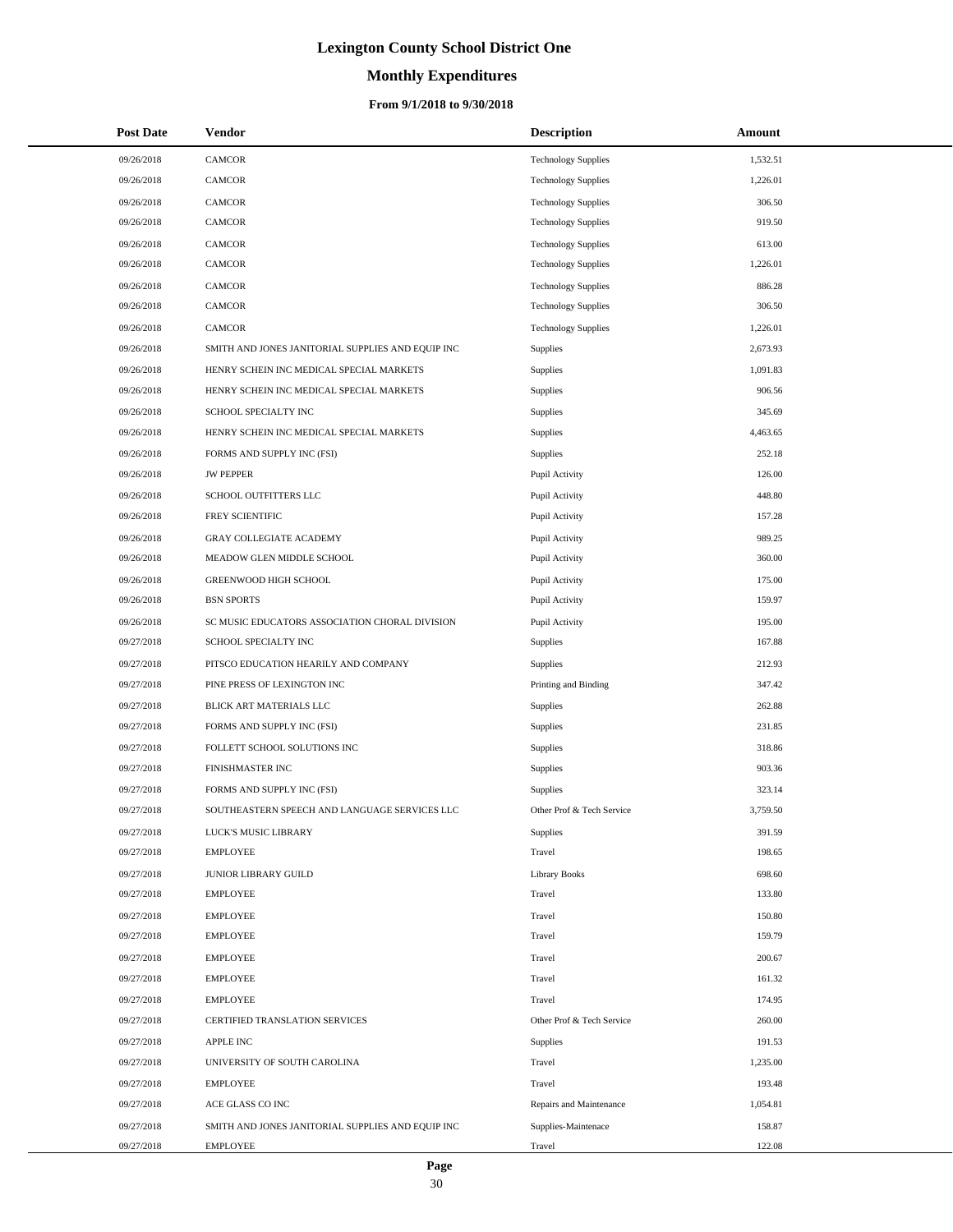# **Monthly Expenditures**

### **From 9/1/2018 to 9/30/2018**

| <b>Post Date</b> | Vendor                                            | <b>Description</b>         | Amount   |
|------------------|---------------------------------------------------|----------------------------|----------|
| 09/26/2018       | CAMCOR                                            | <b>Technology Supplies</b> | 1,532.51 |
| 09/26/2018       | CAMCOR                                            | <b>Technology Supplies</b> | 1,226.01 |
| 09/26/2018       | CAMCOR                                            | <b>Technology Supplies</b> | 306.50   |
| 09/26/2018       | CAMCOR                                            | <b>Technology Supplies</b> | 919.50   |
| 09/26/2018       | CAMCOR                                            | <b>Technology Supplies</b> | 613.00   |
| 09/26/2018       | CAMCOR                                            | <b>Technology Supplies</b> | 1,226.01 |
| 09/26/2018       | CAMCOR                                            | <b>Technology Supplies</b> | 886.28   |
| 09/26/2018       | CAMCOR                                            | <b>Technology Supplies</b> | 306.50   |
| 09/26/2018       | CAMCOR                                            | <b>Technology Supplies</b> | 1,226.01 |
| 09/26/2018       | SMITH AND JONES JANITORIAL SUPPLIES AND EQUIP INC | Supplies                   | 2,673.93 |
| 09/26/2018       | HENRY SCHEIN INC MEDICAL SPECIAL MARKETS          | Supplies                   | 1,091.83 |
| 09/26/2018       | HENRY SCHEIN INC MEDICAL SPECIAL MARKETS          | <b>Supplies</b>            | 906.56   |
| 09/26/2018       | SCHOOL SPECIALTY INC                              | Supplies                   | 345.69   |
| 09/26/2018       | HENRY SCHEIN INC MEDICAL SPECIAL MARKETS          | <b>Supplies</b>            | 4,463.65 |
| 09/26/2018       | FORMS AND SUPPLY INC (FSI)                        | <b>Supplies</b>            | 252.18   |
| 09/26/2018       | <b>JW PEPPER</b>                                  | Pupil Activity             | 126.00   |
| 09/26/2018       | SCHOOL OUTFITTERS LLC                             | Pupil Activity             | 448.80   |
| 09/26/2018       | FREY SCIENTIFIC                                   | Pupil Activity             | 157.28   |
| 09/26/2018       | <b>GRAY COLLEGIATE ACADEMY</b>                    | Pupil Activity             | 989.25   |
| 09/26/2018       | MEADOW GLEN MIDDLE SCHOOL                         | Pupil Activity             | 360.00   |
| 09/26/2018       | GREENWOOD HIGH SCHOOL                             | Pupil Activity             | 175.00   |
| 09/26/2018       | <b>BSN SPORTS</b>                                 | Pupil Activity             | 159.97   |
| 09/26/2018       | SC MUSIC EDUCATORS ASSOCIATION CHORAL DIVISION    | Pupil Activity             | 195.00   |
| 09/27/2018       | SCHOOL SPECIALTY INC                              | Supplies                   | 167.88   |
| 09/27/2018       | PITSCO EDUCATION HEARILY AND COMPANY              | Supplies                   | 212.93   |
| 09/27/2018       | PINE PRESS OF LEXINGTON INC                       | Printing and Binding       | 347.42   |
| 09/27/2018       | BLICK ART MATERIALS LLC                           | Supplies                   | 262.88   |
| 09/27/2018       | FORMS AND SUPPLY INC (FSI)                        | Supplies                   | 231.85   |
| 09/27/2018       | FOLLETT SCHOOL SOLUTIONS INC                      | Supplies                   | 318.86   |
| 09/27/2018       | FINISHMASTER INC                                  | <b>Supplies</b>            | 903.36   |
| 09/27/2018       | FORMS AND SUPPLY INC (FSI)                        | Supplies                   | 323.14   |
| 09/27/2018       | SOUTHEASTERN SPEECH AND LANGUAGE SERVICES LLC     | Other Prof & Tech Service  | 3,759.50 |
| 09/27/2018       | LUCK'S MUSIC LIBRARY                              | Supplies                   | 391.59   |
| 09/27/2018       | <b>EMPLOYEE</b>                                   | Travel                     | 198.65   |
| 09/27/2018       | JUNIOR LIBRARY GUILD                              | <b>Library Books</b>       | 698.60   |
| 09/27/2018       | <b>EMPLOYEE</b>                                   | Travel                     | 133.80   |
| 09/27/2018       | <b>EMPLOYEE</b>                                   | Travel                     | 150.80   |
| 09/27/2018       | <b>EMPLOYEE</b>                                   | Travel                     | 159.79   |
| 09/27/2018       | <b>EMPLOYEE</b>                                   | Travel                     | 200.67   |
| 09/27/2018       | <b>EMPLOYEE</b>                                   | Travel                     | 161.32   |
| 09/27/2018       | <b>EMPLOYEE</b>                                   | Travel                     | 174.95   |
| 09/27/2018       | CERTIFIED TRANSLATION SERVICES                    | Other Prof & Tech Service  | 260.00   |
| 09/27/2018       | <b>APPLE INC</b>                                  | Supplies                   | 191.53   |
| 09/27/2018       | UNIVERSITY OF SOUTH CAROLINA                      | Travel                     | 1,235.00 |
| 09/27/2018       | <b>EMPLOYEE</b>                                   | Travel                     | 193.48   |
| 09/27/2018       | ACE GLASS CO INC                                  | Repairs and Maintenance    | 1,054.81 |
| 09/27/2018       | SMITH AND JONES JANITORIAL SUPPLIES AND EQUIP INC | Supplies-Maintenace        | 158.87   |
| 09/27/2018       | <b>EMPLOYEE</b>                                   | Travel                     | 122.08   |

 $\overline{\phantom{a}}$  $\overline{\phantom{0}}$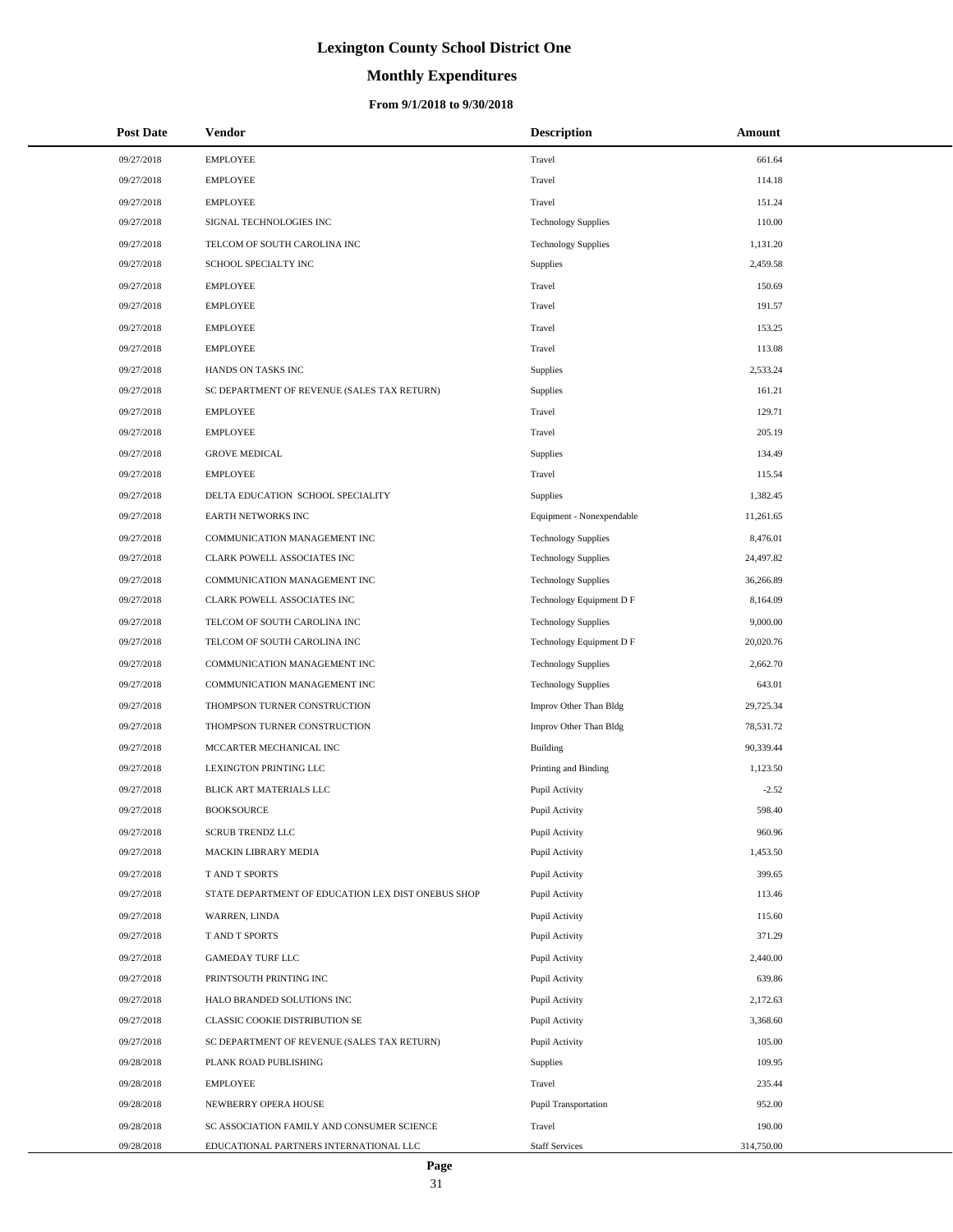# **Monthly Expenditures**

| <b>Post Date</b> | <b>Vendor</b>                                      | <b>Description</b>         | Amount     |
|------------------|----------------------------------------------------|----------------------------|------------|
| 09/27/2018       | <b>EMPLOYEE</b>                                    | Travel                     | 661.64     |
| 09/27/2018       | <b>EMPLOYEE</b>                                    | Travel                     | 114.18     |
| 09/27/2018       | <b>EMPLOYEE</b>                                    | Travel                     | 151.24     |
| 09/27/2018       | SIGNAL TECHNOLOGIES INC                            | <b>Technology Supplies</b> | 110.00     |
| 09/27/2018       | TELCOM OF SOUTH CAROLINA INC                       | <b>Technology Supplies</b> | 1,131.20   |
| 09/27/2018       | SCHOOL SPECIALTY INC                               | Supplies                   | 2,459.58   |
| 09/27/2018       | <b>EMPLOYEE</b>                                    | Travel                     | 150.69     |
| 09/27/2018       | <b>EMPLOYEE</b>                                    | Travel                     | 191.57     |
| 09/27/2018       | <b>EMPLOYEE</b>                                    | Travel                     | 153.25     |
| 09/27/2018       | <b>EMPLOYEE</b>                                    | Travel                     | 113.08     |
| 09/27/2018       | HANDS ON TASKS INC                                 | Supplies                   | 2,533.24   |
| 09/27/2018       | SC DEPARTMENT OF REVENUE (SALES TAX RETURN)        | Supplies                   | 161.21     |
| 09/27/2018       | <b>EMPLOYEE</b>                                    | Travel                     | 129.71     |
| 09/27/2018       | <b>EMPLOYEE</b>                                    | Travel                     | 205.19     |
| 09/27/2018       | <b>GROVE MEDICAL</b>                               | Supplies                   | 134.49     |
| 09/27/2018       | <b>EMPLOYEE</b>                                    | Travel                     | 115.54     |
| 09/27/2018       | DELTA EDUCATION SCHOOL SPECIALITY                  | Supplies                   | 1,382.45   |
| 09/27/2018       | EARTH NETWORKS INC                                 | Equipment - Nonexpendable  | 11,261.65  |
| 09/27/2018       | COMMUNICATION MANAGEMENT INC                       | <b>Technology Supplies</b> | 8,476.01   |
| 09/27/2018       | CLARK POWELL ASSOCIATES INC                        | <b>Technology Supplies</b> | 24,497.82  |
| 09/27/2018       | COMMUNICATION MANAGEMENT INC                       | <b>Technology Supplies</b> | 36,266.89  |
| 09/27/2018       | CLARK POWELL ASSOCIATES INC                        | Technology Equipment D F   | 8,164.09   |
| 09/27/2018       | TELCOM OF SOUTH CAROLINA INC                       | <b>Technology Supplies</b> | 9,000.00   |
| 09/27/2018       | TELCOM OF SOUTH CAROLINA INC                       | Technology Equipment D F   | 20,020.76  |
| 09/27/2018       | COMMUNICATION MANAGEMENT INC                       | <b>Technology Supplies</b> | 2,662.70   |
| 09/27/2018       | COMMUNICATION MANAGEMENT INC                       | <b>Technology Supplies</b> | 643.01     |
| 09/27/2018       | THOMPSON TURNER CONSTRUCTION                       | Improv Other Than Bldg     | 29,725.34  |
| 09/27/2018       | THOMPSON TURNER CONSTRUCTION                       | Improv Other Than Bldg     | 78,531.72  |
| 09/27/2018       | MCCARTER MECHANICAL INC                            | Building                   | 90,339.44  |
| 09/27/2018       | LEXINGTON PRINTING LLC                             | Printing and Binding       | 1,123.50   |
| 09/27/2018       | BLICK ART MATERIALS LLC                            | Pupil Activity             | $-2.52$    |
| 09/27/2018       | <b>BOOKSOURCE</b>                                  | Pupil Activity             | 598.40     |
| 09/27/2018       | <b>SCRUB TRENDZ LLC</b>                            | Pupil Activity             | 960.96     |
| 09/27/2018       | MACKIN LIBRARY MEDIA                               | Pupil Activity             | 1,453.50   |
| 09/27/2018       | T AND T SPORTS                                     | Pupil Activity             | 399.65     |
| 09/27/2018       | STATE DEPARTMENT OF EDUCATION LEX DIST ONEBUS SHOP | Pupil Activity             | 113.46     |
| 09/27/2018       | WARREN, LINDA                                      | Pupil Activity             | 115.60     |
| 09/27/2018       | T AND T SPORTS                                     | Pupil Activity             | 371.29     |
| 09/27/2018       | <b>GAMEDAY TURF LLC</b>                            | Pupil Activity             | 2,440.00   |
| 09/27/2018       | PRINTSOUTH PRINTING INC                            | Pupil Activity             | 639.86     |
| 09/27/2018       | HALO BRANDED SOLUTIONS INC                         | Pupil Activity             | 2,172.63   |
| 09/27/2018       | CLASSIC COOKIE DISTRIBUTION SE                     | Pupil Activity             | 3,368.60   |
| 09/27/2018       | SC DEPARTMENT OF REVENUE (SALES TAX RETURN)        | Pupil Activity             | 105.00     |
| 09/28/2018       | PLANK ROAD PUBLISHING                              | Supplies                   | 109.95     |
| 09/28/2018       | <b>EMPLOYEE</b>                                    | Travel                     | 235.44     |
| 09/28/2018       | NEWBERRY OPERA HOUSE                               | Pupil Transportation       | 952.00     |
| 09/28/2018       | SC ASSOCIATION FAMILY AND CONSUMER SCIENCE         | Travel                     | 190.00     |
| 09/28/2018       | EDUCATIONAL PARTNERS INTERNATIONAL LLC             | <b>Staff Services</b>      | 314,750.00 |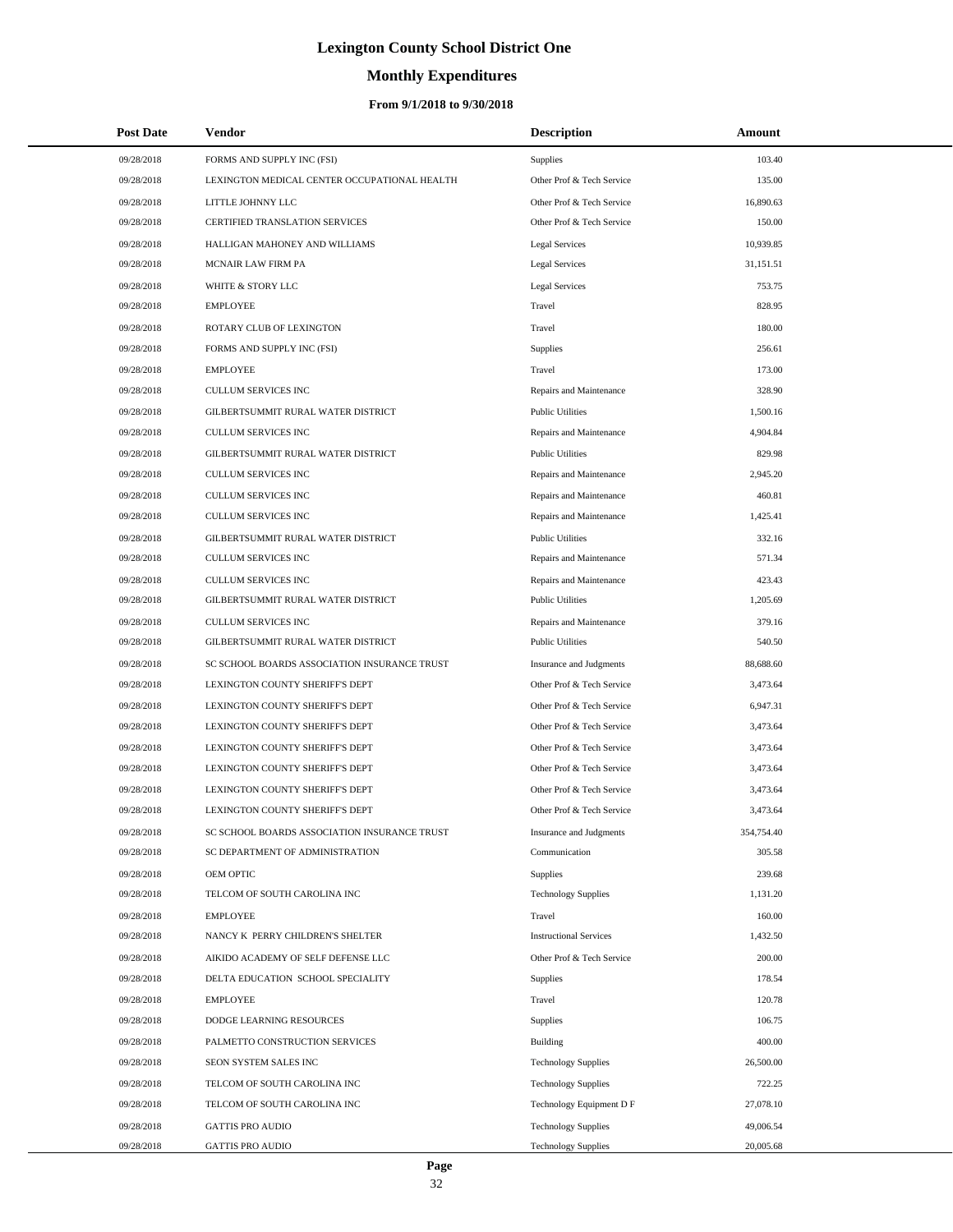# **Monthly Expenditures**

| <b>Post Date</b> | Vendor                                       | <b>Description</b>            | Amount     |
|------------------|----------------------------------------------|-------------------------------|------------|
| 09/28/2018       | FORMS AND SUPPLY INC (FSI)                   | Supplies                      | 103.40     |
| 09/28/2018       | LEXINGTON MEDICAL CENTER OCCUPATIONAL HEALTH | Other Prof & Tech Service     | 135.00     |
| 09/28/2018       | LITTLE JOHNNY LLC                            | Other Prof & Tech Service     | 16,890.63  |
| 09/28/2018       | CERTIFIED TRANSLATION SERVICES               | Other Prof & Tech Service     | 150.00     |
| 09/28/2018       | HALLIGAN MAHONEY AND WILLIAMS                | Legal Services                | 10,939.85  |
| 09/28/2018       | MCNAIR LAW FIRM PA                           | Legal Services                | 31,151.51  |
| 09/28/2018       | WHITE & STORY LLC                            | <b>Legal Services</b>         | 753.75     |
| 09/28/2018       | <b>EMPLOYEE</b>                              | Travel                        | 828.95     |
| 09/28/2018       | ROTARY CLUB OF LEXINGTON                     | Travel                        | 180.00     |
| 09/28/2018       | FORMS AND SUPPLY INC (FSI)                   | <b>Supplies</b>               | 256.61     |
| 09/28/2018       | <b>EMPLOYEE</b>                              | Travel                        | 173.00     |
| 09/28/2018       | <b>CULLUM SERVICES INC</b>                   | Repairs and Maintenance       | 328.90     |
| 09/28/2018       | GILBERTSUMMIT RURAL WATER DISTRICT           | <b>Public Utilities</b>       | 1,500.16   |
| 09/28/2018       | <b>CULLUM SERVICES INC</b>                   | Repairs and Maintenance       | 4,904.84   |
| 09/28/2018       | GILBERTSUMMIT RURAL WATER DISTRICT           | <b>Public Utilities</b>       | 829.98     |
| 09/28/2018       | CULLUM SERVICES INC                          | Repairs and Maintenance       | 2,945.20   |
| 09/28/2018       | <b>CULLUM SERVICES INC</b>                   | Repairs and Maintenance       | 460.81     |
| 09/28/2018       | CULLUM SERVICES INC                          | Repairs and Maintenance       | 1,425.41   |
| 09/28/2018       | GILBERTSUMMIT RURAL WATER DISTRICT           | <b>Public Utilities</b>       | 332.16     |
| 09/28/2018       | CULLUM SERVICES INC                          | Repairs and Maintenance       | 571.34     |
| 09/28/2018       | <b>CULLUM SERVICES INC</b>                   | Repairs and Maintenance       | 423.43     |
| 09/28/2018       | GILBERTSUMMIT RURAL WATER DISTRICT           | <b>Public Utilities</b>       | 1,205.69   |
| 09/28/2018       | CULLUM SERVICES INC                          | Repairs and Maintenance       | 379.16     |
| 09/28/2018       | GILBERTSUMMIT RURAL WATER DISTRICT           | <b>Public Utilities</b>       | 540.50     |
| 09/28/2018       | SC SCHOOL BOARDS ASSOCIATION INSURANCE TRUST | Insurance and Judgments       | 88,688.60  |
| 09/28/2018       | LEXINGTON COUNTY SHERIFF'S DEPT              | Other Prof & Tech Service     | 3,473.64   |
| 09/28/2018       | LEXINGTON COUNTY SHERIFF'S DEPT              | Other Prof & Tech Service     | 6,947.31   |
| 09/28/2018       | LEXINGTON COUNTY SHERIFF'S DEPT              | Other Prof & Tech Service     | 3,473.64   |
| 09/28/2018       | LEXINGTON COUNTY SHERIFF'S DEPT              | Other Prof & Tech Service     | 3,473.64   |
| 09/28/2018       | LEXINGTON COUNTY SHERIFF'S DEPT              | Other Prof & Tech Service     | 3,473.64   |
| 09/28/2018       | LEXINGTON COUNTY SHERIFF'S DEPT              | Other Prof & Tech Service     | 3,473.64   |
| 09/28/2018       | LEXINGTON COUNTY SHERIFF'S DEPT              | Other Prof & Tech Service     | 3,473.64   |
| 09/28/2018       | SC SCHOOL BOARDS ASSOCIATION INSURANCE TRUST | Insurance and Judgments       | 354,754.40 |
| 09/28/2018       | SC DEPARTMENT OF ADMINISTRATION              | Communication                 | 305.58     |
| 09/28/2018       | OEM OPTIC                                    | <b>Supplies</b>               | 239.68     |
| 09/28/2018       | TELCOM OF SOUTH CAROLINA INC                 | <b>Technology Supplies</b>    | 1,131.20   |
| 09/28/2018       | <b>EMPLOYEE</b>                              | Travel                        | 160.00     |
| 09/28/2018       | NANCY K PERRY CHILDREN'S SHELTER             | <b>Instructional Services</b> | 1,432.50   |
| 09/28/2018       | AIKIDO ACADEMY OF SELF DEFENSE LLC           | Other Prof & Tech Service     | 200.00     |
| 09/28/2018       | DELTA EDUCATION SCHOOL SPECIALITY            | <b>Supplies</b>               | 178.54     |
| 09/28/2018       | <b>EMPLOYEE</b>                              | Travel                        | 120.78     |
| 09/28/2018       | DODGE LEARNING RESOURCES                     | <b>Supplies</b>               | 106.75     |
| 09/28/2018       | PALMETTO CONSTRUCTION SERVICES               | <b>Building</b>               | 400.00     |
| 09/28/2018       | SEON SYSTEM SALES INC                        | <b>Technology Supplies</b>    | 26,500.00  |
| 09/28/2018       | TELCOM OF SOUTH CAROLINA INC                 | <b>Technology Supplies</b>    | 722.25     |
| 09/28/2018       | TELCOM OF SOUTH CAROLINA INC                 | Technology Equipment D F      | 27,078.10  |
| 09/28/2018       | <b>GATTIS PRO AUDIO</b>                      | <b>Technology Supplies</b>    | 49,006.54  |
| 09/28/2018       | <b>GATTIS PRO AUDIO</b>                      | <b>Technology Supplies</b>    | 20,005.68  |